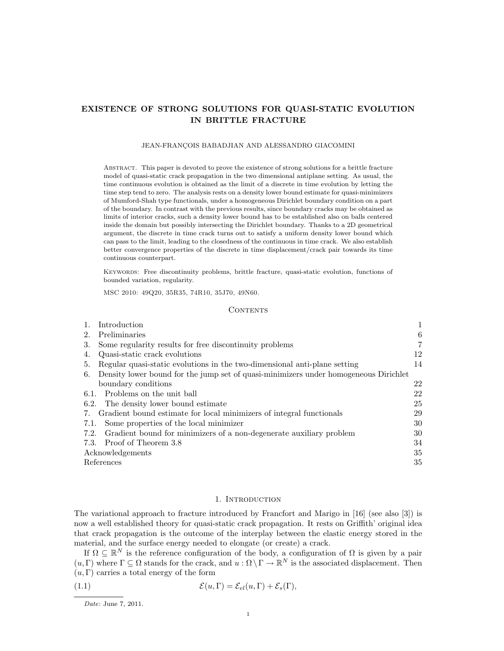# EXISTENCE OF STRONG SOLUTIONS FOR QUASI-STATIC EVOLUTION IN BRITTLE FRACTURE

#### JEAN-FRANÇOIS BABADJIAN AND ALESSANDRO GIACOMINI

Abstract. This paper is devoted to prove the existence of strong solutions for a brittle fracture model of quasi-static crack propagation in the two dimensional antiplane setting. As usual, the time continuous evolution is obtained as the limit of a discrete in time evolution by letting the time step tend to zero. The analysis rests on a density lower bound estimate for quasi-minimizers of Mumford-Shah type functionals, under a homogeneous Dirichlet boundary condition on a part of the boundary. In contrast with the previous results, since boundary cracks may be obtained as limits of interior cracks, such a density lower bound has to be established also on balls centered inside the domain but possibly intersecting the Dirichlet boundary. Thanks to a 2D geometrical argument, the discrete in time crack turns out to satisfy a uniform density lower bound which can pass to the limit, leading to the closedness of the continuous in time crack. We also establish better convergence properties of the discrete in time displacement/crack pair towards its time continuous counterpart.

Keywords: Free discontinuity problems, brittle fracture, quasi-static evolution, functions of bounded variation, regularity.

MSC 2010: 49Q20, 35R35, 74R10, 35J70, 49N60.

### CONTENTS

|      | Introduction                                                                         |                |
|------|--------------------------------------------------------------------------------------|----------------|
| 2.   | Preliminaries                                                                        | 6              |
| 3.   | Some regularity results for free discontinuity problems                              | $\overline{7}$ |
| 4.   | Quasi-static crack evolutions                                                        | 12             |
| 5.   | Regular quasi-static evolutions in the two-dimensional anti-plane setting            | 14             |
| 6.   | Density lower bound for the jump set of quasi-minimizers under homogeneous Dirichlet |                |
|      | boundary conditions                                                                  | 22             |
|      | 6.1. Problems on the unit ball                                                       | 22             |
|      | 6.2. The density lower bound estimate                                                | 25             |
|      | 7. Gradient bound estimate for local minimizers of integral functionals              | 29             |
| 7.1. | Some properties of the local minimizer                                               | 30             |
|      | 7.2. Gradient bound for minimizers of a non-degenerate auxiliary problem             | 30             |
|      | 7.3. Proof of Theorem 3.8                                                            | 34             |
|      | Acknowledgements                                                                     |                |
|      | References                                                                           |                |

#### 1. INTRODUCTION

The variational approach to fracture introduced by Francfort and Marigo in [16] (see also [3]) is now a well established theory for quasi-static crack propagation. It rests on Griffith' original idea that crack propagation is the outcome of the interplay between the elastic energy stored in the material, and the surface energy needed to elongate (or create) a crack.

If  $\Omega \subseteq \mathbb{R}^N$  is the reference configuration of the body, a configuration of  $\Omega$  is given by a pair  $(u, \Gamma)$  where  $\Gamma \subseteq \Omega$  stands for the crack, and  $u : \Omega \setminus \Gamma \to \mathbb{R}^N$  is the associated displacement. Then  $(u, \Gamma)$  carries a total energy of the form

(1.1) 
$$
\mathcal{E}(u,\Gamma)=\mathcal{E}_{el}(u,\Gamma)+\mathcal{E}_s(\Gamma),
$$

Date: June 7, 2011.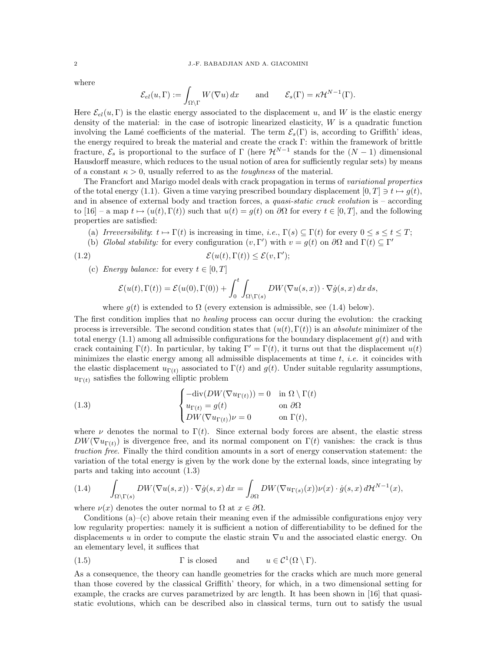where

$$
\mathcal{E}_{el}(u,\Gamma) := \int_{\Omega \setminus \Gamma} W(\nabla u) dx \quad \text{and} \quad \mathcal{E}_s(\Gamma) = \kappa \mathcal{H}^{N-1}(\Gamma).
$$

Here  $\mathcal{E}_{el}(u, \Gamma)$  is the elastic energy associated to the displacement u, and W is the elastic energy density of the material: in the case of isotropic linearized elasticity,  $W$  is a quadratic function involving the Lamé coefficients of the material. The term  $\mathcal{E}_s(\Gamma)$  is, according to Griffith' ideas, the energy required to break the material and create the crack Γ: within the framework of brittle fracture,  $\mathcal{E}_s$  is proportional to the surface of  $\Gamma$  (here  $\mathcal{H}^{N-1}$  stands for the  $(N-1)$  dimensional Hausdorff measure, which reduces to the usual notion of area for sufficiently regular sets) by means of a constant  $\kappa > 0$ , usually referred to as the *toughness* of the material.

The Francfort and Marigo model deals with crack propagation in terms of variational properties of the total energy (1.1). Given a time varying prescribed boundary displacement  $[0, T] \ni t \mapsto g(t)$ , and in absence of external body and traction forces, a *quasi-static crack evolution* is – according to [16] – a map  $t \mapsto (u(t), \Gamma(t))$  such that  $u(t) = g(t)$  on  $\partial\Omega$  for every  $t \in [0, T]$ , and the following properties are satisfied:

- (a) Irreversibility:  $t \mapsto \Gamma(t)$  is increasing in time, i.e.,  $\Gamma(s) \subset \Gamma(t)$  for every  $0 \le s \le t \le T$ ;
- (b) Global stability: for every configuration  $(v, \Gamma')$  with  $v = g(t)$  on  $\partial\Omega$  and  $\Gamma(t) \subseteq \Gamma'$

(1.2) 
$$
\mathcal{E}(u(t),\Gamma(t)) \leq \mathcal{E}(v,\Gamma');
$$

(c) Energy balance: for every  $t \in [0, T]$ 

$$
\mathcal{E}(u(t),\Gamma(t)) = \mathcal{E}(u(0),\Gamma(0)) + \int_0^t \int_{\Omega \setminus \Gamma(s)} DW(\nabla u(s,x)) \cdot \nabla \dot{g}(s,x) \, dx \, ds,
$$

where  $g(t)$  is extended to  $\Omega$  (every extension is admissible, see (1.4) below).

The first condition implies that no *healing* process can occur during the evolution: the cracking process is irreversible. The second condition states that  $(u(t), \Gamma(t))$  is an *absolute* minimizer of the total energy  $(1.1)$  among all admissible configurations for the boundary displacement  $g(t)$  and with crack containing  $\Gamma(t)$ . In particular, by taking  $\Gamma' = \Gamma(t)$ , it turns out that the displacement  $u(t)$ minimizes the elastic energy among all admissible displacements at time  $t$ , *i.e.* it coincides with the elastic displacement  $u_{\Gamma(t)}$  associated to  $\Gamma(t)$  and  $g(t)$ . Under suitable regularity assumptions,  $u_{\Gamma(t)}$  satisfies the following elliptic problem

(1.3) 
$$
\begin{cases}\n-\text{div}(DW(\nabla u_{\Gamma(t)})) = 0 & \text{in } \Omega \setminus \Gamma(t) \\
u_{\Gamma(t)} = g(t) & \text{on } \partial\Omega \\
DW(\nabla u_{\Gamma(t)})\nu = 0 & \text{on } \Gamma(t),\n\end{cases}
$$

where  $\nu$  denotes the normal to  $\Gamma(t)$ . Since external body forces are absent, the elastic stress  $DW(\nabla u_{\Gamma(t)})$  is divergence free, and its normal component on  $\Gamma(t)$  vanishes: the crack is thus traction free. Finally the third condition amounts in a sort of energy conservation statement: the variation of the total energy is given by the work done by the external loads, since integrating by parts and taking into account (1.3)

(1.4) 
$$
\int_{\Omega \setminus \Gamma(s)} DW(\nabla u(s,x)) \cdot \nabla \dot{g}(s,x) dx = \int_{\partial \Omega} DW(\nabla u_{\Gamma(s)}(x)) \nu(x) \cdot \dot{g}(s,x) d\mathcal{H}^{N-1}(x),
$$

where  $\nu(x)$  denotes the outer normal to  $\Omega$  at  $x \in \partial\Omega$ .

Conditions  $(a)$ – $(c)$  above retain their meaning even if the admissible configurations enjoy very low regularity properties: namely it is sufficient a notion of differentiability to be defined for the displacements u in order to compute the elastic strain  $\nabla u$  and the associated elastic energy. On an elementary level, it suffices that

(1.5) 
$$
\Gamma
$$
 is closed and  $u \in C^1(\Omega \setminus \Gamma)$ .

As a consequence, the theory can handle geometries for the cracks which are much more general than those covered by the classical Griffith' theory, for which, in a two dimensional setting for example, the cracks are curves parametrized by arc length. It has been shown in [16] that quasistatic evolutions, which can be described also in classical terms, turn out to satisfy the usual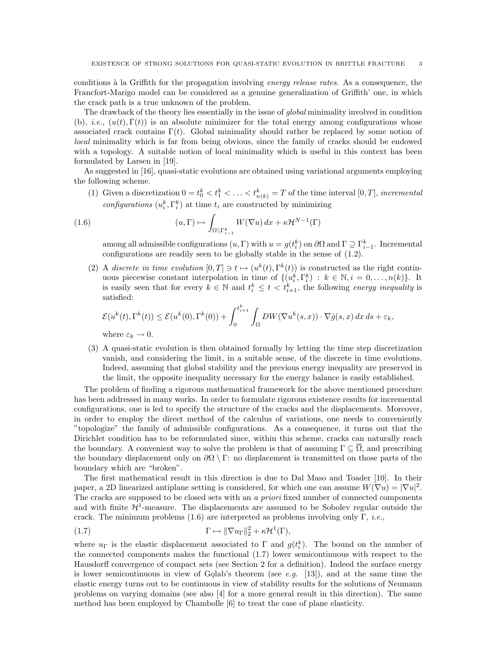conditions à la Griffith for the propagation involving energy release rates. As a consequence, the Francfort-Marigo model can be considered as a genuine generalization of Griffith' one, in which the crack path is a true unknown of the problem.

The drawback of the theory lies essentially in the issue of global minimality involved in condition (b), *i.e.*,  $(u(t), \Gamma(t))$  is an absolute minimizer for the total energy among configurations whose associated crack contains  $\Gamma(t)$ . Global minimality should rather be replaced by some notion of local minimality which is far from being obvious, since the family of cracks should be endowed with a topology. A suitable notion of local minimality which is useful in this context has been formulated by Larsen in [19].

As suggested in [16], quasi-static evolutions are obtained using variational arguments employing the following scheme.

(1) Given a discretization  $0 = t_0^k < t_1^k < \ldots < t_{n(k)}^k = T$  of the time interval  $[0, T]$ , incremental configurations  $(u_i^k, \Gamma_i^k)$  at time  $t_i$  are constructed by minimizing

(1.6) 
$$
(u, \Gamma) \mapsto \int_{\Omega \setminus \Gamma_{i-1}^k} W(\nabla u) dx + \kappa \mathcal{H}^{N-1}(\Gamma)
$$

among all admissible configurations  $(u, \Gamma)$  with  $u = g(t_i^k)$  on  $\partial\Omega$  and  $\Gamma \supseteq \Gamma_{i-1}^k$ . Incremental configurations are readily seen to be globally stable in the sense of (1.2).

(2) A discrete in time evolution  $[0,T] \ni t \mapsto (u^k(t), \Gamma^k(t))$  is constructed as the right continuous piecewise constant interpolation in time of  $\{(u_i^k, \Gamma_i^k) : k \in \mathbb{N}, i = 0, \ldots, n(k)\}\.$  It is easily seen that for every  $k \in \mathbb{N}$  and  $t_i^k \leq t < t_{i+1}^k$ , the following energy inequality is satisfied:

$$
\mathcal{E}(u^k(t),\Gamma^k(t)) \le \mathcal{E}(u^k(0),\Gamma^k(0)) + \int_0^{t_{i+1}^k} \int_{\Omega} DW(\nabla u^k(s,x)) \cdot \nabla \dot{g}(s,x) \, dx \, ds + \varepsilon_k,
$$

where  $\varepsilon_k \to 0$ .

(3) A quasi-static evolution is then obtained formally by letting the time step discretization vanish, and considering the limit, in a suitable sense, of the discrete in time evolutions. Indeed, assuming that global stability and the previous energy inequality are preserved in the limit, the opposite inequality necessary for the energy balance is easily established.

The problem of finding a rigorous mathematical framework for the above mentioned procedure has been addressed in many works. In order to formulate rigorous existence results for incremental configurations, one is led to specify the structure of the cracks and the displacements. Moreover, in order to employ the direct method of the calculus of variations, one needs to conveniently "topologize" the family of admissible configurations. As a consequence, it turns out that the Dirichlet condition has to be reformulated since, within this scheme, cracks can naturally reach the boundary. A convenient way to solve the problem is that of assuming  $\Gamma \subseteq \Omega$ , and prescribing the boundary displacement only on  $\partial\Omega \setminus \Gamma$ : no displacement is transmitted on those parts of the boundary which are "broken".

The first mathematical result in this direction is due to Dal Maso and Toader [10]. In their paper, a 2D linearized antiplane setting is considered, for which one can assume  $W(\nabla u) = |\nabla u|^2$ . The cracks are supposed to be closed sets with an a priori fixed number of connected components and with finite  $\mathcal{H}^1$ -measure. The displacements are assumed to be Sobolev regular outside the crack. The minimum problems (1.6) are interpreted as problems involving only  $\Gamma$ , *i.e.*,

(1.7) 
$$
\Gamma \mapsto \|\nabla u_{\Gamma}\|_{2}^{2} + \kappa \mathcal{H}^{1}(\Gamma),
$$

where  $u_{\Gamma}$  is the elastic displacement associated to  $\Gamma$  and  $g(t_i^k)$ . The bound on the number of the connected components makes the functional (1.7) lower semicontinuous with respect to the Hausdorff convergence of compact sets (see Section 2 for a definition). Indeed the surface energy is lower semicontinuous in view of Golab's theorem (see e.g. [13]), and at the same time the elastic energy turns out to be continuous in view of stability results for the solutions of Neumann problems on varying domains (see also [4] for a more general result in this direction). The same method has been employed by Chambolle [6] to treat the case of plane elasticity.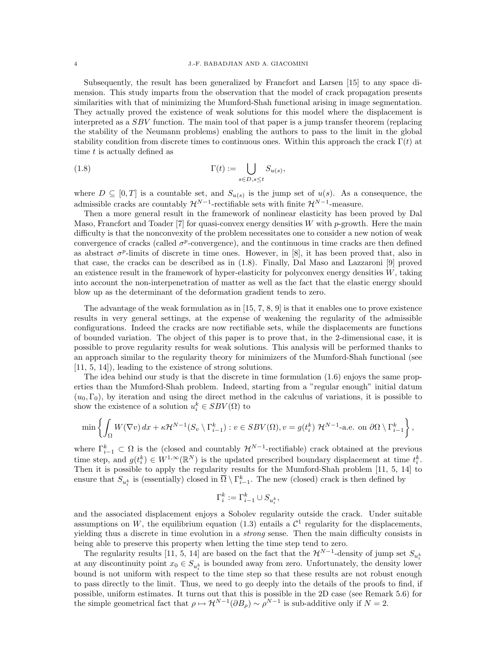#### 4 J.-F. BABADJIAN AND A. GIACOMINI

Subsequently, the result has been generalized by Francfort and Larsen [15] to any space dimension. This study imparts from the observation that the model of crack propagation presents similarities with that of minimizing the Mumford-Shah functional arising in image segmentation. They actually proved the existence of weak solutions for this model where the displacement is interpreted as a *SBV* function. The main tool of that paper is a jump transfer theorem (replacing the stability of the Neumann problems) enabling the authors to pass to the limit in the global stability condition from discrete times to continuous ones. Within this approach the crack  $\Gamma(t)$  at time t is actually defined as

(1.8) 
$$
\Gamma(t) := \bigcup_{s \in D, s \le t} S_{u(s)},
$$

where  $D \subseteq [0, T]$  is a countable set, and  $S_{u(s)}$  is the jump set of  $u(s)$ . As a consequence, the admissible cracks are countably  $\mathcal{H}^{N-1}$ -rectifiable sets with finite  $\mathcal{H}^{N-1}$ -measure.

Then a more general result in the framework of nonlinear elasticity has been proved by Dal Maso, Francfort and Toader [7] for quasi-convex energy densities W with p-growth. Here the main difficulty is that the nonconvexity of the problem necessitates one to consider a new notion of weak convergence of cracks (called  $\sigma^p$ -convergence), and the continuous in time cracks are then defined as abstract  $\sigma^p$ -limits of discrete in time ones. However, in [8], it has been proved that, also in that case, the cracks can be described as in (1.8). Finally, Dal Maso and Lazzaroni [9] proved an existence result in the framework of hyper-elasticity for polyconvex energy densities W, taking into account the non-interpenetration of matter as well as the fact that the elastic energy should blow up as the determinant of the deformation gradient tends to zero.

The advantage of the weak formulation as in [15, 7, 8, 9] is that it enables one to prove existence results in very general settings, at the expense of weakening the regularity of the admissible configurations. Indeed the cracks are now rectifiable sets, while the displacements are functions of bounded variation. The object of this paper is to prove that, in the 2-dimensional case, it is possible to prove regularity results for weak solutions. This analysis will be performed thanks to an approach similar to the regularity theory for minimizers of the Mumford-Shah functional (see [11, 5, 14]), leading to the existence of strong solutions.

The idea behind our study is that the discrete in time formulation (1.6) enjoys the same properties than the Mumford-Shah problem. Indeed, starting from a "regular enough" initial datum  $(u_0, \Gamma_0)$ , by iteration and using the direct method in the calculus of variations, it is possible to show the existence of a solution  $u_i^k \in SBV(\Omega)$  to

$$
\min\left\{\int_{\Omega} W(\nabla v) dx + \kappa \mathcal{H}^{N-1}(S_v \setminus \Gamma_{i-1}^k) : v \in SBV(\Omega), v = g(t_i^k) \mathcal{H}^{N-1}\text{-a.e. on }\partial\Omega \setminus \Gamma_{i-1}^k\right\},\
$$

where  $\Gamma_{i-1}^k \subset \Omega$  is the (closed and countably  $\mathcal{H}^{N-1}$ -rectifiable) crack obtained at the previous time step, and  $g(t_i^k) \in W^{1,\infty}(\mathbb{R}^N)$  is the updated prescribed boundary displacement at time  $t_i^k$ . Then it is possible to apply the regularity results for the Mumford-Shah problem [11, 5, 14] to ensure that  $S_{u_i^k}$  is (essentially) closed in  $\overline{\Omega} \setminus \Gamma_{i-1}^k$ . The new (closed) crack is then defined by

$$
\Gamma_i^k:=\Gamma_{i-1}^k\cup S_{u_i^k},
$$

and the associated displacement enjoys a Sobolev regularity outside the crack. Under suitable assumptions on W, the equilibrium equation (1.3) entails a  $\mathcal{C}^1$  regularity for the displacements, yielding thus a discrete in time evolution in a strong sense. Then the main difficulty consists in being able to preserve this property when letting the time step tend to zero.

The regularity results [11, 5, 14] are based on the fact that the  $\mathcal{H}^{N-1}$ -density of jump set  $S_{u_i^k}$ at any discontinuity point  $x_0 \in S_{u_i^k}$  is bounded away from zero. Unfortunately, the density lower bound is not uniform with respect to the time step so that these results are not robust enough to pass directly to the limit. Thus, we need to go deeply into the details of the proofs to find, if possible, uniform estimates. It turns out that this is possible in the 2D case (see Remark 5.6) for the simple geometrical fact that  $\rho \mapsto \mathcal{H}^{N-1}(\partial B_{\rho}) \sim \rho^{N-1}$  is sub-additive only if  $N=2$ .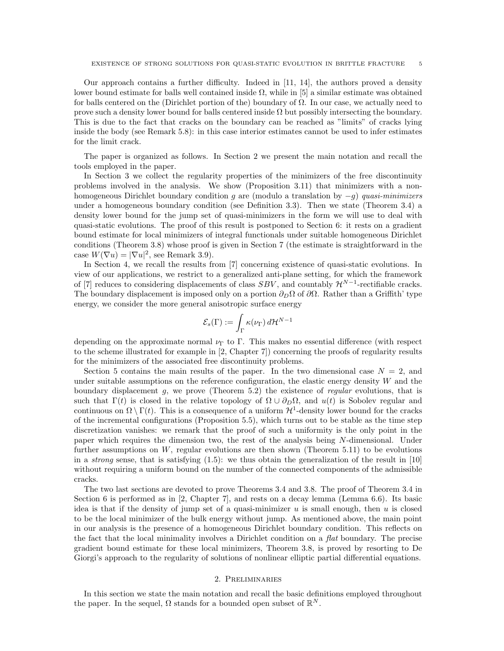Our approach contains a further difficulty. Indeed in [11, 14], the authors proved a density lower bound estimate for balls well contained inside  $Ω$ , while in [5] a similar estimate was obtained for balls centered on the (Dirichlet portion of the) boundary of  $\Omega$ . In our case, we actually need to prove such a density lower bound for balls centered inside  $\Omega$  but possibly intersecting the boundary. This is due to the fact that cracks on the boundary can be reached as "limits" of cracks lying inside the body (see Remark 5.8): in this case interior estimates cannot be used to infer estimates for the limit crack.

The paper is organized as follows. In Section 2 we present the main notation and recall the tools employed in the paper.

In Section 3 we collect the regularity properties of the minimizers of the free discontinuity problems involved in the analysis. We show (Proposition 3.11) that minimizers with a nonhomogeneous Dirichlet boundary condition g are (modulo a translation by  $-g$ ) quasi-minimizers under a homogeneous boundary condition (see Definition 3.3). Then we state (Theorem 3.4) a density lower bound for the jump set of quasi-minimizers in the form we will use to deal with quasi-static evolutions. The proof of this result is postponed to Section 6: it rests on a gradient bound estimate for local minimizers of integral functionals under suitable homogeneous Dirichlet conditions (Theorem 3.8) whose proof is given in Section 7 (the estimate is straightforward in the case  $W(\nabla u) = |\nabla u|^2$ , see Remark 3.9).

In Section 4, we recall the results from [7] concerning existence of quasi-static evolutions. In view of our applications, we restrict to a generalized anti-plane setting, for which the framework of [7] reduces to considering displacements of class  $SBV$ , and countably  $\mathcal{H}^{N-1}$ -rectifiable cracks. The boundary displacement is imposed only on a portion  $\partial_D\Omega$  of  $\partial\Omega$ . Rather than a Griffith' type energy, we consider the more general anisotropic surface energy

$$
\mathcal{E}_s(\Gamma) := \int_{\Gamma} \kappa(\nu_{\Gamma}) \, d\mathcal{H}^{N-1}
$$

depending on the approximate normal  $\nu_{\Gamma}$  to  $\Gamma$ . This makes no essential difference (with respect to the scheme illustrated for example in [2, Chapter 7]) concerning the proofs of regularity results for the minimizers of the associated free discontinuity problems.

Section 5 contains the main results of the paper. In the two dimensional case  $N = 2$ , and under suitable assumptions on the reference configuration, the elastic energy density  $W$  and the boundary displacement g, we prove (Theorem 5.2) the existence of regular evolutions, that is such that  $\Gamma(t)$  is closed in the relative topology of  $\Omega \cup \partial_{D}\Omega$ , and  $u(t)$  is Sobolev regular and continuous on  $\Omega \setminus \Gamma(t)$ . This is a consequence of a uniform  $\mathcal{H}^1$ -density lower bound for the cracks of the incremental configurations (Proposition 5.5), which turns out to be stable as the time step discretization vanishes: we remark that the proof of such a uniformity is the only point in the paper which requires the dimension two, the rest of the analysis being N-dimensional. Under further assumptions on  $W$ , regular evolutions are then shown (Theorem 5.11) to be evolutions in a *strong* sense, that is satisfying  $(1.5)$ : we thus obtain the generalization of the result in [10] without requiring a uniform bound on the number of the connected components of the admissible cracks.

The two last sections are devoted to prove Theorems 3.4 and 3.8. The proof of Theorem 3.4 in Section 6 is performed as in [2, Chapter 7], and rests on a decay lemma (Lemma 6.6). Its basic idea is that if the density of jump set of a quasi-minimizer  $u$  is small enough, then  $u$  is closed to be the local minimizer of the bulk energy without jump. As mentioned above, the main point in our analysis is the presence of a homogeneous Dirichlet boundary condition. This reflects on the fact that the local minimality involves a Dirichlet condition on a flat boundary. The precise gradient bound estimate for these local minimizers, Theorem 3.8, is proved by resorting to De Giorgi's approach to the regularity of solutions of nonlinear elliptic partial differential equations.

### 2. Preliminaries

In this section we state the main notation and recall the basic definitions employed throughout the paper. In the sequel,  $\Omega$  stands for a bounded open subset of  $\mathbb{R}^N$ .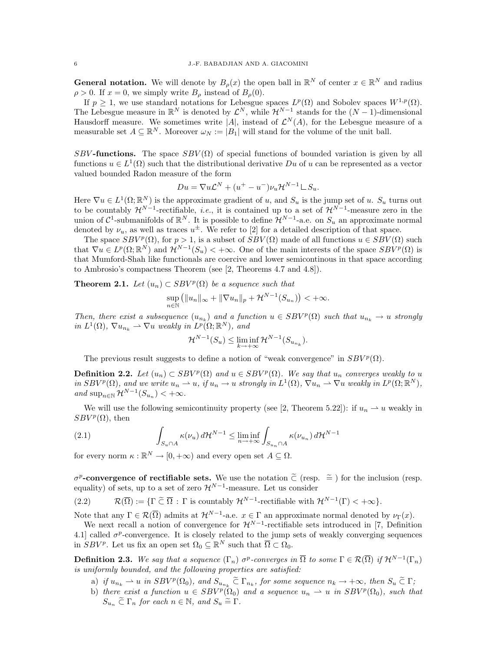**General notation.** We will denote by  $B_{\rho}(x)$  the open ball in  $\mathbb{R}^{N}$  of center  $x \in \mathbb{R}^{N}$  and radius  $\rho > 0$ . If  $x = 0$ , we simply write  $B_{\rho}$  instead of  $B_{\rho}(0)$ .

If  $p \geq 1$ , we use standard notations for Lebesgue spaces  $L^p(\Omega)$  and Sobolev spaces  $W^{1,p}(\Omega)$ . The Lebesgue measure in  $\mathbb{R}^N$  is denoted by  $\mathcal{L}^N$ , while  $\mathcal{H}^{N-1}$  stands for the  $(N-1)$ -dimensional Hausdorff measure. We sometimes write |A|, instead of  $\mathcal{L}^N(A)$ , for the Lebesgue measure of a measurable set  $A \subseteq \mathbb{R}^N$ . Moreover  $\omega_N := |B_1|$  will stand for the volume of the unit ball.

SBV-functions. The space  $SBV(\Omega)$  of special functions of bounded variation is given by all functions  $u \in L^1(\Omega)$  such that the distributional derivative Du of u can be represented as a vector valued bounded Radon measure of the form

$$
Du = \nabla u \mathcal{L}^N + (u^+ - u^-)\nu_u \mathcal{H}^{N-1} \mathcal{L} S_u.
$$

Here  $\nabla u \in L^1(\Omega;\mathbb{R}^N)$  is the approximate gradient of u, and  $S_u$  is the jump set of u.  $S_u$  turns out to be countably  $\mathcal{H}^{N-1}$ -rectifiable, *i.e.*, it is contained up to a set of  $\mathcal{H}^{N-1}$ -measure zero in the union of  $\mathcal{C}^1$ -submanifolds of  $\mathbb{R}^N$ . It is possible to define  $\mathcal{H}^{N-1}$ -a.e. on  $S_u$  an approximate normal denoted by  $\nu_u$ , as well as traces  $u^{\pm}$ . We refer to [2] for a detailed description of that space.

The space  $SBV^p(\Omega)$ , for  $p > 1$ , is a subset of  $SBV(\Omega)$  made of all functions  $u \in SBV(\Omega)$  such that  $\nabla u \in L^p(\Omega;\mathbb{R}^N)$  and  $\mathcal{H}^{N-1}(S_u) < +\infty$ . One of the main interests of the space  $SBV^p(\Omega)$  is that Mumford-Shah like functionals are coercive and lower semicontinous in that space according to Ambrosio's compactness Theorem (see [2, Theorems 4.7 and 4.8]).

**Theorem 2.1.** Let  $(u_n) \subset SBV^p(\Omega)$  be a sequence such that

$$
\sup_{n\in\mathbb{N}}\left(\|u_n\|_{\infty}+\|\nabla u_n\|_p+\mathcal{H}^{N-1}(S_{u_n})\right)<+\infty.
$$

Then, there exist a subsequence  $(u_{n_k})$  and a function  $u \in SBV^p(\Omega)$  such that  $u_{n_k} \to u$  strongly in  $L^1(\Omega)$ ,  $\nabla u_{n_k} \rightharpoonup \nabla u$  weakly in  $L^p(\Omega; \mathbb{R}^N)$ , and

$$
\mathcal{H}^{N-1}(S_u) \leq \liminf_{k \to +\infty} \mathcal{H}^{N-1}(S_{u_{n_k}}).
$$

The previous result suggests to define a notion of "weak convergence" in  $SBV^p(\Omega)$ .

**Definition 2.2.** Let  $(u_n) \subset SBV^p(\Omega)$  and  $u \in SBV^p(\Omega)$ . We say that  $u_n$  converges weakly to u in  $SBV^p(\Omega)$ , and we write  $u_n \rightharpoonup u$ , if  $u_n \rightharpoonup u$  strongly in  $L^1(\Omega)$ ,  $\nabla u_n \rightharpoonup \nabla u$  weakly in  $L^p(\Omega; \mathbb{R}^N)$ , and  $\sup_{n\in\mathbb{N}}\mathcal{H}^{N-1}(S_{u_n})<+\infty$ .

We will use the following semicontinuity property (see [2, Theorem 5.22]): if  $u_n \rightharpoonup u$  weakly in  $SBV^p(\Omega)$ , then

(2.1) 
$$
\int_{S_u \cap A} \kappa(\nu_u) d\mathcal{H}^{N-1} \leq \liminf_{n \to +\infty} \int_{S_{u_n} \cap A} \kappa(\nu_{u_n}) d\mathcal{H}^{N-1}
$$

for every norm  $\kappa : \mathbb{R}^N \to [0, +\infty)$  and every open set  $A \subseteq \Omega$ .

 $\sigma^p$ **-convergence of rectifiable sets.** We use the notation  $\tilde{\subset}$  (resp.  $\tilde{=}$  ) for the inclusion (resp. equality) of sets up to a set of zero  $\mathcal{H}^{N-1}$  measure. Let us consider equality) of sets, up to a set of zero  $\mathcal{H}^{N-1}$ -measure. Let us consider

(2.2)  $\mathcal{R}(\overline{\Omega}) := \{ \Gamma \subset \overline{\Omega} : \Gamma \text{ is countably } \mathcal{H}^{N-1}\text{-rectifiable with } \mathcal{H}^{N-1}(\Gamma) < +\infty \}.$ 

Note that any  $\Gamma \in \mathcal{R}(\overline{\Omega})$  admits at  $\mathcal{H}^{N-1}$ -a.e.  $x \in \Gamma$  an approximate normal denoted by  $\nu_{\Gamma}(x)$ .

We next recall a notion of convergence for  $\mathcal{H}^{N-1}$ -rectifiable sets introduced in [7, Definition 4.1 called  $\sigma^p$ -convergence. It is closely related to the jump sets of weakly converging sequences in  $SBV^p$ . Let us fix an open set  $\Omega_0 \subseteq \mathbb{R}^N$  such that  $\overline{\Omega} \subset \Omega_0$ .

**Definition 2.3.** We say that a sequence  $(\Gamma_n)$   $\sigma^p$ -converges in  $\overline{\Omega}$  to some  $\Gamma \in \mathcal{R}(\overline{\Omega})$  if  $\mathcal{H}^{N-1}(\Gamma_n)$ is uniformly bounded, and the following properties are satisfied:

- a) if  $u_{n_k} \to u$  in  $SBV^p(\Omega_0)$ , and  $S_{u_{n_k}} \widetilde{\subset} \Gamma_{n_k}$ , for some sequence  $n_k \to +\infty$ , then  $S_u \widetilde{\subset} \Gamma_{n_k}$
- b) there exist a function  $u \in SBV^p(\hat{\Omega}_0)$  and a sequence  $u_n \rightharpoonup u$  in  $SBV^p(\Omega_0)$ , such that  $S_{u_n} \tilde{\subset} \Gamma_n$  for each  $n \in \mathbb{N}$ , and  $S_u \tilde{\equiv} \Gamma$ .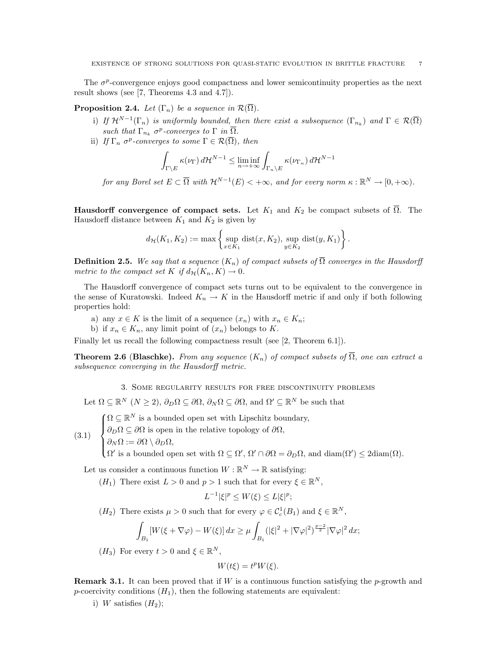The  $\sigma^p$ -convergence enjoys good compactness and lower semicontinuity properties as the next result shows (see [7, Theorems 4.3 and 4.7]).

**Proposition 2.4.** Let  $(\Gamma_n)$  be a sequence in  $\mathcal{R}(\overline{\Omega})$ .

- i) If  $\mathcal{H}^{N-1}(\Gamma_n)$  is uniformly bounded, then there exist a subsequence  $(\Gamma_{n_k})$  and  $\Gamma \in \mathcal{R}(\overline{\Omega})$ such that  $\Gamma_{n_k}$   $\sigma^p$ -converges to  $\Gamma$  in  $\overline{\Omega}$ .
- ii) If  $\Gamma_n$   $\sigma^p$ -converges to some  $\Gamma \in \mathcal{R}(\overline{\Omega})$ , then

$$
\int_{\Gamma\backslash E} \kappa(\nu_{\Gamma}) d\mathcal{H}^{N-1} \leq \liminf_{n \to +\infty} \int_{\Gamma_n \backslash E} \kappa(\nu_{\Gamma_n}) d\mathcal{H}^{N-1}
$$

for any Borel set  $E \subset \overline{\Omega}$  with  $\mathcal{H}^{N-1}(E) < +\infty$ , and for every norm  $\kappa : \mathbb{R}^N \to [0, +\infty)$ .

**Hausdorff convergence of compact sets.** Let  $K_1$  and  $K_2$  be compact subsets of  $\overline{\Omega}$ . The Hausdorff distance between  $K_1$  and  $K_2$  is given by

$$
d_{\mathcal{H}}(K_1, K_2) := \max \left\{ \sup_{x \in K_1} \text{dist}(x, K_2), \sup_{y \in K_2} \text{dist}(y, K_1) \right\}.
$$

**Definition 2.5.** We say that a sequence  $(K_n)$  of compact subsets of  $\overline{\Omega}$  converges in the Hausdorff metric to the compact set K if  $d_{\mathcal{H}}(K_n, K) \to 0$ .

The Hausdorff convergence of compact sets turns out to be equivalent to the convergence in the sense of Kuratowski. Indeed  $K_n \to K$  in the Hausdorff metric if and only if both following properties hold:

- a) any  $x \in K$  is the limit of a sequence  $(x_n)$  with  $x_n \in K_n$ ;
- b) if  $x_n \in K_n$ , any limit point of  $(x_n)$  belongs to K.

Finally let us recall the following compactness result (see [2, Theorem 6.1]).

**Theorem 2.6 (Blaschke).** From any sequence  $(K_n)$  of compact subsets of  $\overline{\Omega}$ , one can extract a subsequence converging in the Hausdorff metric.

3. Some regularity results for free discontinuity problems

Let  $\Omega \subseteq \mathbb{R}^N$   $(N \geq 2)$ ,  $\partial_D \Omega \subseteq \partial \Omega$ ,  $\partial_N \Omega \subseteq \partial \Omega$ , and  $\Omega' \subseteq \mathbb{R}^N$  be such that

 $\sqrt{ }$  $\Omega \subseteq \mathbb{R}^N$  is a bounded open set with Lipschitz boundary,

 $\int$  $\partial_D\Omega \subseteq \partial\Omega$  is open in the relative topology of  $\partial\Omega$ ,

(3.1)  $\overline{\mathcal{L}}$  $\partial_N \Omega := \partial \Omega \setminus \partial_D \Omega$ 

 $\Omega'$  is a bounded open set with  $\Omega \subseteq \Omega'$ ,  $\Omega' \cap \partial \Omega = \partial_D \Omega$ , and  $\text{diam}(\Omega') \leq 2\text{diam}(\Omega)$ .

Let us consider a continuous function  $W : \mathbb{R}^N \to \mathbb{R}$  satisfying:

 $(H_1)$  There exist  $L > 0$  and  $p > 1$  such that for every  $\xi \in \mathbb{R}^N$ ,

$$
L^{-1}|\xi|^p \le W(\xi) \le L|\xi|^p;
$$

 $(H_2)$  There exists  $\mu > 0$  such that for every  $\varphi \in C_c^1(B_1)$  and  $\xi \in \mathbb{R}^N$ ,

$$
\int_{B_1} [W(\xi + \nabla \varphi) - W(\xi)] \, dx \ge \mu \int_{B_1} (|\xi|^2 + |\nabla \varphi|^2)^{\frac{p-2}{2}} |\nabla \varphi|^2 \, dx;
$$

( $H_3$ ) For every  $t > 0$  and  $\xi \in \mathbb{R}^N$ ,

$$
W(t\xi) = t^p W(\xi).
$$

**Remark 3.1.** It can been proved that if W is a continuous function satisfying the p-growth and p-coercivity conditions  $(H_1)$ , then the following statements are equivalent:

i) W satisfies  $(H_2)$ ;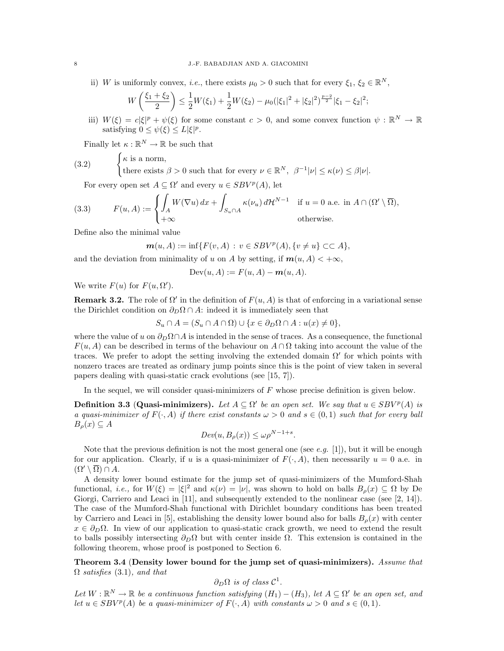ii) W is uniformly convex, *i.e.*, there exists  $\mu_0 > 0$  such that for every  $\xi_1, \xi_2 \in \mathbb{R}^N$ ,

$$
W\left(\frac{\xi_1+\xi_2}{2}\right) \leq \frac{1}{2}W(\xi_1) + \frac{1}{2}W(\xi_2) - \mu_0(|\xi_1|^2 + |\xi_2|^2)^{\frac{p-2}{2}}|\xi_1 - \xi_2|^2;
$$

iii)  $W(\xi) = c|\xi|^p + \psi(\xi)$  for some constant  $c > 0$ , and some convex function  $\psi : \mathbb{R}^N \to \mathbb{R}$ satisfying  $0 \leq \psi(\xi) \leq L|\xi|^p$ .

Finally let  $\kappa : \mathbb{R}^N \to \mathbb{R}$  be such that

(3.2) 
$$
\begin{cases} \kappa \text{ is a norm,} \\ \text{there exists } \beta > 0 \text{ such that for every } \nu \in \mathbb{R}^N, \ \beta^{-1}|\nu| \leq \kappa(\nu) \leq \beta|\nu|. \end{cases}
$$

For every open set  $A \subseteq \Omega'$  and every  $u \in SBV^p(A)$ , let

(3.3) 
$$
F(u, A) := \begin{cases} \int_A W(\nabla u) dx + \int_{S_u \cap A} \kappa(\nu_u) d\mathcal{H}^{N-1} & \text{if } u = 0 \text{ a.e. in } A \cap (\Omega' \setminus \overline{\Omega}), \\ +\infty & \text{otherwise.} \end{cases}
$$

Define also the minimal value

$$
\mathbf{m}(u, A) := \inf \{ F(v, A) : v \in SBV^p(A), \{ v \neq u \} \subset \subset A \},
$$

and the deviation from minimality of u on A by setting, if  $m(u, A) < +\infty$ ,

$$
Dev(u, A) := F(u, A) - m(u, A).
$$

We write  $F(u)$  for  $F(u, \Omega')$ .

**Remark 3.2.** The role of  $\Omega'$  in the definition of  $F(u, A)$  is that of enforcing in a variational sense the Dirichlet condition on  $\partial_D \Omega \cap A$ : indeed it is immediately seen that

$$
S_u \cap A = (S_u \cap A \cap \Omega) \cup \{x \in \partial_D \Omega \cap A : u(x) \neq 0\},\
$$

where the value of u on  $\partial_D \Omega \cap A$  is intended in the sense of traces. As a consequence, the functional  $F(u, A)$  can be described in terms of the behaviour on  $A \cap \Omega$  taking into account the value of the traces. We prefer to adopt the setting involving the extended domain  $\Omega'$  for which points with nonzero traces are treated as ordinary jump points since this is the point of view taken in several papers dealing with quasi-static crack evolutions (see [15, 7]).

In the sequel, we will consider quasi-minimizers of  $F$  whose precise definition is given below.

**Definition 3.3 (Quasi-minimizers).** Let  $A \subseteq \Omega'$  be an open set. We say that  $u \in SBV^p(A)$  is a quasi-minimizer of  $F(\cdot, A)$  if there exist constants  $\omega > 0$  and  $s \in (0,1)$  such that for every ball  $B_{\rho}(x) \subseteq A$ 

$$
Dev(u, B_{\rho}(x)) \le \omega \rho^{N-1+s}.
$$

Note that the previous definition is not the most general one (see e.g. [1]), but it will be enough for our application. Clearly, if u is a quasi-minimizer of  $F(\cdot, A)$ , then necessarily  $u = 0$  a.e. in  $(\Omega' \setminus \overline{\Omega}) \cap A$ .

A density lower bound estimate for the jump set of quasi-minimizers of the Mumford-Shah functional, *i.e.*, for  $W(\xi) = |\xi|^2$  and  $\kappa(\nu) = |\nu|$ , was shown to hold on balls  $B_\rho(x) \subseteq \Omega$  by De Giorgi, Carriero and Leaci in [11], and subsequently extended to the nonlinear case (see [2, 14]). The case of the Mumford-Shah functional with Dirichlet boundary conditions has been treated by Carriero and Leaci in [5], establishing the density lower bound also for balls  $B<sub>o</sub>(x)$  with center  $x \in \partial_D \Omega$ . In view of our application to quasi-static crack growth, we need to extend the result to balls possibly intersecting  $\partial_D\Omega$  but with center inside  $\Omega$ . This extension is contained in the following theorem, whose proof is postponed to Section 6.

Theorem 3.4 (Density lower bound for the jump set of quasi-minimizers). Assume that  $\Omega$  satisfies (3.1), and that

 $\partial_D\Omega$  is of class  $\mathcal{C}^1$ .

Let  $W:\mathbb{R}^N\to\mathbb{R}$  be a continuous function satisfying  $(H_1)-(H_3)$ , let  $A\subseteq\Omega'$  be an open set, and let  $u \in SBV^p(A)$  be a quasi-minimizer of  $F(\cdot, A)$  with constants  $\omega > 0$  and  $s \in (0, 1)$ .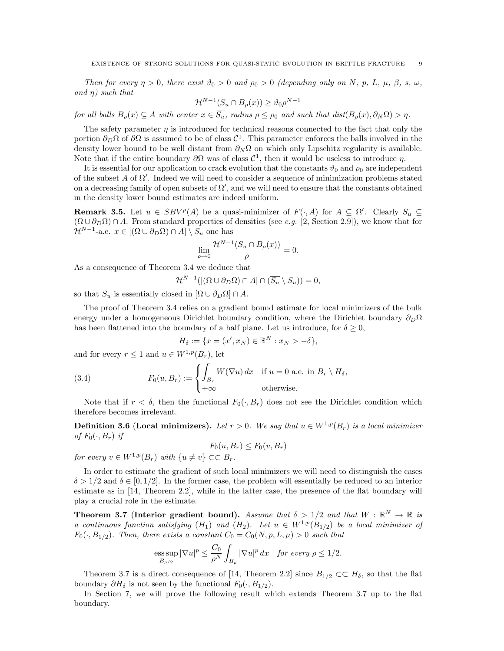Then for every  $\eta > 0$ , there exist  $\vartheta_0 > 0$  and  $\rho_0 > 0$  (depending only on N, p, L,  $\mu$ ,  $\beta$ , s,  $\omega$ , and  $\eta$ ) such that

$$
\mathcal{H}^{N-1}(S_u \cap B_{\rho}(x)) \ge \vartheta_0 \rho^{N-1}
$$

for all balls  $B_{\rho}(x) \subseteq A$  with center  $x \in \overline{S_u}$ , radius  $\rho \leq \rho_0$  and such that  $dist(B_{\rho}(x), \partial_N \Omega) > \eta$ .

The safety parameter  $\eta$  is introduced for technical reasons connected to the fact that only the portion  $\partial_D\Omega$  of  $\partial\Omega$  is assumed to be of class  $\mathcal{C}^1$ . This parameter enforces the balls involved in the density lower bound to be well distant from  $\partial_N \Omega$  on which only Lipschitz regularity is available. Note that if the entire boundary  $\partial\Omega$  was of class  $\mathcal{C}^1$ , then it would be useless to introduce  $\eta$ .

It is essential for our application to crack evolution that the constants  $\vartheta_0$  and  $\rho_0$  are independent of the subset  $A$  of  $\Omega'$ . Indeed we will need to consider a sequence of minimization problems stated on a decreasing family of open subsets of  $\Omega'$ , and we will need to ensure that the constants obtained in the density lower bound estimates are indeed uniform.

**Remark 3.5.** Let  $u \in SBV^p(A)$  be a quasi-minimizer of  $F(\cdot, A)$  for  $A \subseteq \Omega'$ . Clearly  $S_u \subseteq$  $(\Omega \cup \partial_D \Omega) \cap A$ . From standard properties of densities (see *e.g.* [2, Section 2.9]), we know that for  $\mathcal{H}^{N-1}$ -a.e.  $x \in [(\Omega \cup \partial_D \Omega) \cap A] \setminus S_u$  one has

$$
\lim_{\rho \to 0} \frac{\mathcal{H}^{N-1}(S_u \cap B_{\rho}(x))}{\rho} = 0.
$$

As a consequence of Theorem 3.4 we deduce that

$$
\mathcal{H}^{N-1}([(\Omega \cup \partial_D \Omega) \cap A] \cap (\overline{S_u} \setminus S_u)) = 0,
$$

so that  $S_u$  is essentially closed in  $[\Omega \cup \partial_D \Omega] \cap A$ .

The proof of Theorem 3.4 relies on a gradient bound estimate for local minimizers of the bulk energy under a homogeneous Dirichlet boundary condition, where the Dirichlet boundary  $\partial_D\Omega$ has been flattened into the boundary of a half plane. Let us introduce, for  $\delta \geq 0$ ,

$$
H_{\delta} := \{ x = (x', x_N) \in \mathbb{R}^N : x_N > -\delta \},
$$

and for every  $r \leq 1$  and  $u \in W^{1,p}(B_r)$ , let

(3.4) 
$$
F_0(u, B_r) := \begin{cases} \int_{B_r} W(\nabla u) dx & \text{if } u = 0 \text{ a.e. in } B_r \setminus H_\delta, \\ +\infty & \text{otherwise.} \end{cases}
$$

Note that if  $r < \delta$ , then the functional  $F_0(\cdot, B_r)$  does not see the Dirichlet condition which therefore becomes irrelevant.

**Definition 3.6 (Local minimizers).** Let  $r > 0$ . We say that  $u \in W^{1,p}(B_r)$  is a local minimizer of  $F_0(\cdot, B_r)$  if

$$
F_0(u, B_r) \le F_0(v, B_r)
$$

for every  $v \in W^{1,p}(B_r)$  with  $\{u \neq v\} \subset\subset B_r$ .

In order to estimate the gradient of such local minimizers we will need to distinguish the cases  $\delta > 1/2$  and  $\delta \in [0, 1/2]$ . In the former case, the problem will essentially be reduced to an interior estimate as in [14, Theorem 2.2], while in the latter case, the presence of the flat boundary will play a crucial role in the estimate.

Theorem 3.7 (Interior gradient bound). Assume that  $\delta > 1/2$  and that  $W : \mathbb{R}^N \to \mathbb{R}$  is a continuous function satisfying  $(H_1)$  and  $(H_2)$ . Let  $u \in W^{1,p}(B_{1/2})$  be a local minimizer of  $F_0(\cdot, B_{1/2})$ . Then, there exists a constant  $C_0 = C_0(N, p, L, \mu) > 0$  such that

$$
\text{ess}\sup_{B_{\rho/2}}|\nabla u|^p\leq \frac{C_0}{\rho^N}\int_{B_\rho}|\nabla u|^p\,dx\quad\textit{for every }\rho\leq 1/2.
$$

Theorem 3.7 is a direct consequence of [14, Theorem 2.2] since  $B_{1/2} \subset H_{\delta}$ , so that the flat boundary  $\partial H_\delta$  is not seen by the functional  $F_0(\cdot, B_{1/2})$ .

In Section 7, we will prove the following result which extends Theorem 3.7 up to the flat boundary.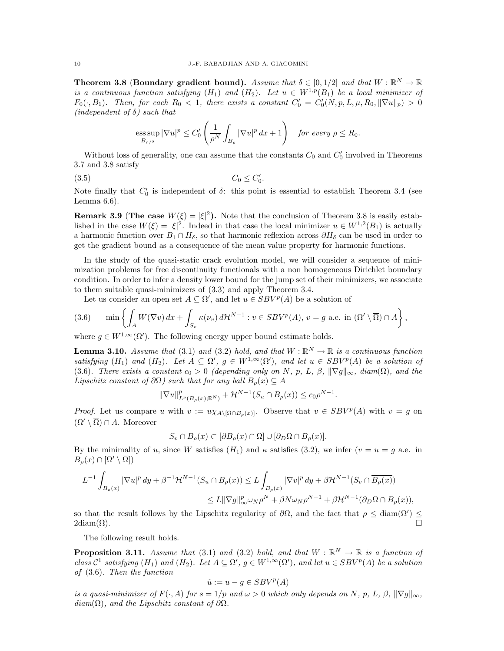Theorem 3.8 (Boundary gradient bound). Assume that  $\delta \in [0,1/2]$  and that  $W : \mathbb{R}^N \to \mathbb{R}$ is a continuous function satisfying  $(H_1)$  and  $(H_2)$ . Let  $u \in W^{1,p}(B_1)$  be a local minimizer of  $F_0(\cdot, B_1)$ . Then, for each  $R_0 < 1$ , there exists a constant  $C'_0 = C'_0(N, p, L, \mu, R_0, \|\nabla u\|_p) > 0$ (independent of  $\delta$ ) such that

$$
\underset{B_{\rho/2}}{\mathrm{ess}\sup} \,|\nabla u|^p \leq C_0' \left(\frac{1}{\rho^N} \int_{B_\rho} |\nabla u|^p \,dx + 1\right) \quad \text{for every } \rho \leq R_0.
$$

Without loss of generality, one can assume that the constants  $C_0$  and  $C'_0$  involved in Theorems 3.7 and 3.8 satisfy

(3.5)  $C_0 \le C'_0$ .

Note finally that  $C'_0$  is independent of  $\delta$ : this point is essential to establish Theorem 3.4 (see Lemma 6.6).

**Remark 3.9** (The case  $W(\xi) = |\xi|^2$ ). Note that the conclusion of Theorem 3.8 is easily established in the case  $W(\xi) = |\xi|^2$ . Indeed in that case the local minimizer  $u \in W^{1,2}(B_1)$  is actually a harmonic function over  $B_1 \cap H_\delta$ , so that harmonic reflexion across  $\partial H_\delta$  can be used in order to get the gradient bound as a consequence of the mean value property for harmonic functions.

In the study of the quasi-static crack evolution model, we will consider a sequence of minimization problems for free discontinuity functionals with a non homogeneous Dirichlet boundary condition. In order to infer a density lower bound for the jump set of their minimizers, we associate to them suitable quasi-minimizers of (3.3) and apply Theorem 3.4.

Let us consider an open set  $A \subseteq \Omega'$ , and let  $u \in SBV^p(A)$  be a solution of

(3.6) 
$$
\min\left\{\int_A W(\nabla v) dx + \int_{S_v} \kappa(v_v) d\mathcal{H}^{N-1} : v \in SBV^p(A), v = g \text{ a.e. in } (\Omega' \setminus \overline{\Omega}) \cap A\right\},\
$$

where  $g \in W^{1,\infty}(\Omega')$ . The following energy upper bound estimate holds.

**Lemma 3.10.** Assume that (3.1) and (3.2) hold, and that  $W : \mathbb{R}^N \to \mathbb{R}$  is a continuous function satisfying  $(H_1)$  and  $(H_2)$ . Let  $A \subseteq \Omega'$ ,  $g \in W^{1,\infty}(\Omega')$ , and let  $u \in SBV^p(A)$  be a solution of (3.6). There exists a constant  $c_0 > 0$  (depending only on N, p, L,  $\beta$ ,  $\|\nabla g\|_{\infty}$ , diam( $\Omega$ ), and the Lipschitz constant of  $\partial\Omega$ ) such that for any ball  $B_o(x) \subseteq A$ 

$$
\|\nabla u\|_{L^p(B_\rho(x); \mathbb{R}^N)}^p + \mathcal{H}^{N-1}(S_u \cap B_\rho(x)) \le c_0 \rho^{N-1}.
$$

*Proof.* Let us compare u with  $v := u \chi_{A \setminus [\Omega \cap B_{\rho}(x)]}$ . Observe that  $v \in SBV^p(A)$  with  $v = g$  on  $(\Omega' \setminus \overline{\Omega}) \cap A$ . Moreover

$$
S_v \cap \overline{B_\rho(x)} \subset [\partial B_\rho(x) \cap \Omega] \cup [\partial_D \Omega \cap B_\rho(x)].
$$

By the minimality of u, since W satisfies  $(H_1)$  and  $\kappa$  satisfies (3.2), we infer  $(v = u = g$  a.e. in  $B_{\rho}(x) \cap [\Omega' \setminus \overline{\Omega}]$ 

$$
L^{-1}\int_{B_{\rho}(x)}|\nabla u|^p\,dy+\beta^{-1}\mathcal{H}^{N-1}(S_u\cap B_{\rho}(x))\leq L\int_{B_{\rho}(x)}|\nabla v|^p\,dy+\beta\mathcal{H}^{N-1}(S_v\cap \overline{B_{\rho}(x)})\\ \leq L\|\nabla g\|^p_\infty\omega_N\rho^N+\beta N\omega_N\rho^{N-1}+\beta\mathcal{H}^{N-1}(\partial_D\Omega\cap B_{\rho}(x)),
$$

so that the result follows by the Lipschitz regularity of  $\partial\Omega$ , and the fact that  $\rho \leq \text{diam}(\Omega') \leq$  $2\text{diam}(\Omega)$ .

The following result holds.

**Proposition 3.11.** Assume that (3.1) and (3.2) hold, and that  $W : \mathbb{R}^N \to \mathbb{R}$  is a function of class  $\mathcal{C}^1$  satisfying  $(H_1)$  and  $(H_2)$ . Let  $A \subseteq \Omega'$ ,  $g \in W^{1,\infty}(\Omega')$ , and let  $u \in SBV^p(A)$  be a solution of (3.6). Then the function

$$
\hat{u} := u - g \in SBV^p(A)
$$

is a quasi-minimizer of  $F(\cdot, A)$  for  $s = 1/p$  and  $\omega > 0$  which only depends on N, p, L,  $\beta$ ,  $\|\nabla g\|_{\infty}$ ,  $diam(\Omega)$ , and the Lipschitz constant of  $\partial\Omega$ .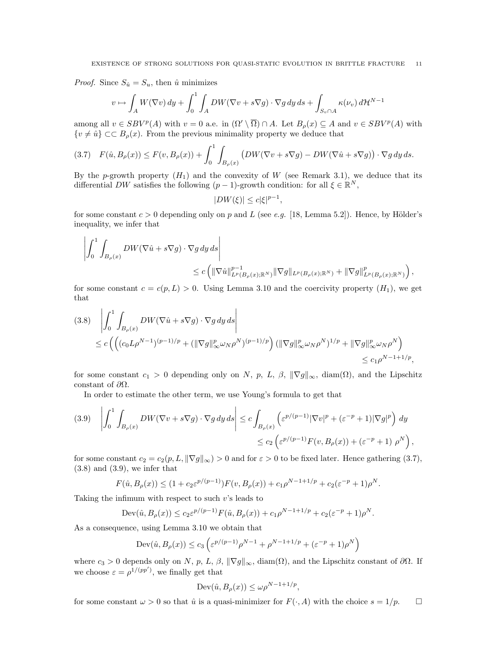*Proof.* Since  $S_{\hat{u}} = S_u$ , then  $\hat{u}$  minimizes

$$
v \mapsto \int_A W(\nabla v) \, dy + \int_0^1 \int_A DW(\nabla v + s\nabla g) \cdot \nabla g \, dy \, ds + \int_{S_v \cap A} \kappa(\nu_v) \, d\mathcal{H}^{N-1}
$$

among all  $v \in SBV^p(A)$  with  $v = 0$  a.e. in  $(\Omega' \setminus \overline{\Omega}) \cap A$ . Let  $B_\rho(x) \subseteq A$  and  $v \in SBV^p(A)$  with  $\{v \neq \hat{u}\}\subset\subset B_{\rho}(x)$ . From the previous minimality property we deduce that

$$
(3.7) \quad F(\hat{u}, B_{\rho}(x)) \le F(v, B_{\rho}(x)) + \int_0^1 \int_{B_{\rho}(x)} \left( DW(\nabla v + s\nabla g) - DW(\nabla \hat{u} + s\nabla g) \right) \cdot \nabla g \, dy \, ds.
$$

By the p-growth property  $(H_1)$  and the convexity of W (see Remark 3.1), we deduce that its differential DW satisfies the following  $(p-1)$ -growth condition: for all  $\xi \in \mathbb{R}^N$ ,

$$
|DW(\xi)| \le c|\xi|^{p-1},
$$

for some constant  $c > 0$  depending only on p and L (see e.g. [18, Lemma 5.2]). Hence, by Hölder's inequality, we infer that

$$
\begin{aligned} \left| \int_0^1 \int_{B_\rho(x)} DW(\nabla \hat u + s\nabla g) \cdot \nabla g \, dy \, ds \right| \\ &\qquad \le c \left( \| \nabla \hat u \|_{L^p(B_\rho(x);{\mathbb R}^N)}^{p-1} \| \nabla g \|_{L^p(B_\rho(x);{\mathbb R}^N)} + \| \nabla g \|_{L^p(B_\rho(x);{\mathbb R}^N)}^p \right), \end{aligned}
$$

for some constant  $c = c(p, L) > 0$ . Using Lemma 3.10 and the coercivity property  $(H_1)$ , we get that

$$
(3.8) \quad \left| \int_0^1 \int_{B_\rho(x)} DW(\nabla \hat{u} + s\nabla g) \cdot \nabla g \, dy \, ds \right|
$$
  

$$
\leq c \left( \left( (c_0 L \rho^{N-1})^{(p-1)/p} + (\|\nabla g\|_{\infty}^p \omega_N \rho^N)^{(p-1)/p} \right) (\|\nabla g\|_{\infty}^p \omega_N \rho^N)^{1/p} + \|\nabla g\|_{\infty}^p \omega_N \rho^N \right)
$$
  

$$
\leq c_1 \rho^{N-1+1/p},
$$

for some constant  $c_1 > 0$  depending only on N, p, L,  $\beta$ ,  $\|\nabla g\|_{\infty}$ , diam( $\Omega$ ), and the Lipschitz constant of  $\partial\Omega$ .

In order to estimate the other term, we use Young's formula to get that

$$
(3.9) \quad \left| \int_0^1 \int_{B_\rho(x)} DW(\nabla v + s\nabla g) \cdot \nabla g \, dy \, ds \right| \le c \int_{B_\rho(x)} \left( \varepsilon^{p/(p-1)} |\nabla v|^p + (\varepsilon^{-p} + 1) |\nabla g|^p \right) \, dy
$$
  

$$
\le c_2 \left( \varepsilon^{p/(p-1)} F(v, B_\rho(x)) + (\varepsilon^{-p} + 1) \rho^N \right),
$$

for some constant  $c_2 = c_2(p, L, ||\nabla g||_{\infty}) > 0$  and for  $\varepsilon > 0$  to be fixed later. Hence gathering (3.7),  $(3.8)$  and  $(3.9)$ , we infer that

$$
F(\hat{u}, B_{\rho}(x)) \le (1 + c_2 \varepsilon^{p/(p-1)}) F(v, B_{\rho}(x)) + c_1 \rho^{N-1+1/p} + c_2 (\varepsilon^{-p} + 1) \rho^N.
$$

Taking the infimum with respect to such v's leads to

$$
Dev(\hat{u}, B_{\rho}(x)) \le c_2 \varepsilon^{p/(p-1)} F(\hat{u}, B_{\rho}(x)) + c_1 \rho^{N-1+1/p} + c_2 (\varepsilon^{-p} + 1) \rho^N.
$$

As a consequence, using Lemma 3.10 we obtain that

$$
\operatorname{Dev}(\hat{u}, B_{\rho}(x)) \le c_3 \left( \varepsilon^{p/(p-1)} \rho^{N-1} + \rho^{N-1+1/p} + (\varepsilon^{-p} + 1) \rho^N \right)
$$

where  $c_3 > 0$  depends only on N, p, L,  $\beta$ ,  $\|\nabla g\|_{\infty}$ , diam( $\Omega$ ), and the Lipschitz constant of  $\partial\Omega$ . If we choose  $\varepsilon = \rho^{1/(pp')}$ , we finally get that

$$
Dev(\hat{u}, B_{\rho}(x)) \le \omega \rho^{N-1+1/p},
$$

for some constant  $\omega > 0$  so that  $\hat{u}$  is a quasi-minimizer for  $F(\cdot, A)$  with the choice  $s = 1/p$ .  $\Box$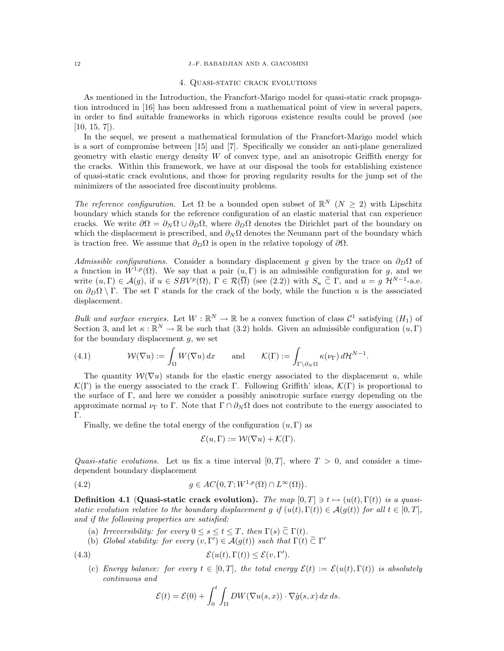#### 12 J.-F. BABADJIAN AND A. GIACOMINI

#### 4. Quasi-static crack evolutions

As mentioned in the Introduction, the Francfort-Marigo model for quasi-static crack propagation introduced in [16] has been addressed from a mathematical point of view in several papers, in order to find suitable frameworks in which rigorous existence results could be proved (see  $[10, 15, 7]$ .

In the sequel, we present a mathematical formulation of the Francfort-Marigo model which is a sort of compromise between [15] and [7]. Specifically we consider an anti-plane generalized geometry with elastic energy density W of convex type, and an anisotropic Griffith energy for the cracks. Within this framework, we have at our disposal the tools for establishing existence of quasi-static crack evolutions, and those for proving regularity results for the jump set of the minimizers of the associated free discontinuity problems.

The reference configuration. Let  $\Omega$  be a bounded open subset of  $\mathbb{R}^N$   $(N \geq 2)$  with Lipschitz boundary which stands for the reference configuration of an elastic material that can experience cracks. We write  $\partial\Omega = \partial_N\Omega \cup \partial_D\Omega$ , where  $\partial_D\Omega$  denotes the Dirichlet part of the boundary on which the displacement is prescribed, and  $\partial_N \Omega$  denotes the Neumann part of the boundary which is traction free. We assume that  $\partial_D\Omega$  is open in the relative topology of  $\partial\Omega$ .

Admissible configurations. Consider a boundary displacement g given by the trace on  $\partial_D\Omega$  of a function in  $W^{1,p}(\Omega)$ . We say that a pair  $(u, \Gamma)$  is an admissible configuration for g, and we write  $(u, \Gamma) \in \mathcal{A}(g)$ , if  $u \in SBV^p(\Omega)$ ,  $\Gamma \in \mathcal{R}(\overline{\Omega})$  (see (2.2)) with  $S_u \subset \Gamma$ , and  $u = g \mathcal{H}^{N-1}$ -a.e. on  $\partial_D\Omega \setminus \Gamma$ . The set Γ stands for the crack of the body, while the function u is the associated displacement.

Bulk and surface energies. Let  $W : \mathbb{R}^N \to \mathbb{R}$  be a convex function of class  $\mathcal{C}^1$  satisfying  $(H_1)$  of Section 3, and let  $\kappa : \mathbb{R}^N \to \mathbb{R}$  be such that (3.2) holds. Given an admissible configuration  $(u, \Gamma)$ for the boundary displacement  $q$ , we set

.

(4.1) 
$$
\mathcal{W}(\nabla u) := \int_{\Omega} W(\nabla u) dx \quad \text{and} \quad \mathcal{K}(\Gamma) := \int_{\Gamma \backslash \partial_N \Omega} \kappa(\nu_{\Gamma}) d\mathcal{H}^{N-1}
$$

The quantity  $W(\nabla u)$  stands for the elastic energy associated to the displacement u, while  $\mathcal{K}(\Gamma)$  is the energy associated to the crack Γ. Following Griffith' ideas,  $\mathcal{K}(\Gamma)$  is proportional to the surface of Γ, and here we consider a possibly anisotropic surface energy depending on the approximate normal  $\nu_{\Gamma}$  to  $\Gamma$ . Note that  $\Gamma \cap \partial_N \Omega$  does not contribute to the energy associated to Γ.

Finally, we define the total energy of the configuration  $(u, \Gamma)$  as

$$
\mathcal{E}(u, \Gamma) := \mathcal{W}(\nabla u) + \mathcal{K}(\Gamma).
$$

Quasi-static evolutions. Let us fix a time interval  $[0, T]$ , where  $T > 0$ , and consider a timedependent boundary displacement

(4.2) 
$$
g \in AC(0,T;W^{1,p}(\Omega) \cap L^{\infty}(\Omega)).
$$

**Definition 4.1 (Quasi-static crack evolution).** The map  $[0, T] \ni t \mapsto (u(t), \Gamma(t))$  is a quasistatic evolution relative to the boundary displacement g if  $(u(t), \Gamma(t)) \in \mathcal{A}(g(t))$  for all  $t \in [0, T]$ , and if the following properties are satisfied:

- (a) Irreversibility: for every  $0 \leq s \leq t \leq T$ , then  $\Gamma(s) \subset \Gamma(t)$ .
- (b) Global stability: for every  $(v, \Gamma') \in \mathcal{A}(g(t))$  such that  $\Gamma(t) \tilde{\subset} \Gamma'$

(4.3) 
$$
\mathcal{E}(u(t),\Gamma(t)) \leq \mathcal{E}(v,\Gamma').
$$

(c) Energy balance: for every  $t \in [0,T]$ , the total energy  $\mathcal{E}(t) := \mathcal{E}(u(t), \Gamma(t))$  is absolutely continuous and

$$
\mathcal{E}(t) = \mathcal{E}(0) + \int_0^t \int_{\Omega} DW(\nabla u(s, x)) \cdot \nabla \dot{g}(s, x) \, dx \, ds.
$$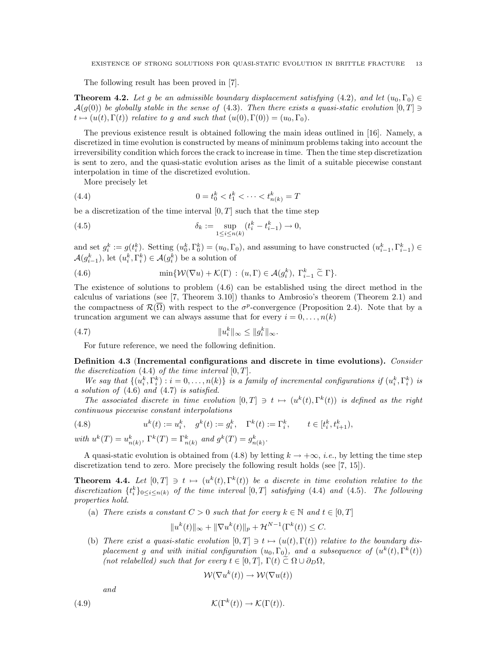The following result has been proved in [7].

**Theorem 4.2.** Let g be an admissible boundary displacement satisfying (4.2), and let  $(u_0, \Gamma_0) \in$  $\mathcal{A}(g(0))$  be globally stable in the sense of (4.3). Then there exists a quasi-static evolution  $[0,T] \ni$  $t \mapsto (u(t), \Gamma(t))$  relative to g and such that  $(u(0), \Gamma(0)) = (u_0, \Gamma_0).$ 

The previous existence result is obtained following the main ideas outlined in [16]. Namely, a discretized in time evolution is constructed by means of minimum problems taking into account the irreversibility condition which forces the crack to increase in time. Then the time step discretization is sent to zero, and the quasi-static evolution arises as the limit of a suitable piecewise constant interpolation in time of the discretized evolution.

More precisely let

(4.4) 
$$
0 = t_0^k < t_1^k < \dots < t_{n(k)}^k = T
$$

be a discretization of the time interval  $[0, T]$  such that the time step

(4.5) 
$$
\delta_k := \sup_{1 \le i \le n(k)} (t_i^k - t_{i-1}^k) \to 0,
$$

and set  $g_i^k := g(t_i^k)$ . Setting  $(u_0^k, \Gamma_0^k) = (u_0, \Gamma_0)$ , and assuming to have constructed  $(u_{i-1}^k, \Gamma_{i-1}^k) \in$  $\mathcal{A}(g_{i-1}^k)$ , let  $(u_i^k, \Gamma_i^k) \in \mathcal{A}(g_i^k)$  be a solution of

(4.6) 
$$
\min \{ \mathcal{W}(\nabla u) + \mathcal{K}(\Gamma) : (u, \Gamma) \in \mathcal{A}(g_i^k), \ \Gamma_{i-1}^k \widetilde{\subset} \ \Gamma \}.
$$

The existence of solutions to problem (4.6) can be established using the direct method in the calculus of variations (see [7, Theorem 3.10]) thanks to Ambrosio's theorem (Theorem 2.1) and the compactness of  $\mathcal{R}(\overline{\Omega})$  with respect to the  $\sigma^p$ -convergence (Proposition 2.4). Note that by a truncation argument we can always assume that for every  $i = 0, \ldots, n(k)$ 

(4.7) ku k <sup>i</sup> k<sup>∞</sup> ≤ kg k <sup>i</sup> k∞.

For future reference, we need the following definition.

Definition 4.3 (Incremental configurations and discrete in time evolutions). Consider the discretization  $(4.4)$  of the time interval  $[0, T]$ .

We say that  $\{(u_i^k, \Gamma_i^k) : i = 0, \ldots, n(k)\}\$ is a family of incremental configurations if  $(u_i^k, \Gamma_i^k)$  is a solution of (4.6) and (4.7) is satisfied.

The associated discrete in time evolution  $[0,T] \ni t \mapsto (u^k(t), \Gamma^k(t))$  is defined as the right continuous piecewise constant interpolations

(4.8) 
$$
u^{k}(t) := u_{i}^{k}, \quad g^{k}(t) := g_{i}^{k}, \quad \Gamma^{k}(t) := \Gamma_{i}^{k}, \quad t \in [t_{i}^{k}, t_{i+1}^{k}),
$$
  
with 
$$
u^{k}(T) = u_{n(k)}^{k}, \Gamma^{k}(T) = \Gamma_{n(k)}^{k} \text{ and } g^{k}(T) = g_{n(k)}^{k}.
$$

A quasi-static evolution is obtained from (4.8) by letting  $k \to +\infty$ , *i.e.*, by letting the time step discretization tend to zero. More precisely the following result holds (see [7, 15]).

**Theorem 4.4.** Let  $[0,T] \ni t \mapsto (u^k(t), \Gamma^k(t))$  be a discrete in time evolution relative to the discretization  $\{t_i^k\}_{0\leq i\leq n(k)}$  of the time interval  $[0,T]$  satisfying (4.4) and (4.5). The following properties hold.

(a) There exists a constant  $C > 0$  such that for every  $k \in \mathbb{N}$  and  $t \in [0, T]$ 

$$
||u^k(t)||_{\infty} + ||\nabla u^k(t)||_p + \mathcal{H}^{N-1}(\Gamma^k(t)) \leq C.
$$

(b) There exist a quasi-static evolution  $[0, T] \ni t \mapsto (u(t), \Gamma(t))$  relative to the boundary displacement g and with initial configuration  $(u_0, \Gamma_0)$ , and a subsequence of  $(u^k(t), \Gamma^k(t))$ (not relabelled) such that for every  $t \in [0, T]$ ,  $\Gamma(t) \tilde{\subset} \Omega \cup \partial_D \Omega$ ,

$$
\mathcal{W}(\nabla u^k(t)) \to \mathcal{W}(\nabla u(t))
$$

and

(4.9) 
$$
\mathcal{K}(\Gamma^k(t)) \to \mathcal{K}(\Gamma(t)).
$$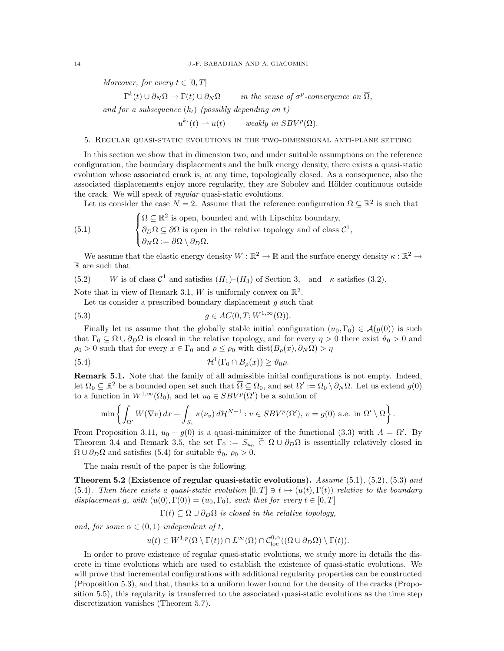Moreover, for every  $t \in [0, T]$ 

 $\Gamma^{k}(t) \cup \partial_{N}\Omega \to \Gamma(t) \cup \partial_{N}\Omega$  in the sense of  $\sigma$  $^{p}$ -convergence on  $\overline{\Omega}$ ,

and for a subsequence  $(k_t)$  (possibly depending on t)

 $u^{k_t}(t) \rightharpoonup u(t)$  weakly in  $SBV^p(\Omega)$ .

# 5. Regular quasi-static evolutions in the two-dimensional anti-plane setting

In this section we show that in dimension two, and under suitable assumptions on the reference configuration, the boundary displacements and the bulk energy density, there exists a quasi-static evolution whose associated crack is, at any time, topologically closed. As a consequence, also the associated displacements enjoy more regularity, they are Sobolev and Hölder continuous outside the crack. We will speak of *regular* quasi-static evolutions.

Let us consider the case  $N = 2$ . Assume that the reference configuration  $\Omega \subseteq \mathbb{R}^2$  is such that

(5.1) 
$$
\begin{cases} \Omega \subseteq \mathbb{R}^2 \text{ is open, bounded and with Lipschitz boundary,} \\ \partial_D \Omega \subseteq \partial \Omega \text{ is open in the relative topology and of class } C^1, \\ \partial_N \Omega := \partial \Omega \setminus \partial_D \Omega. \end{cases}
$$

We assume that the elastic energy density  $W:\mathbb{R}^2\to\mathbb{R}$  and the surface energy density  $\kappa:\mathbb{R}^2\to\mathbb{R}$ R are such that

(5.2) W is of class  $C^1$  and satisfies  $(H_1)-(H_3)$  of Section 3, and  $\kappa$  satisfies (3.2).

Note that in view of Remark 3.1, W is uniformly convex on  $\mathbb{R}^2$ .

Let us consider a prescribed boundary displacement  $g$  such that

(5.3) 
$$
g \in AC(0,T;W^{1,\infty}(\Omega)).
$$

Finally let us assume that the globally stable initial configuration  $(u_0, \Gamma_0) \in \mathcal{A}(g(0))$  is such that  $\Gamma_0 \subseteq \Omega \cup \partial_D \Omega$  is closed in the relative topology, and for every  $\eta > 0$  there exist  $\vartheta_0 > 0$  and  $\rho_0 > 0$  such that for every  $x \in \Gamma_0$  and  $\rho \leq \rho_0$  with  $dist(B_\rho(x), \partial_N \Omega) > \eta$ 

(5.4) 
$$
\mathcal{H}^1(\Gamma_0 \cap B_{\rho}(x)) \geq \vartheta_0 \rho.
$$

Remark 5.1. Note that the family of all admissible initial configurations is not empty. Indeed, let  $\Omega_0 \subseteq \mathbb{R}^2$  be a bounded open set such that  $\overline{\Omega} \subseteq \Omega_0$ , and set  $\Omega' := \Omega_0 \setminus \partial_N \Omega$ . Let us extend  $g(0)$ to a function in  $W^{1,\infty}(\Omega_0)$ , and let  $u_0 \in SBV^p(\Omega')$  be a solution of

$$
\min\left\{\int_{\Omega'} W(\nabla v) dx + \int_{S_v} \kappa(v_v) d\mathcal{H}^{N-1} : v \in SBV^p(\Omega'), v = g(0) \text{ a.e. in } \Omega' \setminus \overline{\Omega}\right\}.
$$

From Proposition 3.11,  $u_0 - g(0)$  is a quasi-minimizer of the functional (3.3) with  $A = \Omega'$ . By Theorem 3.4 and Remark 3.5, the set  $\Gamma_0 := S_{u_0} \tilde{\subset} \Omega \cup \partial_D \Omega$  is essentially relatively closed in  $\Omega \cup \partial_D \Omega$  and satisfies (5.4) for suitable  $\vartheta_0$ ,  $\rho_0 > 0$ .

The main result of the paper is the following.

Theorem 5.2 (Existence of regular quasi-static evolutions). Assume  $(5.1)$ ,  $(5.2)$ ,  $(5.3)$  and (5.4). Then there exists a quasi-static evolution  $[0,T] \ni t \mapsto (u(t), \Gamma(t))$  relative to the boundary displacement g, with  $(u(0), \Gamma(0)) = (u_0, \Gamma_0)$ , such that for every  $t \in [0, T]$ 

 $\Gamma(t) \subseteq \Omega \cup \partial_{\mathcal{D}}\Omega$  is closed in the relative topology,

and, for some  $\alpha \in (0,1)$  independent of t,

$$
u(t) \in W^{1,p}(\Omega \setminus \Gamma(t)) \cap L^{\infty}(\Omega) \cap C^{0,\alpha}_{\text{loc}}((\Omega \cup \partial_D \Omega) \setminus \Gamma(t)).
$$

In order to prove existence of regular quasi-static evolutions, we study more in details the discrete in time evolutions which are used to establish the existence of quasi-static evolutions. We will prove that incremental configurations with additional regularity properties can be constructed (Proposition 5.3), and that, thanks to a uniform lower bound for the density of the cracks (Proposition 5.5), this regularity is transferred to the associated quasi-static evolutions as the time step discretization vanishes (Theorem 5.7).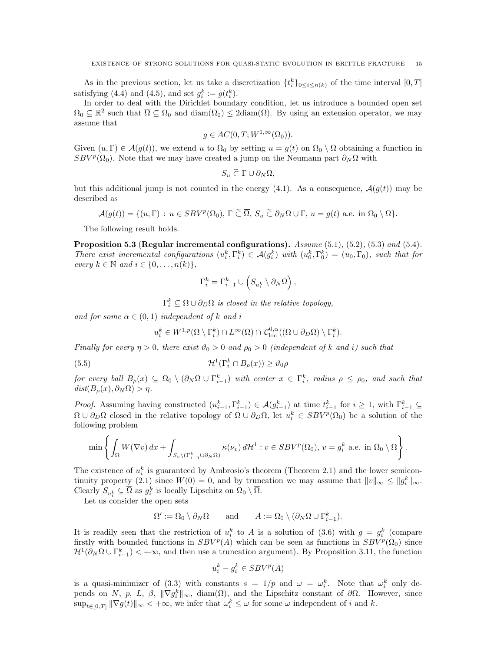As in the previous section, let us take a discretization  $\{t_i^k\}_{0 \leq i \leq n(k)}$  of the time interval  $[0, T]$ satisfying (4.4) and (4.5), and set  $g_i^k := g(t_i^k)$ .

In order to deal with the Dirichlet boundary condition, let us introduce a bounded open set  $\Omega_0 \subseteq \mathbb{R}^2$  such that  $\overline{\Omega} \subseteq \Omega_0$  and  $\text{diam}(\Omega_0) \leq 2\text{diam}(\Omega)$ . By using an extension operator, we may assume that

$$
g \in AC(0,T;W^{1,\infty}(\Omega_0)).
$$

Given  $(u, \Gamma) \in \mathcal{A}(g(t))$ , we extend u to  $\Omega_0$  by setting  $u = g(t)$  on  $\Omega_0 \setminus \Omega$  obtaining a function in  $SBV^p(\Omega_0)$ . Note that we may have created a jump on the Neumann part  $\partial_N\Omega$  with

$$
S_u \widetilde{\subset} \Gamma \cup \partial_N \Omega,
$$

but this additional jump is not counted in the energy (4.1). As a consequence,  $\mathcal{A}(q(t))$  may be described as

$$
\mathcal{A}(g(t)) = \{ (u, \Gamma) : u \in SBV^p(\Omega_0), \Gamma \widetilde{\subset} \overline{\Omega}, S_u \widetilde{\subset} \partial_N \Omega \cup \Gamma, u = g(t) \text{ a.e. in } \Omega_0 \setminus \Omega \}.
$$

The following result holds.

Proposition 5.3 (Regular incremental configurations).  $Assume (5.1), (5.2), (5.3)$  and  $(5.4)$ . There exist incremental configurations  $(u_i^k, \Gamma_i^k) \in \mathcal{A}(g_i^k)$  with  $(u_0^k, \Gamma_0^k) = (u_0, \Gamma_0)$ , such that for every  $k \in \mathbb{N}$  and  $i \in \{0, \ldots, n(k)\},\$ 

$$
\Gamma_i^k = \Gamma_{i-1}^k \cup \left( \overline{S_{u_i^k}} \setminus \partial_N \Omega \right),
$$

 $\Gamma_i^k \subseteq \Omega \cup \partial_D \Omega$  is closed in the relative topology,

and for some  $\alpha \in (0,1)$  independent of k and i

$$
u_i^k \in W^{1,p}(\Omega \setminus \Gamma_i^k) \cap L^{\infty}(\Omega) \cap C_{\text{loc}}^{0,\alpha}((\Omega \cup \partial_D \Omega) \setminus \Gamma_i^k).
$$

Finally for every  $\eta > 0$ , there exist  $\vartheta_0 > 0$  and  $\rho_0 > 0$  (independent of k and i) such that

(5.5) 
$$
\mathcal{H}^1(\Gamma_i^k \cap B_{\rho}(x)) \ge \vartheta_0 \rho
$$

for every ball  $B_\rho(x) \subseteq \Omega_0 \setminus (\partial_N \Omega \cup \Gamma_{i-1}^k)$  with center  $x \in \Gamma_i^k$ , radius  $\rho \le \rho_0$ , and such that  $dist(B_\rho(x), \partial_N \Omega) > \eta.$ 

*Proof.* Assuming having constructed  $(u_{i-1}^k, \Gamma_{i-1}^k) \in \mathcal{A}(g_{i-1}^k)$  at time  $t_{i-1}^k$  for  $i \geq 1$ , with  $\Gamma_{i-1}^k \subseteq$  $\Omega \cup \partial_D \Omega$  closed in the relative topology of  $\Omega \cup \partial_D \Omega$ , let  $u_i^k \in SBV^p(\Omega_0)$  be a solution of the following problem

$$
\min\left\{\int_{\Omega} W(\nabla v) dx + \int_{S_v \setminus (\Gamma^k_{i-1} \cup \partial_N \Omega)} \kappa(\nu_v) d\mathcal{H}^1 : v \in SBV^p(\Omega_0), v = g_i^k \text{ a.e. in } \Omega_0 \setminus \Omega\right\}.
$$

The existence of  $u_i^k$  is guaranteed by Ambrosio's theorem (Theorem 2.1) and the lower semicontinuity property (2.1) since  $W(0) = 0$ , and by truncation we may assume that  $||v||_{\infty} \le ||g_i^k||_{\infty}$ . Clearly  $S_{u_i^k} \subseteq \overline{\Omega}$  as  $g_i^k$  is locally Lipschitz on  $\Omega_0 \setminus \overline{\Omega}$ .

Let us consider the open sets

 $\Omega' := \Omega_0 \setminus \partial_N \Omega$  and  $A := \Omega_0 \setminus (\partial_N \Omega \cup \Gamma_{i-1}^k)$ .

It is readily seen that the restriction of  $u_i^k$  to A is a solution of (3.6) with  $g = g_i^k$  (compare firstly with bounded functions in  $SBV^p(A)$  which can be seen as functions in  $SBV^p(\Omega_0)$  since  $\mathcal{H}^1(\partial_N \Omega \cup \Gamma_{i-1}^k) < +\infty$ , and then use a truncation argument). By Proposition 3.11, the function

$$
u_i^k - g_i^k \in SBV^p(A)
$$

is a quasi-minimizer of (3.3) with constants  $s = 1/p$  and  $\omega = \omega_i^k$ . Note that  $\omega_i^k$  only depends on N, p, L,  $\beta$ ,  $\|\nabla g_i^k\|_{\infty}$ , diam( $\Omega$ ), and the Lipschitz constant of  $\partial\Omega$ . However, since  $\sup_{t\in[0,T]}\|\nabla g(t)\|_{\infty}<+\infty$ , we infer that  $\omega_i^k\leq\omega$  for some  $\omega$  independent of i and k.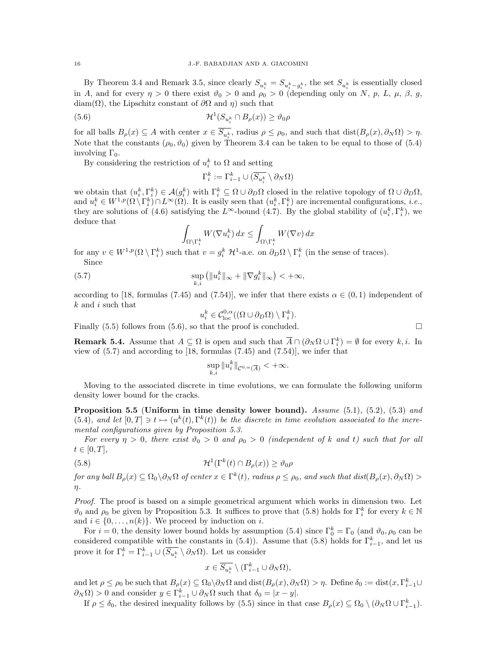By Theorem 3.4 and Remark 3.5, since clearly  $S_{u_i^k} = S_{u_i^k - g_i^k}$ , the set  $S_{u_i^k}$  is essentially closed in A, and for every  $\eta > 0$  there exist  $\vartheta_0 > 0$  and  $\rho_0 > 0$  (depending only on N, p, L,  $\mu$ ,  $\beta$ , g, diam( $\Omega$ ), the Lipschitz constant of  $\partial\Omega$  and  $\eta$ ) such that

(5.6) 
$$
\mathcal{H}^1(S_{u_i^k} \cap B_{\rho}(x)) \ge \vartheta_0 \rho
$$

for all balls  $B_{\rho}(x) \subseteq A$  with center  $x \in \overline{S_{u_i^k}}$ , radius  $\rho \leq \rho_0$ , and such that  $dist(B_{\rho}(x), \partial_N \Omega) > \eta$ . Note that the constants  $(\rho_0, \vartheta_0)$  given by Theorem 3.4 can be taken to be equal to those of (5.4) involving  $\Gamma_0$ .

By considering the restriction of  $u_i^k$  to  $\Omega$  and setting

$$
\Gamma_i^k:=\Gamma_{i-1}^k\cup(\overline{S_{u_i^k}}\setminus\partial_N\Omega)
$$

we obtain that  $(u_i^k, \Gamma_i^k) \in \mathcal{A}(g_i^k)$  with  $\Gamma_i^k \subseteq \Omega \cup \partial_D \Omega$  closed in the relative topology of  $\Omega \cup \partial_D \Omega$ , and  $u_i^k \in W^{1,p}(\Omega \setminus \Gamma_i^k) \cap L^{\infty}(\Omega)$ . It is easily seen that  $(u_i^k, \Gamma_i^k)$  are incremental configurations, *i.e.*, they are solutions of (4.6) satisfying the L<sup>∞</sup>-bound (4.7). By the global stability of  $(u_i^k, \Gamma_i^k)$ , we deduce that

$$
\int_{\Omega\setminus\Gamma_i^k} W(\nabla u_i^k) \, dx \le \int_{\Omega\setminus\Gamma_i^k} W(\nabla v) \, dx
$$

for any  $v \in W^{1,p}(\Omega \setminus \Gamma_i^k)$  such that  $v = g_i^k \mathcal{H}^1$ -a.e. on  $\partial_D \Omega \setminus \Gamma_i^k$  (in the sense of traces). Since

(5.7) 
$$
\sup_{k,i} (||u_i^k||_{\infty} + ||\nabla g_i^k||_{\infty}) < +\infty,
$$

according to [18, formulas (7.45) and (7.54)], we infer that there exists  $\alpha \in (0,1)$  independent of k and i such that

$$
u_i^k \in \mathcal{C}_{\text{loc}}^{0,\alpha}((\Omega \cup \partial_D \Omega) \setminus \Gamma_i^k).
$$

Finally  $(5.5)$  follows from  $(5.6)$ , so that the proof is concluded.

**Remark 5.4.** Assume that  $A \subseteq \Omega$  is open and such that  $\overline{A} \cap (\partial_N \Omega \cup \Gamma_i^k) = \emptyset$  for every k, i. In view of  $(5.7)$  and according to [18, formulas  $(7.45)$  and  $(7.54)$ ], we infer that

$$
\sup_{k,i} \|u_i^k\|_{\mathcal{C}^{0,\alpha}(\overline{A})} < +\infty.
$$

Moving to the associated discrete in time evolutions, we can formulate the following uniform density lower bound for the cracks.

Proposition 5.5 (Uniform in time density lower bound). Assume  $(5.1)$ ,  $(5.2)$ ,  $(5.3)$  and (5.4), and let  $[0,T] \ni t \mapsto (u^k(t), \Gamma^k(t))$  be the discrete in time evolution associated to the incremental configurations given by Proposition 5.3.

For every  $\eta > 0$ , there exist  $\vartheta_0 > 0$  and  $\rho_0 > 0$  (independent of k and t) such that for all  $t \in [0, T],$ 

(5.8) 
$$
\mathcal{H}^1(\Gamma^k(t) \cap B_{\rho}(x)) \ge \vartheta_0 \rho
$$

for any ball  $B_\rho(x) \subseteq \Omega_0 \setminus \partial_N \Omega$  of center  $x \in \Gamma^k(t)$ , radius  $\rho \le \rho_0$ , and such that  $dist(B_\rho(x), \partial_N \Omega) >$ η.

Proof. The proof is based on a simple geometrical argument which works in dimension two. Let  $\vartheta_0$  and  $\rho_0$  be given by Proposition 5.3. It suffices to prove that (5.8) holds for  $\Gamma_i^k$  for every  $k \in \mathbb{N}$ and  $i \in \{0, \ldots, n(k)\}$ . We proceed by induction on i.

For  $i = 0$ , the density lower bound holds by assumption (5.4) since  $\Gamma_0^k = \Gamma_0$  (and  $\vartheta_0$ ,  $\rho_0$  can be considered compatible with the constants in (5.4)). Assume that (5.8) holds for  $\Gamma_{i-1}^k$ , and let us prove it for  $\Gamma_i^k = \Gamma_{i-1}^k \cup (\overline{S_{u_i^k}} \setminus \partial_N \Omega)$ . Let us consider

$$
x \in \overline{S_{u_i^k}} \setminus (\Gamma_{i-1}^k \cup \partial_N \Omega),
$$

and let  $\rho \leq \rho_0$  be such that  $B_\rho(x) \subseteq \Omega_0 \setminus \partial_N \Omega$  and  $dist(B_\rho(x), \partial_N \Omega) > \eta$ . Define  $\delta_0 := dist(x, \Gamma_{i-1}^k \cup$  $\partial_N \Omega$  > 0 and consider  $y \in \Gamma_{i-1}^k \cup \partial_N \Omega$  such that  $\delta_0 = |x - y|$ .

If  $\rho \leq \delta_0$ , the desired inequality follows by (5.5) since in that case  $B_\rho(x) \subseteq \Omega_0 \setminus (\partial_N \Omega \cup \Gamma_{i-1}^k)$ .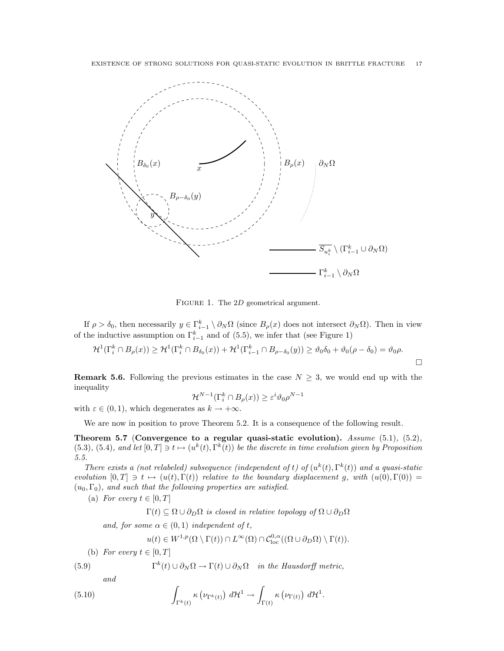

FIGURE 1. The 2D geometrical argument.

If  $\rho > \delta_0$ , then necessarily  $y \in \Gamma_{i-1}^k \setminus \partial_N \Omega$  (since  $B_\rho(x)$  does not intersect  $\partial_N \Omega$ ). Then in view of the inductive assumption on  $\Gamma_{i-1}^k$  and of (5.5), we infer that (see Figure 1)

$$
\mathcal{H}^1(\Gamma_i^k \cap B_{\rho}(x)) \ge \mathcal{H}^1(\Gamma_i^k \cap B_{\delta_0}(x)) + \mathcal{H}^1(\Gamma_{i-1}^k \cap B_{\rho-\delta_0}(y)) \ge \vartheta_0\delta_0 + \vartheta_0(\rho-\delta_0) = \vartheta_0\rho.
$$

 $\Box$ 

**Remark 5.6.** Following the previous estimates in the case  $N \geq 3$ , we would end up with the inequality

$$
\mathcal{H}^{N-1}(\Gamma_i^k \cap B_{\rho}(x)) \ge \varepsilon^i \vartheta_0 \rho^{N-1}
$$

with  $\varepsilon \in (0, 1)$ , which degenerates as  $k \to +\infty$ .

We are now in position to prove Theorem 5.2. It is a consequence of the following result.

Theorem 5.7 (Convergence to a regular quasi-static evolution). Assume  $(5.1)$ ,  $(5.2)$ ,  $(5.3), (5.4),$  and let  $[0,T] \ni t \mapsto (u^k(t), \Gamma^k(t))$  be the discrete in time evolution given by Proposition 5.5.

There exists a (not relabeled) subsequence (independent of t) of  $(u^k(t), \Gamma^k(t))$  and a quasi-static evolution  $[0, T] \ni t \mapsto (u(t), \Gamma(t))$  relative to the boundary displacement g, with  $(u(0), \Gamma(0)) =$  $(u_0, \Gamma_0)$ , and such that the following properties are satisfied.

(a) For every  $t \in [0, T]$ 

 $\Gamma(t) \subseteq \Omega \cup \partial_D \Omega$  is closed in relative topology of  $\Omega \cup \partial_D \Omega$ 

and, for some  $\alpha \in (0,1)$  independent of t,

$$
u(t) \in W^{1,p}(\Omega \setminus \Gamma(t)) \cap L^{\infty}(\Omega) \cap C^{0,\alpha}_{\text{loc}}((\Omega \cup \partial_D \Omega) \setminus \Gamma(t)).
$$

(b) For every  $t \in [0, T]$ 

 $(5.9)$  $\Gamma^{k}(t) \cup \partial_{N} \Omega \rightarrow \Gamma(t) \cup \partial_{N} \Omega$  in the Hausdorff metric,

and

(5.10) 
$$
\int_{\Gamma^k(t)} \kappa \left( \nu_{\Gamma^k(t)} \right) d\mathcal{H}^1 \to \int_{\Gamma(t)} \kappa \left( \nu_{\Gamma(t)} \right) d\mathcal{H}^1.
$$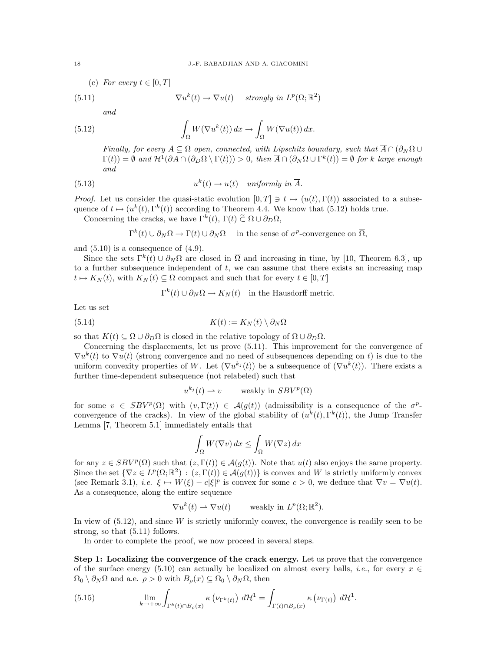(c) For every  $t \in [0, T]$  $(5.11)$  $k(t) \to \nabla u(t)$  strongly in  $L^p(\Omega;\mathbb{R}^2)$ and

(5.12) 
$$
\int_{\Omega} W(\nabla u^k(t)) dx \to \int_{\Omega} W(\nabla u(t)) dx.
$$

Finally, for every  $A \subseteq \Omega$  open, connected, with Lipschitz boundary, such that  $\overline{A} \cap (\partial_N \Omega \cup$  $\Gamma(t) = \emptyset$  and  $\mathcal{H}^1(\partial A \cap (\partial_D \Omega \setminus \Gamma(t))) > 0$ , then  $\overline{A} \cap (\partial_N \Omega \cup \Gamma^k(t)) = \emptyset$  for k large enough and

(5.13) 
$$
u^k(t) \to u(t) \quad \text{uniformly in } \overline{A}.
$$

*Proof.* Let us consider the quasi-static evolution  $[0, T] \ni t \mapsto (u(t), \Gamma(t))$  associated to a subsequence of  $t \mapsto (u^k(t), \Gamma^k(t))$  according to Theorem 4.4. We know that (5.12) holds true.

Concerning the cracks, we have  $\Gamma^k(t)$ ,  $\Gamma(t) \tilde{\subset} \Omega \cup \partial_D \Omega$ ,

 $\Gamma^k(t) \cup \partial_N \Omega \to \Gamma(t) \cup \partial_N \Omega$  in the sense of  $\sigma^p$ -convergence on  $\overline{\Omega}$ ,

and  $(5.10)$  is a consequence of  $(4.9)$ .

Since the sets  $\Gamma^k(t) \cup \partial_N\Omega$  are closed in  $\overline{\Omega}$  and increasing in time, by [10, Theorem 6.3], up to a further subsequence independent of  $t$ , we can assume that there exists an increasing map  $t \mapsto K_N (t)$ , with  $K_N (t) \subseteq \overline{\Omega}$  compact and such that for every  $t \in [0, T]$ 

$$
\Gamma^k(t) \cup \partial_N \Omega \to K_N(t) \quad \text{in the Hausdorff metric.}
$$

Let us set

(5.14) 
$$
K(t) := K_N(t) \setminus \partial_N \Omega
$$

so that  $K(t) \subseteq \Omega \cup \partial_D \Omega$  is closed in the relative topology of  $\Omega \cup \partial_D \Omega$ .

Concerning the displacements, let us prove (5.11). This improvement for the convergence of  $\nabla u^k(t)$  to  $\nabla u(t)$  (strong convergence and no need of subsequences depending on t) is due to the uniform convexity properties of W. Let  $(\nabla u^{k_j}(t))$  be a subsequence of  $(\nabla u^k(t))$ . There exists a further time-dependent subsequence (not relabeled) such that

$$
u^{k_j}(t) \rightharpoonup v
$$
 weakly in  $SBV^p(\Omega)$ 

for some  $v \in SBV^p(\Omega)$  with  $(v, \Gamma(t)) \in \mathcal{A}(g(t))$  (admissibility is a consequence of the  $\sigma^p$ convergence of the cracks). In view of the global stability of  $(u^k(t), \Gamma^k(t))$ , the Jump Transfer Lemma [7, Theorem 5.1] immediately entails that

$$
\int_{\Omega} W(\nabla v) dx \le \int_{\Omega} W(\nabla z) dx
$$

for any  $z \in SBV^p(\Omega)$  such that  $(z, \Gamma(t)) \in \mathcal{A}(g(t))$ . Note that  $u(t)$  also enjoys the same property. Since the set  $\{\nabla z \in L^p(\Omega;\mathbb{R}^2) : (z,\Gamma(t)) \in \mathcal{A}(g(t))\}$  is convex and W is strictly uniformly convex (see Remark 3.1), *i.e.*  $\xi \mapsto W(\xi) - c|\xi|^p$  is convex for some  $c > 0$ , we deduce that  $\nabla v = \nabla u(t)$ . As a consequence, along the entire sequence

$$
\nabla u^k(t) \rightharpoonup \nabla u(t) \quad \text{weakly in } L^p(\Omega; \mathbb{R}^2).
$$

In view of  $(5.12)$ , and since W is strictly uniformly convex, the convergence is readily seen to be strong, so that (5.11) follows.

In order to complete the proof, we now proceed in several steps.

Step 1: Localizing the convergence of the crack energy. Let us prove that the convergence of the surface energy (5.10) can actually be localized on almost every balls, *i.e.*, for every  $x \in$  $\Omega_0 \setminus \partial_N \Omega$  and a.e.  $\rho > 0$  with  $B_\rho(x) \subseteq \Omega_0 \setminus \partial_N \Omega$ , then

(5.15) 
$$
\lim_{k \to +\infty} \int_{\Gamma^k(t) \cap B_{\rho}(x)} \kappa\left(\nu_{\Gamma^k(t)}\right) d\mathcal{H}^1 = \int_{\Gamma(t) \cap B_{\rho}(x)} \kappa\left(\nu_{\Gamma(t)}\right) d\mathcal{H}^1.
$$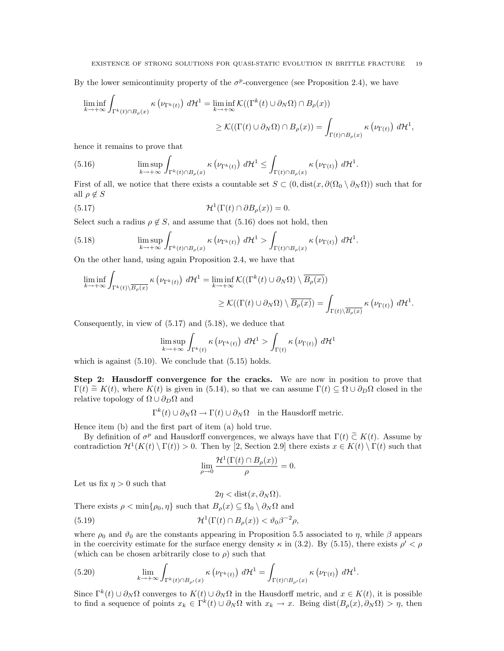By the lower semicontinuity property of the  $\sigma^p$ -convergence (see Proposition 2.4), we have

$$
\liminf_{k \to +\infty} \int_{\Gamma^k(t) \cap B_\rho(x)} \kappa \left( \nu_{\Gamma^k(t)} \right) d\mathcal{H}^1 = \liminf_{k \to +\infty} \mathcal{K}((\Gamma^k(t) \cup \partial_N \Omega) \cap B_\rho(x))
$$
\n
$$
\geq \mathcal{K}((\Gamma(t) \cup \partial_N \Omega) \cap B_\rho(x)) = \int_{\Gamma(t) \cap B_\rho(x)} \kappa \left( \nu_{\Gamma(t)} \right) d\mathcal{H}^1,
$$

hence it remains to prove that

(5.16) 
$$
\limsup_{k \to +\infty} \int_{\Gamma^k(t) \cap B_{\rho}(x)} \kappa\left(\nu_{\Gamma^k(t)}\right) d\mathcal{H}^1 \leq \int_{\Gamma(t) \cap B_{\rho}(x)} \kappa\left(\nu_{\Gamma(t)}\right) d\mathcal{H}^1.
$$

First of all, we notice that there exists a countable set  $S \subset (0, \text{dist}(x, \partial(\Omega_0 \setminus \partial_N \Omega))$  such that for all  $\rho \notin S$ 

(5.17) 
$$
\mathcal{H}^1(\Gamma(t) \cap \partial B_{\rho}(x)) = 0.
$$

Select such a radius  $\rho \notin S$ , and assume that (5.16) does not hold, then

(5.18) 
$$
\limsup_{k \to +\infty} \int_{\Gamma^k(t) \cap B_{\rho}(x)} \kappa\left(\nu_{\Gamma^k(t)}\right) d\mathcal{H}^1 > \int_{\Gamma(t) \cap B_{\rho}(x)} \kappa\left(\nu_{\Gamma(t)}\right) d\mathcal{H}^1.
$$

On the other hand, using again Proposition 2.4, we have that

$$
\liminf_{k \to +\infty} \int_{\Gamma^k(t) \setminus \overline{B_\rho(x)}} \kappa\left(\nu_{\Gamma^k(t)}\right) d\mathcal{H}^1 = \liminf_{k \to +\infty} \mathcal{K}((\Gamma^k(t) \cup \partial_N \Omega) \setminus \overline{B_\rho(x)})
$$
\n
$$
\geq \mathcal{K}((\Gamma(t) \cup \partial_N \Omega) \setminus \overline{B_\rho(x)}) = \int_{\Gamma(t) \setminus \overline{B_\rho(x)}} \kappa\left(\nu_{\Gamma(t)}\right) d\mathcal{H}^1.
$$

Consequently, in view of  $(5.17)$  and  $(5.18)$ , we deduce that

$$
\limsup_{k \to +\infty} \int_{\Gamma^k(t)} \kappa\left(\nu_{\Gamma^k(t)}\right) d\mathcal{H}^1 > \int_{\Gamma(t)} \kappa\left(\nu_{\Gamma(t)}\right) d\mathcal{H}^1
$$

which is against  $(5.10)$ . We conclude that  $(5.15)$  holds.

Step 2: Hausdorff convergence for the cracks. We are now in position to prove that  $\Gamma(t) \cong K(t)$ , where  $K(t)$  is given in (5.14), so that we can assume  $\Gamma(t) \subseteq \Omega \cup \partial_D \Omega$  closed in the relative topology of  $\Omega \cup \partial_{D}\Omega$  and

 $\Gamma^k(t) \cup \partial_N \Omega \to \Gamma(t) \cup \partial_N \Omega$  in the Hausdorff metric.

Hence item (b) and the first part of item (a) hold true.

By definition of  $\sigma^p$  and Hausdorff convergences, we always have that  $\Gamma(t) \tilde{\subset} K(t)$ . Assume by<br>the distinction  $2d(K(t)) \Gamma(t) > 0$ . Then by [2, Section 2.0] there exists  $\tilde{\sigma} \subset K(t) \setminus \Gamma(t)$  such that contradiction  $\mathcal{H}^1(K(t) \setminus \Gamma(t)) > 0$ . Then by [2, Section 2.9] there exists  $x \in K(t) \setminus \Gamma(t)$  such that

$$
\lim_{\rho \to 0} \frac{\mathcal{H}^1(\Gamma(t) \cap B_{\rho}(x))}{\rho} = 0.
$$

Let us fix  $\eta > 0$  such that

 $2\eta < \text{dist}(x, \partial_N \Omega).$ 

There exists  $\rho < \min\{\rho_0, \eta\}$  such that  $B_\rho(x) \subseteq \Omega_0 \setminus \partial_N \Omega$  and

(5.19) 
$$
\mathcal{H}^1(\Gamma(t) \cap B_{\rho}(x)) < \vartheta_0 \beta^{-2} \rho,
$$

where  $\rho_0$  and  $\vartheta_0$  are the constants appearing in Proposition 5.5 associated to  $\eta$ , while  $\beta$  appears in the coercivity estimate for the surface energy density  $\kappa$  in (3.2). By (5.15), there exists  $\rho' < \rho$ (which can be chosen arbitrarily close to  $\rho$ ) such that

(5.20) 
$$
\lim_{k \to +\infty} \int_{\Gamma^k(t) \cap B_{\rho'}(x)} \kappa\left(\nu_{\Gamma^k(t)}\right) d\mathcal{H}^1 = \int_{\Gamma(t) \cap B_{\rho'}(x)} \kappa\left(\nu_{\Gamma(t)}\right) d\mathcal{H}^1.
$$

Since  $\Gamma^k(t) \cup \partial_N \Omega$  converges to  $K(t) \cup \partial_N \Omega$  in the Hausdorff metric, and  $x \in K(t)$ , it is possible to find a sequence of points  $x_k \in \Gamma^k(t) \cup \partial_N \Omega$  with  $x_k \to x$ . Being dist $(B_\rho(x), \partial_N \Omega) > \eta$ , then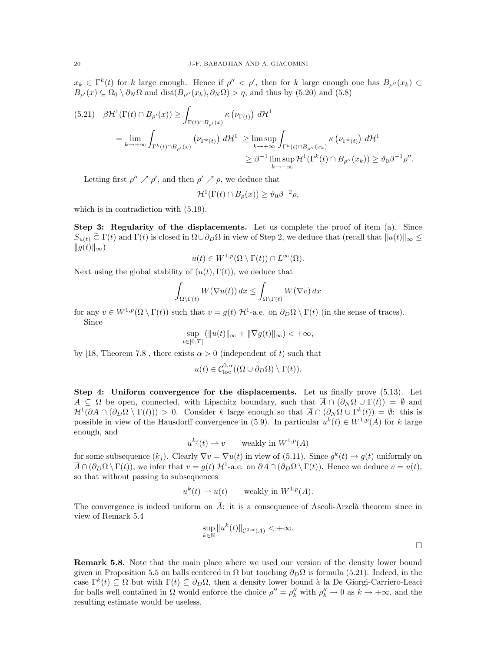$x_k \in \Gamma^k(t)$  for k large enough. Hence if  $\rho'' < \rho'$ , then for k large enough one has  $B_{\rho''}(x_k)$  $B_{\rho}(x) \subseteq \Omega_0 \setminus \partial_N \Omega$  and dist $(B_{\rho''}(x_k), \partial_N \Omega) > \eta$ , and thus by (5.20) and (5.8)

$$
(5.21) \quad \beta \mathcal{H}^{1}(\Gamma(t) \cap B_{\rho'}(x)) \geq \int_{\Gamma(t) \cap B_{\rho'}(x)} \kappa(\nu_{\Gamma(t)}) d\mathcal{H}^{1}
$$
  
\n
$$
= \lim_{k \to +\infty} \int_{\Gamma^{k}(t) \cap B_{\rho'}(x)} (\nu_{\Gamma^{k}(t)}) d\mathcal{H}^{1} \geq \limsup_{k \to +\infty} \int_{\Gamma^{k}(t) \cap B_{\rho''}(x_{k})} \kappa(\nu_{\Gamma^{k}(t)}) d\mathcal{H}^{1}
$$
  
\n
$$
\geq \beta^{-1} \limsup_{k \to +\infty} \mathcal{H}^{1}(\Gamma^{k}(t) \cap B_{\rho''}(x_{k})) \geq \vartheta_{0} \beta^{-1} \rho''.
$$

Letting first  $\rho'' \nearrow \rho'$ , and then  $\rho' \nearrow \rho$ , we deduce that

$$
\mathcal{H}^1(\Gamma(t) \cap B_{\rho}(x)) \ge \vartheta_0 \beta^{-2} \rho,
$$

which is in contradiction with  $(5.19)$ .

Step 3: Regularity of the displacements. Let us complete the proof of item (a). Since  $S_{u(t)} \n\tilde{\subset} \Gamma(t)$  and  $\Gamma(t)$  is closed in  $\Omega \cup \partial_D \Omega$  in view of Step 2, we deduce that (recall that  $||u(t)||_{\infty} \le$  $||g(t)||_{\infty}$ 

$$
u(t) \in W^{1,p}(\Omega \setminus \Gamma(t)) \cap L^{\infty}(\Omega).
$$

Next using the global stability of  $(u(t), \Gamma(t))$ , we deduce that

$$
\int_{\Omega \setminus \Gamma(t)} W(\nabla u(t)) dx \le \int_{\Omega \setminus \Gamma(t)} W(\nabla v) dx
$$

for any  $v \in W^{1,p}(\Omega \setminus \Gamma(t))$  such that  $v = g(t) \mathcal{H}^1$ -a.e. on  $\partial_D \Omega \setminus \Gamma(t)$  (in the sense of traces). Since

$$
\sup_{t\in[0,T]} \left( \|u(t)\|_{\infty} + \|\nabla g(t)\|_{\infty} \right) < +\infty,
$$

by [18, Theorem 7.8], there exists  $\alpha > 0$  (independent of t) such that

$$
u(t) \in \mathcal{C}^{0,\alpha}_{loc}((\Omega \cup \partial_D \Omega) \setminus \Gamma(t)).
$$

Step 4: Uniform convergence for the displacements. Let us finally prove (5.13). Let  $A \subseteq \Omega$  be open, connected, with Lipschitz boundary, such that  $\overline{A} \cap (\partial_N \Omega \cup \Gamma(t)) = \emptyset$  and  $\mathcal{H}^1(\partial A \cap (\partial_D \Omega \setminus \Gamma(t))) > 0$ . Consider k large enough so that  $\overline{A} \cap (\partial_N \Omega \cup \Gamma^k(t)) = \emptyset$ : this is possible in view of the Hausdorff convergence in (5.9). In particular  $u^k(t) \in W^{1,p}(A)$  for k large enough, and

$$
u^{k_j}(t) \rightharpoonup v \qquad \text{weakly in } W^{1,p}(A)
$$

for some subsequence  $(k_j)$ . Clearly  $\nabla v = \nabla u(t)$  in view of (5.11). Since  $g^k(t) \to g(t)$  uniformly on  $\overline{A} \cap (\partial_D \Omega \setminus \Gamma(t))$ , we infer that  $v = g(t)$  H<sup>1</sup>-a.e. on  $\partial A \cap (\partial_D \Omega \setminus \Gamma(t))$ . Hence we deduce  $v = u(t)$ , so that without passing to subsequences

$$
u^k(t) \rightharpoonup u(t) \qquad \text{weakly in } W^{1,p}(A).
$$

The convergence is indeed uniform on  $\overline{A}$ : it is a consequence of Ascoli-Arzelà theorem since in view of Remark 5.4

$$
\sup_{k \in \mathbb{N}} \|u^k(t)\|_{\mathcal{C}^{0,\alpha}(\overline{A})} < +\infty.
$$

Remark 5.8. Note that the main place where we used our version of the density lower bound given in Proposition 5.5 on balls centered in  $\Omega$  but touching  $\partial_D\Omega$  is formula (5.21). Indeed, in the case  $\Gamma^k(t) \subseteq \Omega$  but with  $\Gamma(t) \subseteq \partial_D \Omega$ , then a density lower bound à la De Giorgi-Carriero-Leaci for balls well contained in  $\Omega$  would enforce the choice  $\rho'' = \rho_k''$  with  $\rho_k'' \to 0$  as  $k \to +\infty$ , and the resulting estimate would be useless.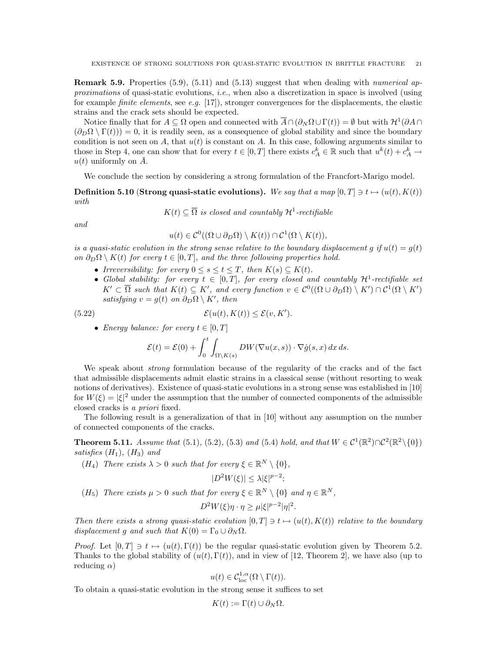**Remark 5.9.** Properties (5.9), (5.11) and (5.13) suggest that when dealing with *numerical ap*proximations of quasi-static evolutions, i.e., when also a discretization in space is involved (using for example *finite elements*, see e.g.  $[17]$ , stronger convergences for the displacements, the elastic strains and the crack sets should be expected.

Notice finally that for  $A \subseteq \Omega$  open and connected with  $\overline{A} \cap (\partial_N \Omega \cup \Gamma(t)) = \emptyset$  but with  $\mathcal{H}^1(\partial A \cap$  $(\partial_D \Omega \setminus \Gamma(t)) = 0$ , it is readily seen, as a consequence of global stability and since the boundary condition is not seen on  $A$ , that  $u(t)$  is constant on  $A$ . In this case, following arguments similar to those in Step 4, one can show that for every  $t \in [0, T]$  there exists  $c_A^k \in \mathbb{R}$  such that  $u^k(t) + c_A^k \to$  $u(t)$  uniformly on  $\overline{A}$ .

We conclude the section by considering a strong formulation of the Francfort-Marigo model.

**Definition 5.10 (Strong quasi-static evolutions).** We say that a map  $[0, T] \ni t \mapsto (u(t), K(t))$ with

 $K(t) \subseteq \overline{\Omega}$  is closed and countably  $\mathcal{H}^1$ -rectifiable

and

$$
u(t) \in \mathcal{C}^0((\Omega \cup \partial_D \Omega) \setminus K(t)) \cap \mathcal{C}^1(\Omega \setminus K(t)),
$$

is a quasi-static evolution in the strong sense relative to the boundary displacement g if  $u(t) = g(t)$ on  $\partial_D\Omega \setminus K(t)$  for every  $t \in [0,T]$ , and the three following properties hold.

- Irreversibility: for every  $0 \leq s \leq t \leq T$ , then  $K(s) \subseteq K(t)$ .
- Global stability: for every  $t \in [0,T]$ , for every closed and countably  $\mathcal{H}^1$ -rectifiable set  $K' \subset \overline{\Omega}$  such that  $K(t) \subseteq K'$ , and every function  $v \in C^0((\Omega \cup \partial_D \Omega) \setminus K') \cap C^1(\Omega \setminus K')$ satisfying  $v = g(t)$  on  $\partial_D \Omega \setminus K'$ , then

(5.22) 
$$
\mathcal{E}(u(t), K(t)) \leq \mathcal{E}(v, K').
$$

• Energy balance: for every  $t \in [0, T]$ 

$$
\mathcal{E}(t) = \mathcal{E}(0) + \int_0^t \int_{\Omega \setminus K(s)} DW(\nabla u(x, s)) \cdot \nabla \dot{g}(s, x) \, dx \, ds.
$$

We speak about *strong* formulation because of the regularity of the cracks and of the fact that admissible displacements admit elastic strains in a classical sense (without resorting to weak notions of derivatives). Existence of quasi-static evolutions in a strong sense was established in [10] for  $W(\xi) = |\xi|^2$  under the assumption that the number of connected components of the admissible closed cracks is a priori fixed.

The following result is a generalization of that in [10] without any assumption on the number of connected components of the cracks.

**Theorem 5.11.** Assume that (5.1), (5.2), (5.3) and (5.4) hold, and that  $W \in C^1(\mathbb{R}^2) \cap C^2(\mathbb{R}^2 \setminus \{0\})$ satisfies  $(H_1)$ ,  $(H_3)$  and

(H<sub>4</sub>) There exists  $\lambda > 0$  such that for every  $\xi \in \mathbb{R}^N \setminus \{0\},$ 

$$
|D^2W(\xi)| \le \lambda |\xi|^{p-2};
$$

(H<sub>5</sub>) There exists  $\mu > 0$  such that for every  $\xi \in \mathbb{R}^N \setminus \{0\}$  and  $\eta \in \mathbb{R}^N$ ,

$$
D^2W(\xi)\eta \cdot \eta \ge \mu |\xi|^{p-2}|\eta|^2.
$$

Then there exists a strong quasi-static evolution  $[0, T] \ni t \mapsto (u(t), K(t))$  relative to the boundary displacement q and such that  $K(0) = \Gamma_0 \cup \partial_N \Omega$ .

*Proof.* Let  $[0, T] \ni t \mapsto (u(t), \Gamma(t))$  be the regular quasi-static evolution given by Theorem 5.2. Thanks to the global stability of  $(u(t), \Gamma(t))$ , and in view of [12, Theorem 2], we have also (up to reducing  $\alpha$ )

$$
u(t) \in \mathcal{C}^{1,\alpha}_{\text{loc}}(\Omega \setminus \Gamma(t)).
$$

To obtain a quasi-static evolution in the strong sense it suffices to set

$$
K(t) := \Gamma(t) \cup \partial_N \Omega.
$$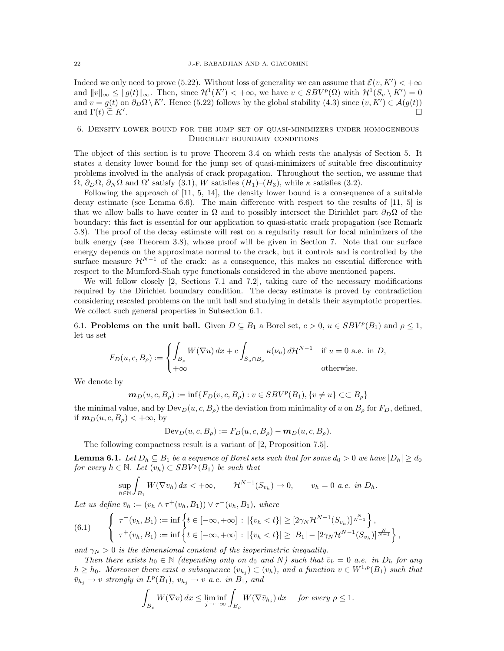Indeed we only need to prove (5.22). Without loss of generality we can assume that  $\mathcal{E}(v, K') < +\infty$ and  $||v||_{\infty} \le ||g(t)||_{\infty}$ . Then, since  $\mathcal{H}^1(K') < +\infty$ , we have  $v \in SBV^p(\Omega)$  with  $\mathcal{H}^1(S_v \setminus K') = 0$ and  $v = g(t)$  on  $\partial_D \Omega \setminus K'$ . Hence (5.22) follows by the global stability (4.3) since  $(v, K') \in \mathcal{A}(g(t))$ and  $\Gamma(t) \tilde{\subset} K'.$ .

# 6. Density lower bound for the jump set of quasi-minimizers under homogeneous Dirichlet boundary conditions

The object of this section is to prove Theorem 3.4 on which rests the analysis of Section 5. It states a density lower bound for the jump set of quasi-minimizers of suitable free discontinuity problems involved in the analysis of crack propagation. Throughout the section, we assume that  $\Omega$ ,  $\partial_D \Omega$ ,  $\partial_N \Omega$  and  $\Omega'$  satisfy (3.1), W satisfies  $(H_1)-(H_3)$ , while  $\kappa$  satisfies (3.2).

Following the approach of [11, 5, 14], the density lower bound is a consequence of a suitable decay estimate (see Lemma 6.6). The main difference with respect to the results of [11, 5] is that we allow balls to have center in  $\Omega$  and to possibly intersect the Dirichlet part  $\partial_D\Omega$  of the boundary: this fact is essential for our application to quasi-static crack propagation (see Remark 5.8). The proof of the decay estimate will rest on a regularity result for local minimizers of the bulk energy (see Theorem 3.8), whose proof will be given in Section 7. Note that our surface energy depends on the approximate normal to the crack, but it controls and is controlled by the surface measure  $\mathcal{H}^{N-1}$  of the crack: as a consequence, this makes no essential difference with respect to the Mumford-Shah type functionals considered in the above mentioned papers.

We will follow closely [2, Sections 7.1 and 7.2], taking care of the necessary modifications required by the Dirichlet boundary condition. The decay estimate is proved by contradiction considering rescaled problems on the unit ball and studying in details their asymptotic properties. We collect such general properties in Subsection 6.1.

6.1. Problems on the unit ball. Given  $D \subseteq B_1$  a Borel set,  $c > 0$ ,  $u \in SBV^p(B_1)$  and  $\rho \leq 1$ , let us set

$$
F_D(u, c, B_\rho) := \begin{cases} \int_{B_\rho} W(\nabla u) \, dx + c \int_{S_u \cap B_\rho} \kappa(\nu_u) \, d\mathcal{H}^{N-1} & \text{if } u = 0 \text{ a.e. in } D, \\ +\infty & \text{otherwise.} \end{cases}
$$

We denote by

$$
\mathbf{m}_D(u, c, B_\rho) := \inf \{ F_D(v, c, B_\rho) : v \in SBV^p(B_1), \{ v \neq u \} \subset \subset B_\rho \}
$$

the minimal value, and by  $\text{Dev}_D(u, c, B_\rho)$  the deviation from minimality of u on  $B_\rho$  for  $F_D$ , defined, if  $m_D(u, c, B_\rho) < +\infty$ , by

$$
Dev_D(u, c, B_\rho) := F_D(u, c, B_\rho) - m_D(u, c, B_\rho).
$$

The following compactness result is a variant of [2, Proposition 7.5].

**Lemma 6.1.** Let  $D_h \subseteq B_1$  be a sequence of Borel sets such that for some  $d_0 > 0$  we have  $|D_h| \geq d_0$ for every  $h \in \mathbb{N}$ . Let  $(v_h) \subset SBV^p(B_1)$  be such that

$$
\sup_{h \in \mathbb{N}} \int_{B_1} W(\nabla v_h) dx < +\infty, \qquad \mathcal{H}^{N-1}(S_{v_h}) \to 0, \qquad v_h = 0 \text{ a.e. in } D_h.
$$

Let us define  $\bar{v}_h := (v_h \wedge \tau^+(v_h, B_1)) \vee \tau^-(v_h, B_1)$ , where

(6.1) 
$$
\begin{cases} \tau^-(v_h, B_1) := \inf \left\{ t \in [-\infty, +\infty] : |\{v_h < t\}| \ge [2\gamma_N \mathcal{H}^{N-1}(S_{v_h})]^{\frac{N}{N-1}} \right\}, \\ \tau^+(v_h, B_1) := \inf \left\{ t \in [-\infty, +\infty] : |\{v_h < t\}| \ge |B_1| - [2\gamma_N \mathcal{H}^{N-1}(S_{v_h})]^{\frac{N}{N-1}} \right\}, \end{cases}
$$

and  $\gamma_N > 0$  is the dimensional constant of the isoperimetric inequality.

Then there exists  $h_0 \in \mathbb{N}$  (depending only on  $d_0$  and N) such that  $\bar{v}_h = 0$  a.e. in  $D_h$  for any  $h \geq h_0$ . Moreover there exist a subsequence  $(v_{h_j}) \subset (v_h)$ , and a function  $v \in W^{1,p}(B_1)$  such that  $\bar{v}_{h_j} \rightarrow v$  strongly in  $L^p(B_1)$ ,  $v_{h_j} \rightarrow v$  a.e. in  $B_1$ , and

$$
\int_{B_{\rho}} W(\nabla v) dx \le \liminf_{j \to +\infty} \int_{B_{\rho}} W(\nabla \bar{v}_{h_j}) dx \quad \text{for every } \rho \le 1.
$$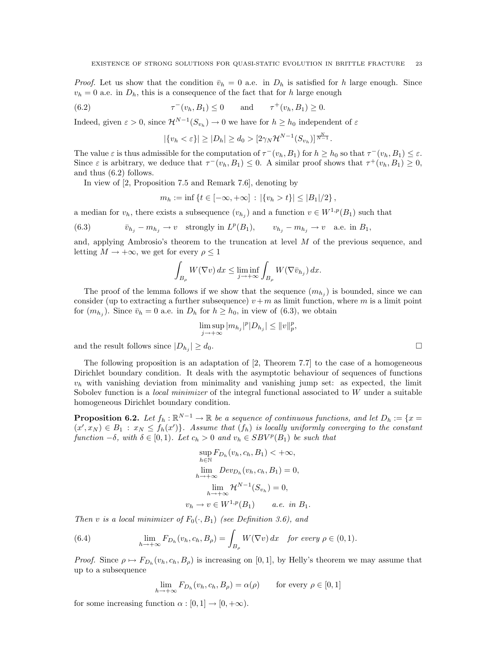*Proof.* Let us show that the condition  $\bar{v}_h = 0$  a.e. in  $D_h$  is satisfied for h large enough. Since  $v_h = 0$  a.e. in  $D_h$ , this is a consequence of the fact that for h large enough

(6.2) 
$$
\tau^{-}(v_h, B_1) \le 0
$$
 and  $\tau^{+}(v_h, B_1) \ge 0$ .

Indeed, given  $\varepsilon > 0$ , since  $\mathcal{H}^{N-1}(S_{v_h}) \to 0$  we have for  $h \geq h_0$  independent of  $\varepsilon$ 

$$
|\{v_h < \varepsilon\}| \ge |D_h| \ge d_0 > [2\gamma_N \mathcal{H}^{N-1}(S_{v_h})]^{\frac{N}{N-1}}.
$$

The value  $\varepsilon$  is thus admissible for the computation of  $\tau^-(v_h, B_1)$  for  $h \geq h_0$  so that  $\tau^-(v_h, B_1) \leq \varepsilon$ . Since  $\varepsilon$  is arbitrary, we deduce that  $\tau^-(v_h, B_1) \leq 0$ . A similar proof shows that  $\tau^+(v_h, B_1) \geq 0$ , and thus (6.2) follows.

In view of [2, Proposition 7.5 and Remark 7.6], denoting by

$$
m_h := \inf \left\{ t \in [-\infty, +\infty] \, : \, |\{v_h > t\}| \le |B_1|/2 \right\},\,
$$

a median for  $v_h$ , there exists a subsequence  $(v_{h_j})$  and a function  $v \in W^{1,p}(B_1)$  such that

(6.3) 
$$
\bar{v}_{h_j} - m_{h_j} \to v \quad \text{strongly in } L^p(B_1), \qquad v_{h_j} - m_{h_j} \to v \quad \text{a.e. in } B_1,
$$

and, applying Ambrosio's theorem to the truncation at level M of the previous sequence, and letting  $M \to +\infty$ , we get for every  $\rho \leq 1$ 

$$
\int_{B_{\rho}} W(\nabla v) dx \le \liminf_{j \to +\infty} \int_{B_{\rho}} W(\nabla \bar{v}_{h_j}) dx.
$$

The proof of the lemma follows if we show that the sequence  $(m_{h_j})$  is bounded, since we can consider (up to extracting a further subsequence)  $v + m$  as limit function, where m is a limit point for  $(m_{h_j})$ . Since  $\bar{v}_h = 0$  a.e. in  $D_h$  for  $h \ge h_0$ , in view of  $(6.3)$ , we obtain

$$
\limsup_{j \to +\infty} |m_{h_j}|^p |D_{h_j}| \le ||v||_p^p,
$$
  

$$
| \ge d_0.
$$

and the result follows since  $|D_{h_i}| \geq d_0$ .

The following proposition is an adaptation of [2, Theorem 7.7] to the case of a homogeneous Dirichlet boundary condition. It deals with the asymptotic behaviour of sequences of functions  $v<sub>h</sub>$  with vanishing deviation from minimality and vanishing jump set: as expected, the limit Sobolev function is a *local minimizer* of the integral functional associated to  $W$  under a suitable homogeneous Dirichlet boundary condition.

**Proposition 6.2.** Let  $f_h: \mathbb{R}^{N-1} \to \mathbb{R}$  be a sequence of continuous functions, and let  $D_h := \{x =$  $(x', x_N) \in B_1 : x_N \leq f_h(x')\}$ . Assume that  $(f_h)$  is locally uniformly converging to the constant function  $-\delta$ , with  $\delta \in [0,1)$ . Let  $c_h > 0$  and  $v_h \in SBV^p(B_1)$  be such that

$$
\sup_{h \in \mathbb{N}} F_{D_h}(v_h, c_h, B_1) < +\infty,
$$
  
\n
$$
\lim_{h \to +\infty} Dev_{D_h}(v_h, c_h, B_1) = 0,
$$
  
\n
$$
\lim_{h \to +\infty} \mathcal{H}^{N-1}(S_{v_h}) = 0,
$$
  
\n
$$
v_h \to v \in W^{1,p}(B_1) \quad a.e. \text{ in } B_1.
$$

Then v is a local minimizer of  $F_0(\cdot, B_1)$  (see Definition 3.6), and

(6.4) 
$$
\lim_{h \to +\infty} F_{D_h}(v_h, c_h, B_\rho) = \int_{B_\rho} W(\nabla v) dx \text{ for every } \rho \in (0, 1).
$$

*Proof.* Since  $\rho \mapsto F_{D_h}(v_h, c_h, B_\rho)$  is increasing on [0, 1], by Helly's theorem we may assume that up to a subsequence

$$
\lim_{h \to +\infty} F_{D_h}(v_h, c_h, B_\rho) = \alpha(\rho) \qquad \text{for every } \rho \in [0, 1]
$$

for some increasing function  $\alpha : [0,1] \to [0,+\infty)$ .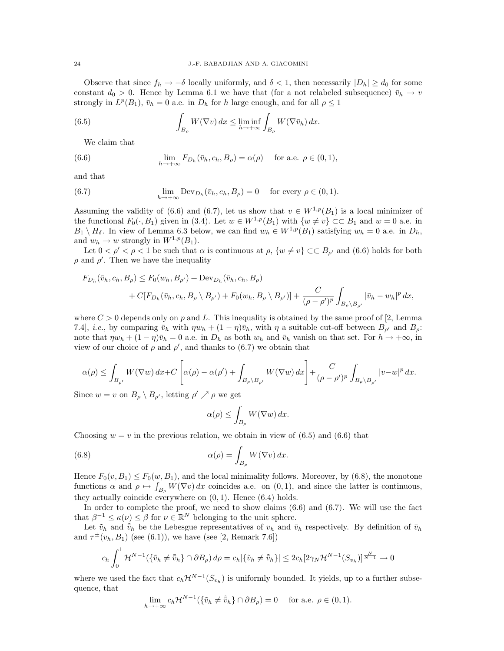Observe that since  $f_h \to -\delta$  locally uniformly, and  $\delta < 1$ , then necessarily  $|D_h| \geq d_0$  for some constant  $d_0 > 0$ . Hence by Lemma 6.1 we have that (for a not relabeled subsequence)  $\bar{v}_h \rightarrow v$ strongly in  $L^p(B_1)$ ,  $\bar{v}_h = 0$  a.e. in  $D_h$  for h large enough, and for all  $\rho \leq 1$ 

(6.5) 
$$
\int_{B_{\rho}} W(\nabla v) dx \le \liminf_{h \to +\infty} \int_{B_{\rho}} W(\nabla \bar{v}_h) dx.
$$

We claim that

(6.6) 
$$
\lim_{h \to +\infty} F_{D_h}(\bar{v}_h, c_h, B_\rho) = \alpha(\rho) \quad \text{for a.e. } \rho \in (0, 1),
$$

and that

(6.7) 
$$
\lim_{h \to +\infty} \text{Dev}_{D_h}(\bar{v}_h, c_h, B_\rho) = 0 \quad \text{for every } \rho \in (0, 1).
$$

Assuming the validity of (6.6) and (6.7), let us show that  $v \in W^{1,p}(B_1)$  is a local minimizer of the functional  $F_0(\cdot, B_1)$  given in (3.4). Let  $w \in W^{1,p}(B_1)$  with  $\{w \neq v\} \subset\subset B_1$  and  $w = 0$  a.e. in  $B_1 \setminus H_\delta$ . In view of Lemma 6.3 below, we can find  $w_h \in W^{1,p}(B_1)$  satisfying  $w_h = 0$  a.e. in  $D_h$ , and  $w_h \to w$  strongly in  $W^{1,p}(B_1)$ .

Let  $0 < \rho' < \rho < 1$  be such that  $\alpha$  is continuous at  $\rho$ ,  $\{w \neq v\} \subset\subset B_{\rho'}$  and  $(6.6)$  holds for both  $\rho$  and  $\rho'$ . Then we have the inequality

$$
F_{D_h}(\bar{v}_h, c_h, B_\rho) \le F_0(w_h, B_{\rho'}) + \text{Dev}_{D_h}(\bar{v}_h, c_h, B_\rho)
$$
  
+  $C[F_{D_h}(\bar{v}_h, c_h, B_\rho \setminus B_{\rho'}) + F_0(w_h, B_\rho \setminus B_{\rho'})] + \frac{C}{(\rho - \rho')^p} \int_{B_\rho \setminus B_{\rho'}} |\bar{v}_h - w_h|^p dx,$ 

where  $C > 0$  depends only on p and L. This inequality is obtained by the same proof of [2, Lemma 7.4], *i.e.*, by comparing  $\bar{v}_h$  with  $\eta w_h + (1 - \eta)\bar{v}_h$ , with  $\eta$  a suitable cut-off between  $B_{\rho'}$  and  $B_{\rho}$ : note that  $\eta w_h + (1 - \eta)\bar{v}_h = 0$  a.e. in  $D_h$  as both  $w_h$  and  $\bar{v}_h$  vanish on that set. For  $h \to +\infty$ , in view of our choice of  $\rho$  and  $\rho'$ , and thanks to (6.7) we obtain that

$$
\alpha(\rho) \leq \int_{B_{\rho'}} W(\nabla w) dx + C\left[\alpha(\rho) - \alpha(\rho') + \int_{B_{\rho} \setminus B_{\rho'}} W(\nabla w) dx\right] + \frac{C}{(\rho - \rho')^p} \int_{B_{\rho} \setminus B_{\rho'}} |v - w|^p dx.
$$

Since  $w = v$  on  $B_{\rho} \setminus B_{\rho'}$ , letting  $\rho' \nearrow \rho$  we get

$$
\alpha(\rho) \le \int_{B_{\rho}} W(\nabla w) \, dx.
$$

Choosing  $w = v$  in the previous relation, we obtain in view of (6.5) and (6.6) that

(6.8) 
$$
\alpha(\rho) = \int_{B_{\rho}} W(\nabla v) dx.
$$

Hence  $F_0(v, B_1) \le F_0(w, B_1)$ , and the local minimality follows. Moreover, by (6.8), the monotone functions  $\alpha$  and  $\rho \mapsto \int_{B_\rho} W(\nabla v) dx$  coincides a.e. on  $(0, 1)$ , and since the latter is continuous, they actually coincide everywhere on  $(0, 1)$ . Hence  $(6.4)$  holds.

In order to complete the proof, we need to show claims  $(6.6)$  and  $(6.7)$ . We will use the fact that  $\beta^{-1} \leq \kappa(\nu) \leq \beta$  for  $\nu \in \mathbb{R}^N$  belonging to the unit sphere.

Let  $\tilde{v}_h$  and  $\tilde{v}_h$  be the Lebesgue representatives of  $v_h$  and  $\bar{v}_h$  respectively. By definition of  $\bar{v}_h$ and  $\tau^{\pm}(v_h, B_1)$  (see (6.1)), we have (see [2, Remark 7.6])

$$
c_h \int_0^1 \mathcal{H}^{N-1}(\{\tilde{v}_h \neq \tilde{\bar{v}}_h\} \cap \partial B_\rho) d\rho = c_h |\{\tilde{v}_h \neq \tilde{\bar{v}}_h\}| \leq 2c_h [2\gamma_N \mathcal{H}^{N-1}(S_{v_h})]^{\frac{N}{N-1}} \to 0
$$

where we used the fact that  $c_h \mathcal{H}^{N-1}(S_{v_h})$  is uniformly bounded. It yields, up to a further subsequence, that

$$
\lim_{h \to +\infty} c_h \mathcal{H}^{N-1}(\{\tilde{v}_h \neq \tilde{\tilde{v}}_h\} \cap \partial B_\rho) = 0 \quad \text{ for a.e. } \rho \in (0,1).
$$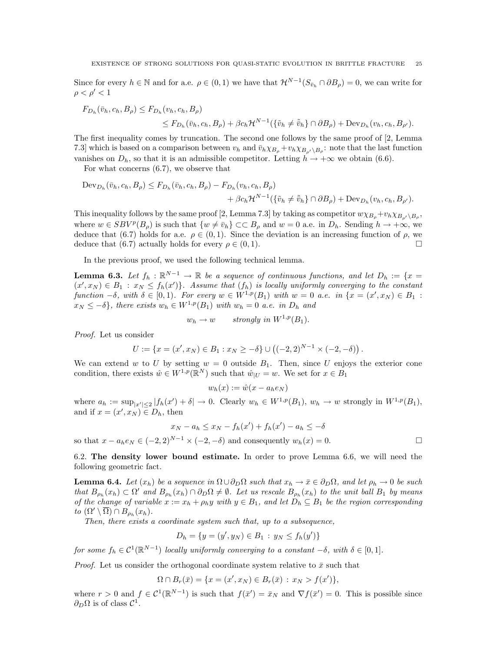Since for every  $h \in \mathbb{N}$  and for a.e.  $\rho \in (0,1)$  we have that  $\mathcal{H}^{N-1}(S_{\bar{v}_h} \cap \partial B_{\rho}) = 0$ , we can write for  $\rho < \rho' < 1$ 

$$
F_{D_h}(\bar{v}_h, c_h, B_\rho) \le F_{D_h}(v_h, c_h, B_\rho)
$$
  
\n
$$
\le F_{D_h}(\bar{v}_h, c_h, B_\rho) + \beta c_h \mathcal{H}^{N-1}(\{\tilde{v}_h \ne \tilde{\bar{v}}_h\} \cap \partial B_\rho) + \text{Dev}_{D_h}(v_h, c_h, B_{\rho'}).
$$

The first inequality comes by truncation. The second one follows by the same proof of [2, Lemma 7.3] which is based on a comparison between  $v_h$  and  $\bar{v}_h \chi_{B_\rho} + v_h \chi_{B_{\rho'}} \chi_{B_\rho}$ : note that the last function vanishes on  $D_h$ , so that it is an admissible competitor. Letting  $h \to +\infty$  we obtain (6.6).

For what concerns (6.7), we observe that

$$
\begin{aligned} \operatorname{Dev}_{D_h}(\bar{v}_h, c_h, B_\rho) &\leq F_{D_h}(\bar{v}_h, c_h, B_\rho) - F_{D_h}(v_h, c_h, B_\rho) \\ &+ \beta c_h \mathcal{H}^{N-1}(\{\tilde{v}_h \neq \tilde{\bar{v}}_h\} \cap \partial B_\rho) + \operatorname{Dev}_{D_h}(v_h, c_h, B_{\rho'}). \end{aligned}
$$

This inequality follows by the same proof [2, Lemma 7.3] by taking as competitor  $w\chi_{B_\rho}+v_h\chi_{B_{\rho'}}\gtrsim_{B_\rho}$ where  $w \in SBV^p(B_\rho)$  is such that  $\{w \neq \bar{v}_h\} \subset B_\rho$  and  $w = 0$  a.e. in  $D_h$ . Sending  $h \to +\infty$ , we deduce that (6.7) holds for a.e.  $\rho \in (0,1)$ . Since the deviation is an increasing function of  $\rho$ , we deduce that (6.7) actually holds for every  $\rho \in (0, 1)$ .

In the previous proof, we used the following technical lemma.

**Lemma 6.3.** Let  $f_h : \mathbb{R}^{N-1} \to \mathbb{R}$  be a sequence of continuous functions, and let  $D_h := \{x =$  $(x', x_N) \in B_1 : x_N \leq f_h(x')\}$ . Assume that  $(f_h)$  is locally uniformly converging to the constant function  $-\delta$ , with  $\delta \in [0,1)$ . For every  $w \in W^{1,p}(B_1)$  with  $w = 0$  a.e. in  $\{x = (x', x_N) \in B_1$ :  $x_N \leq -\delta$ , there exists  $w_h \in W^{1,p}(B_1)$  with  $w_h = 0$  a.e. in  $D_h$  and

$$
w_h \to w \quad strongly \ in \ W^{1,p}(B_1).
$$

Proof. Let us consider

$$
U := \{ x = (x', x_N) \in B_1 : x_N \ge -\delta \} \cup ((-2, 2)^{N-1} \times (-2, -\delta)).
$$

We can extend w to U by setting  $w = 0$  outside  $B_1$ . Then, since U enjoys the exterior cone condition, there exists  $\hat{w} \in W^{1,p}(\mathbb{R}^N)$  such that  $\hat{w}_{|U} = w$ . We set for  $x \in B_1$ 

$$
w_h(x) := \hat{w}(x - a_h e_N)
$$

where  $a_h := \sup_{|x'| \leq 2} |f_h(x') + \delta| \to 0$ . Clearly  $w_h \in W^{1,p}(B_1)$ ,  $w_h \to w$  strongly in  $W^{1,p}(B_1)$ , and if  $x = (x', x_N) \in D_h$ , then

$$
x_N - a_h \le x_N - f_h(x') + f_h(x') - a_h \le -\delta
$$

so that  $x - a_h e_N \in (-2, 2)^{N-1} \times (-2, -\delta)$  and consequently  $w_h(x) = 0$ .

6.2. The density lower bound estimate. In order to prove Lemma 6.6, we will need the following geometric fact.

**Lemma 6.4.** Let  $(x_h)$  be a sequence in  $\Omega \cup \partial_D \Omega$  such that  $x_h \to \bar{x} \in \partial_D \Omega$ , and let  $\rho_h \to 0$  be such that  $B_{\rho_h}(x_h) \subset \Omega'$  and  $B_{\rho_h}(x_h) \cap \partial_D \Omega \neq \emptyset$ . Let us rescale  $B_{\rho_h}(x_h)$  to the unit ball  $B_1$  by means of the change of variable  $x := x_h + \rho_h y$  with  $y \in B_1$ , and let  $D_h \subseteq B_1$  be the region corresponding to  $(\Omega' \setminus \overline{\Omega}) \cap B_{\rho_h}(x_h)$ .

Then, there exists a coordinate system such that, up to a subsequence,

$$
D_h = \{ y = (y', y_N) \in B_1 : y_N \le f_h(y') \}
$$

for some  $f_h \in \mathcal{C}^1(\mathbb{R}^{N-1})$  locally uniformly converging to a constant  $-\delta$ , with  $\delta \in [0,1]$ .

*Proof.* Let us consider the orthogonal coordinate system relative to  $\bar{x}$  such that

 $\Omega \cap B_r(\bar{x}) = \{x = (x', x_N) \in B_r(\bar{x}) : x_N > f(x')\},\$ 

where  $r > 0$  and  $f \in C^1(\mathbb{R}^{N-1})$  is such that  $f(\bar{x}') = \bar{x}_N$  and  $\nabla f(\bar{x}') = 0$ . This is possible since  $\partial_D\Omega$  is of class  $\mathcal{C}^1$ .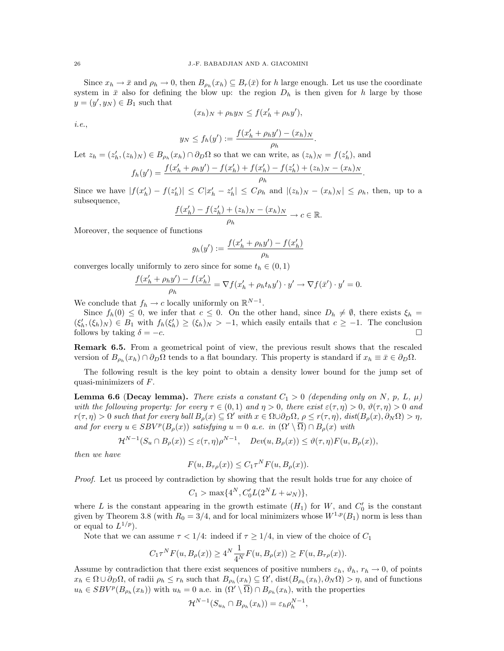Since  $x_h \to \bar{x}$  and  $\rho_h \to 0$ , then  $B_{\rho_h}(x_h) \subseteq B_r(\bar{x})$  for h large enough. Let us use the coordinate system in  $\bar{x}$  also for defining the blow up: the region  $D_h$  is then given for h large by those  $y = (y', y_N) \in B_1$  such that

$$
(x_h)_N + \rho_h y_N \le f(x'_h + \rho_h y'),
$$

i.e.,

$$
N \le f_h(y') := \frac{f(x'_h + \rho_h y') - (x_h)_N}{\rho_h}
$$

.

Let  $z_h = (z'_h, (z_h)_N) \in B_{\rho_h}(x_h) \cap \partial_D \Omega$  so that we can write, as  $(z_h)_N = f(z'_h)$ , and

$$
f_h(y') = \frac{f(x'_h + \rho_h y') - f(x'_h) + f(x'_h) - f(z'_h) + (z_h)_N - (x_h)_N}{\rho_h}.
$$

Since we have  $|f(x'_h) - f(z'_h)| \leq C|x'_h - z'_h| \leq C\rho_h$  and  $|(z_h)_N - (x_h)_N| \leq \rho_h$ , then, up to a subsequence,

$$
\frac{f(x'_h) - f(z'_h) + (z_h)_N - (x_h)_N}{\rho_h} \to c \in \mathbb{R}.
$$

Moreover, the sequence of functions

$$
g_h(y') := \frac{f(x'_h + \rho_h y') - f(x'_h)}{\rho_h}
$$

converges locally uniformly to zero since for some  $t_h \in (0, 1)$ 

 $y$ 

$$
\frac{f(x'_h + \rho_h y') - f(x'_h)}{\rho_h} = \nabla f(x'_h + \rho_h t_h y') \cdot y' \to \nabla f(\bar{x}') \cdot y' = 0.
$$

We conclude that  $f_h \to c$  locally uniformly on  $\mathbb{R}^{N-1}$ .

Since  $f_h(0) \leq 0$ , we infer that  $c \leq 0$ . On the other hand, since  $D_h \neq \emptyset$ , there exists  $\xi_h$  =  $(\xi'_h, (\xi_h)_N) \in B_1$  with  $f_h(\xi'_h) \geq (\xi_h)_N > -1$ , which easily entails that  $c \geq -1$ . The conclusion follows by taking  $\delta = -c$ .

Remark 6.5. From a geometrical point of view, the previous result shows that the rescaled version of  $B_{\rho_h}(x_h) \cap \partial_D \Omega$  tends to a flat boundary. This property is standard if  $x_h \equiv \bar{x} \in \partial_D \Omega$ .

The following result is the key point to obtain a density lower bound for the jump set of quasi-minimizers of F.

**Lemma 6.6 (Decay lemma).** There exists a constant  $C_1 > 0$  (depending only on N, p, L,  $\mu$ ) with the following property: for every  $\tau \in (0,1)$  and  $\eta > 0$ , there exist  $\varepsilon(\tau, \eta) > 0$ ,  $\vartheta(\tau, \eta) > 0$  and  $r(\tau, \eta) > 0$  such that for every ball  $B_{\rho}(x) \subseteq \Omega'$  with  $x \in \Omega \cup \partial_D \Omega$ ,  $\rho \leq r(\tau, \eta)$ ,  $dist(B_{\rho}(x), \partial_N \Omega) > \eta$ , and for every  $u \in SBV^p(B_\rho(x))$  satisfying  $u = 0$  a.e. in  $(\Omega' \setminus \overline{\Omega}) \cap B_\rho(x)$  with

$$
\mathcal{H}^{N-1}(S_u \cap B_{\rho}(x)) \leq \varepsilon(\tau, \eta)\rho^{N-1}, \quad Dev(u, B_{\rho}(x)) \leq \vartheta(\tau, \eta)F(u, B_{\rho}(x)),
$$

then we have

$$
F(u, B_{\tau\rho}(x)) \le C_1 \tau^N F(u, B_{\rho}(x)).
$$

Proof. Let us proceed by contradiction by showing that the result holds true for any choice of

$$
C_1 > \max\{4^N, C'_0 L(2^N L + \omega_N)\},\
$$

where L is the constant appearing in the growth estimate  $(H_1)$  for W, and  $C'_0$  is the constant given by Theorem 3.8 (with  $R_0 = 3/4$ , and for local minimizers whose  $W^{1,p}(B_1)$  norm is less than or equal to  $L^{1/p}$ ).

Note that we can assume  $\tau < 1/4$ : indeed if  $\tau \geq 1/4$ , in view of the choice of  $C_1$ 

$$
C_1 \tau^N F(u, B_{\rho}(x)) \ge 4^N \frac{1}{4^N} F(u, B_{\rho}(x)) \ge F(u, B_{\tau \rho}(x)).
$$

Assume by contradiction that there exist sequences of positive numbers  $\varepsilon_h$ ,  $\vartheta_h$ ,  $r_h \to 0$ , of points  $x_h \in \Omega \cup \partial_D \Omega$ , of radii  $\rho_h \leq r_h$  such that  $B_{\rho_h}(x_h) \subseteq \Omega'$ ,  $dist(B_{\rho_h}(x_h), \partial_N \Omega) > \eta$ , and of functions  $u_h \in SBV^p(B_{\rho_h}(x_h))$  with  $u_h = 0$  a.e. in  $(\Omega' \setminus \overline{\Omega}) \cap B_{\rho_h}(x_h)$ , with the properties

$$
\mathcal{H}^{N-1}(S_{u_h} \cap B_{\rho_h}(x_h)) = \varepsilon_h \rho_h^{N-1},
$$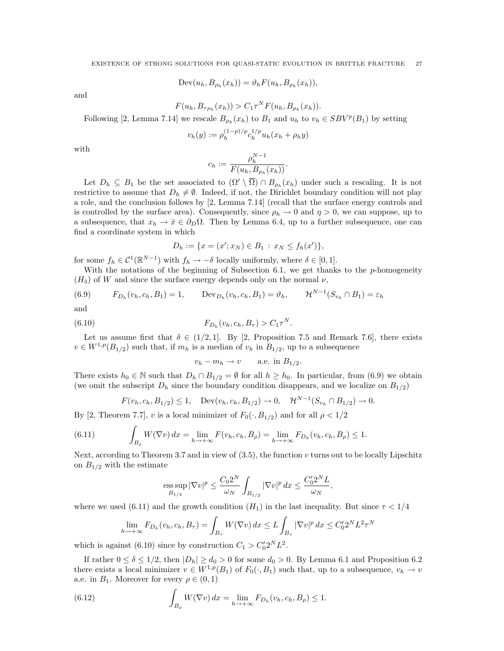$$
Dev(u_h, B_{\rho_h}(x_h)) = \vartheta_h F(u_h, B_{\rho_h}(x_h)),
$$

and

$$
F(u_h, B_{\tau\rho_h}(x_h)) > C_1 \tau^N F(u_h, B_{\rho_h}(x_h)).
$$

Following [2, Lemma 7.14] we rescale  $B_{\rho_h}(x_h)$  to  $B_1$  and  $u_h$  to  $v_h \in SBV^p(B_1)$  by setting

$$
v_h(y) := \rho_h^{(1-p)/p} c_h^{1/p} u_h(x_h + \rho_h y)
$$

with

$$
c_h := \frac{\rho_h^{N-1}}{F(u_h, B_{\rho_h}(x_h))}.
$$

Let  $D_h \subseteq B_1$  be the set associated to  $(\Omega' \setminus \overline{\Omega}) \cap B_{\rho_h}(x_h)$  under such a rescaling. It is not restrictive to assume that  $D_h \neq \emptyset$ . Indeed, if not, the Dirichlet boundary condition will not play a role, and the conclusion follows by [2, Lemma 7.14] (recall that the surface energy controls and is controlled by the surface area). Consequently, since  $\rho_h \to 0$  and  $\eta > 0$ , we can suppose, up to a subsequence, that  $x_h \to \bar{x} \in \partial_D \Omega$ . Then by Lemma 6.4, up to a further subsequence, one can find a coordinate system in which

$$
D_h := \{ x = (x'; x_N) \in B_1 : x_N \le f_h(x') \},
$$

for some  $f_h \in \mathcal{C}^1(\mathbb{R}^{N-1})$  with  $f_h \to -\delta$  locally uniformly, where  $\delta \in [0,1]$ .

With the notations of the beginning of Subsection 6.1, we get thanks to the  $p$ -homogeneity  $(H_3)$  of W and since the surface energy depends only on the normal  $\nu$ ,

(6.9) 
$$
F_{D_h}(v_h, c_h, B_1) = 1
$$
,  $\text{Dev}_{D_h}(v_h, c_h, B_1) = \vartheta_h$ ,  $\mathcal{H}^{N-1}(S_{v_h} \cap B_1) = \varepsilon_h$ 

and

(6.10) 
$$
F_{D_h}(v_h, c_h, B_\tau) > C_1 \tau^N.
$$

Let us assume first that  $\delta \in (1/2, 1]$ . By [2, Proposition 7.5 and Remark 7.6], there exists  $v \in W^{1,p}(B_{1/2})$  such that, if  $m_h$  is a median of  $v_h$  in  $B_{1/2}$ , up to a subsequence

$$
v_h - m_h \to v \qquad \text{a.e. in } B_{1/2}.
$$

There exists  $h_0 \in \mathbb{N}$  such that  $D_h \cap B_{1/2} = \emptyset$  for all  $h \geq h_0$ . In particular, from (6.9) we obtain (we omit the subscript  $D_h$  since the boundary condition disappears, and we localize on  $B_{1/2}$ )

$$
F(v_h, c_h, B_{1/2}) \le 1
$$
, Dev $(v_h, c_h, B_{1/2}) \to 0$ ,  $\mathcal{H}^{N-1}(S_{v_h} \cap B_{1/2}) \to 0$ .

By [2, Theorem 7.7], v is a local minimizer of  $F_0(\cdot, B_{1/2})$  and for all  $\rho < 1/2$ 

(6.11) 
$$
\int_{B_{\rho}} W(\nabla v) \, dx = \lim_{h \to +\infty} F(v_h, c_h, B_{\rho}) = \lim_{h \to +\infty} F_{D_h}(v_h, c_h, B_{\rho}) \le 1.
$$

Next, according to Theorem 3.7 and in view of  $(3.5)$ , the function v turns out to be locally Lipschitz on  $B_{1/2}$  with the estimate

$$
\operatorname*{ess\,sup}_{B_{1/4}}|\nabla v|^p\leq \frac{C_02^N}{\omega_N}\int_{B_{1/2}}|\nabla v|^p\,dx\leq \frac{C_0'2^NL}{\omega_N},
$$

where we used (6.11) and the growth condition  $(H_1)$  in the last inequality. But since  $\tau < 1/4$ 

$$
\lim_{h \to +\infty} F_{D_h}(v_h, c_h, B_\tau) = \int_{B_\tau} W(\nabla v) \, dx \le L \int_{B_\tau} |\nabla v|^p \, dx \le C_0' 2^N L^2 \tau^N
$$

which is against (6.10) since by construction  $C_1 > C'_0 2^N L^2$ .

If rather  $0 \le \delta \le 1/2$ , then  $|D_h| \ge d_0 > 0$  for some  $d_0 > 0$ . By Lemma 6.1 and Proposition 6.2 there exists a local minimizer  $v \in W^{1,p}(B_1)$  of  $F_0(\cdot, B_1)$  such that, up to a subsequence,  $v_h \to v$ a.e. in  $B_1$ . Moreover for every  $\rho \in (0,1)$ 

(6.12) 
$$
\int_{B_{\rho}} W(\nabla v) dx = \lim_{h \to +\infty} F_{D_h}(v_h, c_h, B_{\rho}) \le 1.
$$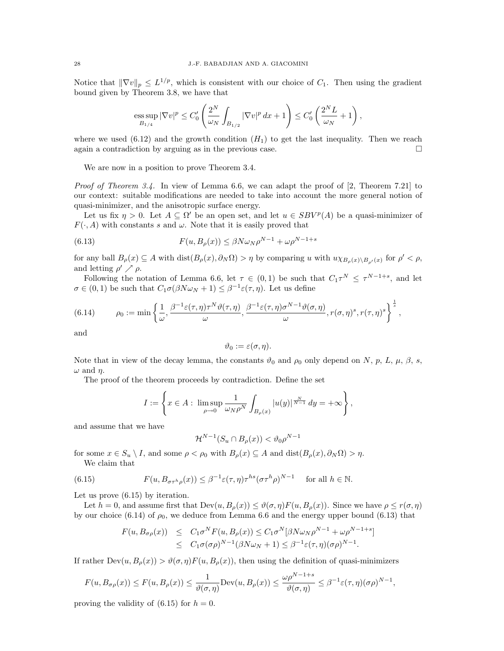Notice that  $\|\nabla v\|_p \leq L^{1/p}$ , which is consistent with our choice of  $C_1$ . Then using the gradient bound given by Theorem 3.8, we have that

ess sup 
$$
|\nabla v|^p \leq C'_0 \left(\frac{2^N}{\omega_N} \int_{B_{1/2}} |\nabla v|^p dx + 1\right) \leq C'_0 \left(\frac{2^N L}{\omega_N} + 1\right)
$$
,

where we used  $(6.12)$  and the growth condition  $(H_1)$  to get the last inequality. Then we reach again a contradiction by arguing as in the previous case.

We are now in a position to prove Theorem 3.4.

Proof of Theorem 3.4. In view of Lemma 6.6, we can adapt the proof of [2, Theorem 7.21] to our context: suitable modifications are needed to take into account the more general notion of quasi-minimizer, and the anisotropic surface energy.

Let us fix  $\eta > 0$ . Let  $A \subseteq \Omega'$  be an open set, and let  $u \in SBV^p(A)$  be a quasi-minimizer of  $F(\cdot, A)$  with constants s and  $\omega$ . Note that it is easily proved that

(6.13) 
$$
F(u, B_{\rho}(x)) \leq \beta N \omega_N \rho^{N-1} + \omega \rho^{N-1+s}
$$

for any ball  $B_{\rho}(x) \subseteq A$  with  $dist(B_{\rho}(x), \partial_N \Omega) > \eta$  by comparing u with  $u \chi_{B_{\rho}(x) \setminus B_{\rho'}(x)}$  for  $\rho' < \rho$ , and letting  $\rho' \nearrow \rho$ .

Following the notation of Lemma 6.6, let  $\tau \in (0,1)$  be such that  $C_1\tau^N \leq \tau^{N-1+s}$ , and let  $\sigma \in (0,1)$  be such that  $C_1 \sigma(\beta N \omega_N + 1) \leq \beta^{-1} \varepsilon(\tau, \eta)$ . Let us define

(6.14) 
$$
\rho_0 := \min \left\{ \frac{1}{\omega}, \frac{\beta^{-1} \varepsilon(\tau, \eta) \tau^N \vartheta(\tau, \eta)}{\omega}, \frac{\beta^{-1} \varepsilon(\tau, \eta) \sigma^{N-1} \vartheta(\sigma, \eta)}{\omega}, r(\sigma, \eta)^s, r(\tau, \eta)^s \right\}^{\frac{1}{s}},
$$

and

$$
\vartheta_0:=\varepsilon(\sigma,\eta).
$$

Note that in view of the decay lemma, the constants  $\vartheta_0$  and  $\rho_0$  only depend on N, p, L,  $\mu$ ,  $\beta$ , s,  $\omega$  and  $\eta$ .

The proof of the theorem proceeds by contradiction. Define the set

$$
I := \left\{ x \in A : \limsup_{\rho \to 0} \frac{1}{\omega_N \rho^N} \int_{B_{\rho}(x)} |u(y)|^{\frac{N}{N-1}} dy = +\infty \right\},\,
$$

and assume that we have

$$
\mathcal{H}^{N-1}(S_u \cap B_{\rho}(x)) < \vartheta_0 \rho^{N-1}
$$

for some  $x \in S_u \setminus I$ , and some  $\rho < \rho_0$  with  $B_\rho(x) \subseteq A$  and  $dist(B_\rho(x), \partial_N \Omega) > \eta$ . We claim that

(6.15) 
$$
F(u, B_{\sigma \tau^h \rho}(x)) \leq \beta^{-1} \varepsilon(\tau, \eta) \tau^{h s} (\sigma \tau^h \rho)^{N-1} \quad \text{for all } h \in \mathbb{N}.
$$

Let us prove (6.15) by iteration.

Let  $h = 0$ , and assume first that  $\text{Dev}(u, B_{\rho}(x)) \leq \vartheta(\sigma, \eta) F(u, B_{\rho}(x))$ . Since we have  $\rho \leq r(\sigma, \eta)$ by our choice (6.14) of  $\rho_0$ , we deduce from Lemma 6.6 and the energy upper bound (6.13) that

$$
F(u, B_{\sigma\rho}(x)) \leq C_1 \sigma^N F(u, B_{\rho}(x)) \leq C_1 \sigma^N [\beta N \omega_N \rho^{N-1} + \omega \rho^{N-1+s}]
$$
  
 
$$
\leq C_1 \sigma(\sigma \rho)^{N-1} (\beta N \omega_N + 1) \leq \beta^{-1} \varepsilon(\tau, \eta) (\sigma \rho)^{N-1}.
$$

If rather  $\text{Dev}(u, B_\rho(x)) > \vartheta(\sigma, \eta) F(u, B_\rho(x))$ , then using the definition of quasi-minimizers

$$
F(u, B_{\sigma\rho}(x)) \le F(u, B_{\rho}(x)) \le \frac{1}{\vartheta(\sigma, \eta)} \mathrm{Dev}(u, B_{\rho}(x)) \le \frac{\omega \rho^{N-1+s}}{\vartheta(\sigma, \eta)} \le \beta^{-1} \varepsilon(\tau, \eta) (\sigma \rho)^{N-1},
$$

proving the validity of  $(6.15)$  for  $h = 0$ .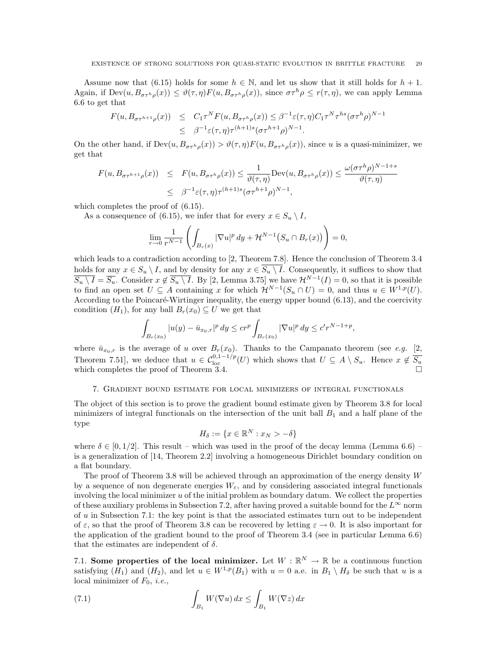Assume now that (6.15) holds for some  $h \in \mathbb{N}$ , and let us show that it still holds for  $h + 1$ . Again, if  $\text{Dev}(u, B_{\sigma\tau^h\rho}(x)) \leq \vartheta(\tau,\eta) F(u, B_{\sigma\tau^h\rho}(x))$ , since  $\sigma\tau^h\rho \leq r(\tau,\eta)$ , we can apply Lemma 6.6 to get that

$$
F(u, B_{\sigma\tau^{h+1}\rho}(x)) \leq C_1 \tau^N F(u, B_{\sigma\tau^h\rho}(x)) \leq \beta^{-1} \varepsilon(\tau, \eta) C_1 \tau^N \tau^{hs} (\sigma\tau^h\rho)^{N-1}
$$
  

$$
\leq \beta^{-1} \varepsilon(\tau, \eta) \tau^{(h+1)s} (\sigma\tau^{h+1}\rho)^{N-1}.
$$

On the other hand, if  $\text{Dev}(u, B_{\sigma\tau^h\rho}(x)) > \vartheta(\tau, \eta) F(u, B_{\sigma\tau^h\rho}(x))$ , since u is a quasi-minimizer, we get that

$$
F(u, B_{\sigma\tau^{h+1}\rho}(x)) \leq F(u, B_{\sigma\tau^{h}\rho}(x)) \leq \frac{1}{\vartheta(\tau, \eta)} \text{Dev}(u, B_{\sigma\tau^{h}\rho}(x)) \leq \frac{\omega(\sigma\tau^{h}\rho)^{N-1+s}}{\vartheta(\tau, \eta)}
$$
  

$$
\leq \beta^{-1}\varepsilon(\tau, \eta)\tau^{(h+1)s}(\sigma\tau^{h+1}\rho)^{N-1},
$$

which completes the proof of  $(6.15)$ .

As a consequence of (6.15), we infer that for every  $x \in S_u \setminus I$ ,

$$
\lim_{r \to 0} \frac{1}{r^{N-1}} \left( \int_{B_r(x)} |\nabla u|^p \, dy + \mathcal{H}^{N-1} \big( S_u \cap B_r(x) \big) \right) = 0,
$$

which leads to a contradiction according to [2, Theorem 7.8]. Hence the conclusion of Theorem 3.4 holds for any  $x \in S_u \setminus I$ , and by density for any  $x \in S_u \setminus I$ . Consequently, it suffices to show that  $\overline{S_u \setminus I} = \overline{S_u}$ . Consider  $x \notin \overline{S_u \setminus I}$ . By [2, Lemma 3.75] we have  $\mathcal{H}^{N-1}(I) = 0$ , so that it is possible to find an open set  $U \subseteq A$  containing x for which  $\mathcal{H}^{N-1}(S_u \cap U) = 0$ , and thus  $u \in W^{1,p}(U)$ . According to the Poincaré-Wirtinger inequality, the energy upper bound (6.13), and the coercivity condition  $(H_1)$ , for any ball  $B_r(x_0) \subseteq U$  we get that

$$
\int_{B_r(x_0)} |u(y) - \bar{u}_{x_0,r}|^p dy \leq c r^p \int_{B_r(x_0)} |\nabla u|^p dy \leq c' r^{N-1+p},
$$

where  $\bar{u}_{x_0,r}$  is the average of u over  $B_r(x_0)$ . Thanks to the Campanato theorem (see e.g. [2, Theorem 7.51], we deduce that  $u \in C_{\text{loc}}^{0,1-1/p}(U)$  which shows that  $U \subseteq A \setminus S_u$ . Hence  $x \notin \overline{S_u}$ which completes the proof of Theorem 3.4.  $\Box$ 

### 7. Gradient bound estimate for local minimizers of integral functionals

The object of this section is to prove the gradient bound estimate given by Theorem 3.8 for local minimizers of integral functionals on the intersection of the unit ball  $B_1$  and a half plane of the type

$$
H_{\delta} := \{ x \in \mathbb{R}^{N} : x_N > -\delta \}
$$

where  $\delta \in [0, 1/2]$ . This result – which was used in the proof of the decay lemma (Lemma 6.6) – is a generalization of [14, Theorem 2.2] involving a homogeneous Dirichlet boundary condition on a flat boundary.

The proof of Theorem 3.8 will be achieved through an approximation of the energy density  $W$ by a sequence of non degenerate energies  $W_{\varepsilon}$ , and by considering associated integral functionals involving the local minimizer  $u$  of the initial problem as boundary datum. We collect the properties of these auxiliary problems in Subsection 7.2, after having proved a suitable bound for the  $L^{\infty}$  norm of  $u$  in Subsection 7.1: the key point is that the associated estimates turn out to be independent of  $\varepsilon$ , so that the proof of Theorem 3.8 can be recovered by letting  $\varepsilon \to 0$ . It is also important for the application of the gradient bound to the proof of Theorem 3.4 (see in particular Lemma 6.6) that the estimates are independent of  $\delta$ .

7.1. Some properties of the local minimizer. Let  $W : \mathbb{R}^N \to \mathbb{R}$  be a continuous function satisfying  $(H_1)$  and  $(H_2)$ , and let  $u \in W^{1,p}(B_1)$  with  $u = 0$  a.e. in  $B_1 \setminus H_\delta$  be such that u is a local minimizer of  $F_0$ , *i.e.*,

(7.1) 
$$
\int_{B_1} W(\nabla u) dx \le \int_{B_1} W(\nabla z) dx
$$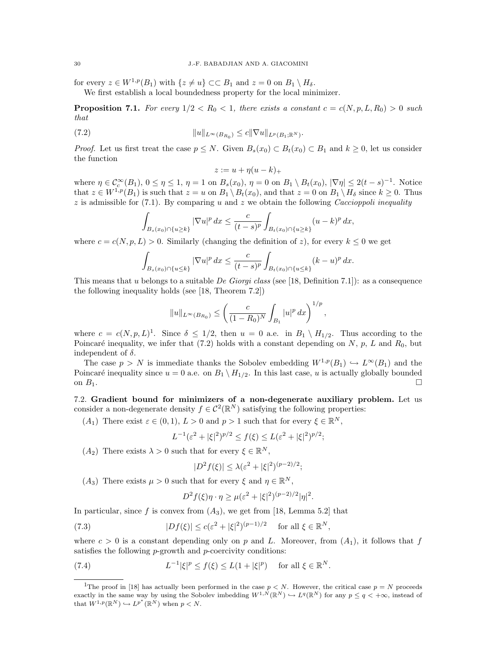for every  $z \in W^{1,p}(B_1)$  with  $\{z \neq u\} \subset\subset B_1$  and  $z = 0$  on  $B_1 \setminus H_\delta$ .

We first establish a local boundedness property for the local minimizer.

**Proposition 7.1.** For every  $1/2 < R_0 < 1$ , there exists a constant  $c = c(N, p, L, R_0) > 0$  such that

(7.2) 
$$
||u||_{L^{\infty}(B_{R_0})} \leq c||\nabla u||_{L^p(B_1; \mathbb{R}^N)}.
$$

*Proof.* Let us first treat the case  $p \leq N$ . Given  $B_s(x_0) \subset B_t(x_0) \subset B_1$  and  $k \geq 0$ , let us consider the function

$$
z := u + \eta(u - k)_+
$$

where  $\eta \in C_c^{\infty}(B_1)$ ,  $0 \leq \eta \leq 1$ ,  $\eta = 1$  on  $B_s(x_0)$ ,  $\eta = 0$  on  $B_1 \setminus B_t(x_0)$ ,  $|\nabla \eta| \leq 2(t-s)^{-1}$ . Notice that  $z \in W^{1,p}(B_1)$  is such that  $z = u$  on  $B_1 \setminus B_t(x_0)$ , and that  $z = 0$  on  $B_1 \setminus H_\delta$  since  $k \ge 0$ . Thus  $z$  is admissible for (7.1). By comparing u and z we obtain the following *Caccioppoli inequality* 

$$
\int_{B_s(x_0)\cap\{u\geq k\}} |\nabla u|^p dx \leq \frac{c}{(t-s)^p} \int_{B_t(x_0)\cap\{u\geq k\}} (u-k)^p dx,
$$

where  $c = c(N, p, L) > 0$ . Similarly (changing the definition of z), for every  $k \leq 0$  we get

$$
\int_{B_s(x_0)\cap\{u\leq k\}} |\nabla u|^p dx \leq \frac{c}{(t-s)^p} \int_{B_t(x_0)\cap\{u\leq k\}} (k-u)^p dx.
$$

This means that u belongs to a suitable De Giorgi class (see [18, Definition 7.1]): as a consequence the following inequality holds (see [18, Theorem 7.2])

$$
||u||_{L^{\infty}(B_{R_0})} \leq \left(\frac{c}{(1-R_0)^N} \int_{B_1} |u|^p dx\right)^{1/p},
$$

where  $c = c(N, p, L)^{1}$ . Since  $\delta \leq 1/2$ , then  $u = 0$  a.e. in  $B_1 \setminus H_{1/2}$ . Thus according to the Poincaré inequality, we infer that (7.2) holds with a constant depending on  $N$ ,  $p$ ,  $L$  and  $R_0$ , but independent of  $\delta$ .

The case  $p > N$  is immediate thanks the Sobolev embedding  $W^{1,p}(B_1) \hookrightarrow L^{\infty}(B_1)$  and the Poincaré inequality since  $u = 0$  a.e. on  $B_1 \setminus H_{1/2}$ . In this last case, u is actually globally bounded on  $B_1$ .

7.2. Gradient bound for minimizers of a non-degenerate auxiliary problem. Let us consider a non-degenerate density  $f \in C^2(\mathbb{R}^N)$  satisfying the following properties:

(A<sub>1</sub>) There exist  $\varepsilon \in (0,1)$ ,  $L > 0$  and  $p > 1$  such that for every  $\xi \in \mathbb{R}^N$ ,

$$
L^{-1}(\varepsilon^2 + |\xi|^2)^{p/2} \le f(\xi) \le L(\varepsilon^2 + |\xi|^2)^{p/2};
$$

(A<sub>2</sub>) There exists  $\lambda > 0$  such that for every  $\xi \in \mathbb{R}^N$ ,

$$
|D^2 f(\xi)| \le \lambda (\varepsilon^2 + |\xi|^2)^{(p-2)/2};
$$

(A<sub>3</sub>) There exists  $\mu > 0$  such that for every  $\xi$  and  $\eta \in \mathbb{R}^N$ ,

$$
D^{2} f(\xi) \eta \cdot \eta \ge \mu (\varepsilon^{2} + |\xi|^{2})^{(p-2)/2} |\eta|^{2}.
$$

In particular, since f is convex from  $(A_3)$ , we get from [18, Lemma 5.2] that

(7.3) 
$$
|Df(\xi)| \le c(\varepsilon^2 + |\xi|^2)^{(p-1)/2} \quad \text{for all } \xi \in \mathbb{R}^N,
$$

where  $c > 0$  is a constant depending only on p and L. Moreover, from  $(A_1)$ , it follows that f satisfies the following *p*-growth and *p*-coercivity conditions:

(7.4) 
$$
L^{-1}|\xi|^p \le f(\xi) \le L(1+|\xi|^p)
$$
 for all  $\xi \in \mathbb{R}^N$ .

<sup>&</sup>lt;sup>1</sup>The proof in [18] has actually been performed in the case  $p < N$ . However, the critical case  $p = N$  proceeds exactly in the same way by using the Sobolev imbedding  $W^{1,N}(\mathbb{R}^N) \hookrightarrow L^q(\mathbb{R}^N)$  for any  $p \leq q \lt +\infty$ , instead of that  $W^{1,p}(\mathbb{R}^N) \hookrightarrow L^{p^*}(\mathbb{R}^N)$  when  $p < N$ .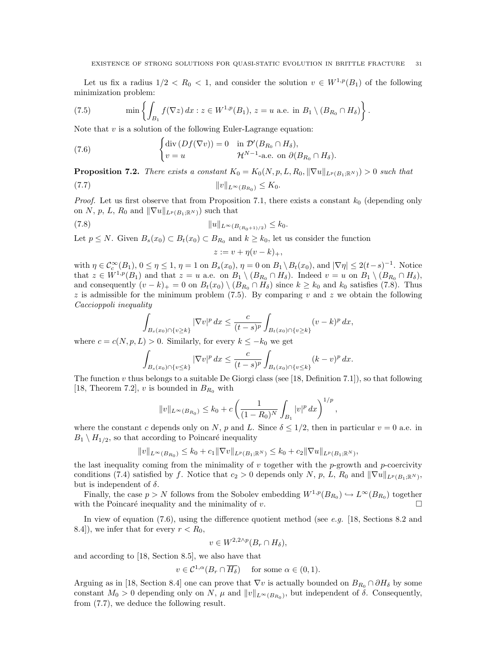Let us fix a radius  $1/2 < R_0 < 1$ , and consider the solution  $v \in W^{1,p}(B_1)$  of the following minimization problem:

(7.5) 
$$
\min \left\{ \int_{B_1} f(\nabla z) dx : z \in W^{1,p}(B_1), z = u \text{ a.e. in } B_1 \setminus (B_{R_0} \cap H_{\delta}) \right\}.
$$

Note that  $v$  is a solution of the following Euler-Lagrange equation:

(7.6) 
$$
\begin{cases} \operatorname{div} (Df(\nabla v)) = 0 & \text{in } \mathcal{D}'(B_{R_0} \cap H_\delta), \\ v = u & \mathcal{H}^{N-1}\text{-a.e. on } \partial(B_{R_0} \cap H_\delta). \end{cases}
$$

**Proposition 7.2.** There exists a constant  $K_0 = K_0(N, p, L, R_0, \|\nabla u\|_{L^p(B_1; \mathbb{R}^N)}) > 0$  such that

$$
||v||_{L^{\infty}(B_{R_0})} \leq K_0.
$$

*Proof.* Let us first observe that from Proposition 7.1, there exists a constant  $k_0$  (depending only on N, p, L,  $R_0$  and  $\|\nabla u\|_{L^p(B_1;\mathbb{R}^N)}$  such that

(7.8) kukL∞(B(R0+1)/2) ≤ k0.

Let  $p \leq N$ . Given  $B_s(x_0) \subset B_t(x_0) \subset B_{R_0}$  and  $k \geq k_0$ , let us consider the function

$$
z := v + \eta(v - k)_+,
$$

with  $\eta \in C_c^{\infty}(B_1)$ ,  $0 \le \eta \le 1$ ,  $\eta = 1$  on  $B_s(x_0)$ ,  $\eta = 0$  on  $B_1 \setminus B_t(x_0)$ , and  $|\nabla \eta| \le 2(t-s)^{-1}$ . Notice that  $z \in W^{1,p}(B_1)$  and that  $z = u$  a.e. on  $B_1 \setminus (B_{R_0} \cap H_\delta)$ . Indeed  $v = u$  on  $B_1 \setminus (B_{R_0} \cap H_\delta)$ , and consequently  $(v - k)_+ = 0$  on  $B_t(x_0) \setminus (B_{R_0} \cap H_\delta)$  since  $k \geq k_0$  and  $k_0$  satisfies (7.8). Thus  $z$  is admissible for the minimum problem (7.5). By comparing v and  $z$  we obtain the following Caccioppoli inequality

$$
\int_{B_s(x_0)\cap\{v\geq k\}} |\nabla v|^p dx \leq \frac{c}{(t-s)^p} \int_{B_t(x_0)\cap\{v\geq k\}} (v-k)^p dx,
$$

where  $c = c(N, p, L) > 0$ . Similarly, for every  $k \leq -k_0$  we get

$$
\int_{B_s(x_0)\cap\{v\leq k\}} |\nabla v|^p \, dx \leq \frac{c}{(t-s)^p} \int_{B_t(x_0)\cap\{v\leq k\}} (k-v)^p \, dx.
$$

The function  $v$  thus belongs to a suitable De Giorgi class (see [18, Definition 7.1]), so that following [18, Theorem 7.2], v is bounded in  $B_{R_0}$  with

$$
||v||_{L^{\infty}(B_{R_0})} \le k_0 + c \left( \frac{1}{(1 - R_0)^N} \int_{B_1} |v|^p dx \right)^{1/p},
$$

where the constant c depends only on N, p and L. Since  $\delta \leq 1/2$ , then in particular  $v = 0$  a.e. in  $B_1 \setminus H_{1/2}$ , so that according to Poincaré inequality

$$
||v||_{L^{\infty}(B_{R_0})} \leq k_0 + c_1 ||\nabla v||_{L^p(B_1; \mathbb{R}^N)} \leq k_0 + c_2 ||\nabla u||_{L^p(B_1; \mathbb{R}^N)},
$$

the last inequality coming from the minimality of  $v$  together with the  $p$ -growth and  $p$ -coercivity conditions (7.4) satisfied by f. Notice that  $c_2 > 0$  depends only N, p, L, R<sub>0</sub> and  $\|\nabla u\|_{L^p(B_1;\mathbb{R}^N)}$ , but is independent of  $\delta$ .

Finally, the case  $p > N$  follows from the Sobolev embedding  $W^{1,p}(B_{R_0}) \hookrightarrow L^{\infty}(B_{R_0})$  together with the Poincaré inequality and the minimality of v.  $\Box$ 

In view of equation  $(7.6)$ , using the difference quotient method (see e.g. [18, Sections 8.2 and 8.4]), we infer that for every  $r < R_0$ ,

$$
v \in W^{2,2\wedge p}(B_r \cap H_\delta),
$$

and according to [18, Section 8.5], we also have that

$$
v \in \mathcal{C}^{1,\alpha}(B_r \cap \overline{H_{\delta}}) \quad \text{ for some } \alpha \in (0,1).
$$

Arguing as in [18, Section 8.4] one can prove that  $\nabla v$  is actually bounded on  $B_{R_0} \cap \partial H_\delta$  by some constant  $M_0 > 0$  depending only on N,  $\mu$  and  $||v||_{L^{\infty}(B_{R_0})}$ , but independent of  $\delta$ . Consequently, from (7.7), we deduce the following result.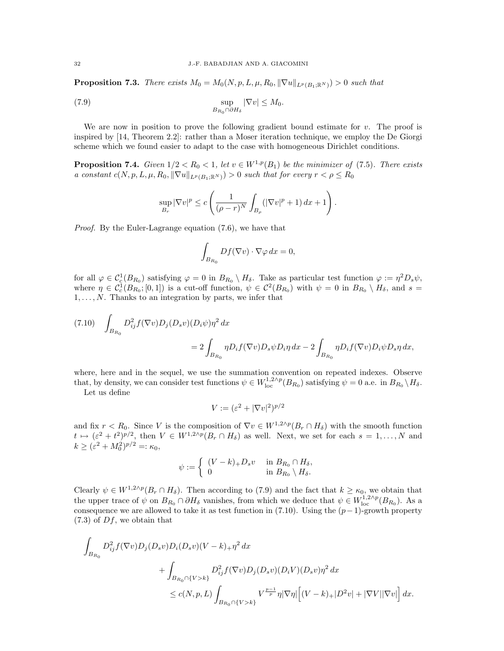**Proposition 7.3.** There exists  $M_0 = M_0(N, p, L, \mu, R_0, \|\nabla u\|_{L^p(B_1; \mathbb{R}^N)}) > 0$  such that

(7.9) 
$$
\sup_{B_{R_0} \cap \partial H_\delta} |\nabla v| \le M_0.
$$

We are now in position to prove the following gradient bound estimate for  $v$ . The proof is inspired by [14, Theorem 2.2]: rather than a Moser iteration technique, we employ the De Giorgi scheme which we found easier to adapt to the case with homogeneous Dirichlet conditions.

**Proposition 7.4.** Given  $1/2 < R_0 < 1$ , let  $v \in W^{1,p}(B_1)$  be the minimizer of (7.5). There exists a constant  $c(N, p, L, \mu, R_0, \|\nabla u\|_{L^p(B_1; \mathbb{R}^N)}) > 0$  such that for every  $r < \rho \leq R_0$ 

$$
\sup_{B_r} |\nabla v|^p \le c \left( \frac{1}{(\rho - r)^N} \int_{B_\rho} (|\nabla v|^p + 1) \, dx + 1 \right).
$$

Proof. By the Euler-Lagrange equation (7.6), we have that

$$
\int_{B_{R_0}} Df(\nabla v) \cdot \nabla \varphi \, dx = 0,
$$

for all  $\varphi \in C_c^1(B_{R_0})$  satisfying  $\varphi = 0$  in  $B_{R_0} \setminus H_\delta$ . Take as particular test function  $\varphi := \eta^2 D_s \psi$ , where  $\eta \in C_c^1(B_{R_0};[0,1])$  is a cut-off function,  $\psi \in C^2(B_{R_0})$  with  $\psi = 0$  in  $B_{R_0} \setminus H_\delta$ , and  $s =$  $1, \ldots, N$ . Thanks to an integration by parts, we infer that

(7.10) 
$$
\int_{B_{R_0}} D_{ij}^2 f(\nabla v) D_j(D_s v) (D_i \psi) \eta^2 dx = 2 \int_{B_{R_0}} \eta D_i f(\nabla v) D_s \psi D_i \eta dx - 2 \int_{B_{R_0}} \eta D_i f(\nabla v) D_i \psi D_s \eta dx,
$$

where, here and in the sequel, we use the summation convention on repeated indexes. Observe that, by density, we can consider test functions  $\psi \in W^{1,2\wedge p}_{loc}(B_{R_0})$  satisfying  $\psi = 0$  a.e. in  $B_{R_0} \backslash H_\delta$ .

Let us define

$$
V := (\varepsilon^2 + |\nabla v|^2)^{p/2}
$$

and fix  $r < R_0$ . Since V is the composition of  $\nabla v \in W^{1,2\wedge p}(B_r \cap H_\delta)$  with the smooth function  $t \mapsto (\varepsilon^2 + t^2)^{p/2}$ , then  $V \in W^{1,2\wedge p}(B_r \cap H_\delta)$  as well. Next, we set for each  $s = 1,\ldots,N$  and  $k \geq (\varepsilon^2 + M_0^2)^{p/2} =: \kappa_0,$ 

$$
\psi := \begin{cases} (V - k)_+ D_s v & \text{in } B_{R_0} \cap H_\delta, \\ 0 & \text{in } B_{R_0} \setminus H_\delta. \end{cases}
$$

Clearly  $\psi \in W^{1,2\wedge p}(B_r \cap H_\delta)$ . Then according to (7.9) and the fact that  $k \geq \kappa_0$ , we obtain that the upper trace of  $\psi$  on  $B_{R_0} \cap \partial H_{\delta}$  vanishes, from which we deduce that  $\psi \in W^{1,2\wedge p}_{loc}(B_{R_0})$ . As a consequence we are allowed to take it as test function in (7.10). Using the  $(p-1)$ -growth property  $(7.3)$  of  $Df$ , we obtain that

$$
\int_{B_{R_0}} D_{ij}^2 f(\nabla v) D_j(D_s v) D_i(D_s v) (V - k)_+ \eta^2 dx \n+ \int_{B_{R_0} \cap \{V > k\}} D_{ij}^2 f(\nabla v) D_j(D_s v) (D_i V) (D_s v) \eta^2 dx \n\le c(N, p, L) \int_{B_{R_0} \cap \{V > k\}} V^{\frac{p-1}{p}} \eta |\nabla \eta| \Big[ (V - k)_+ |D^2 v| + |\nabla V| |\nabla v| \Big] dx.
$$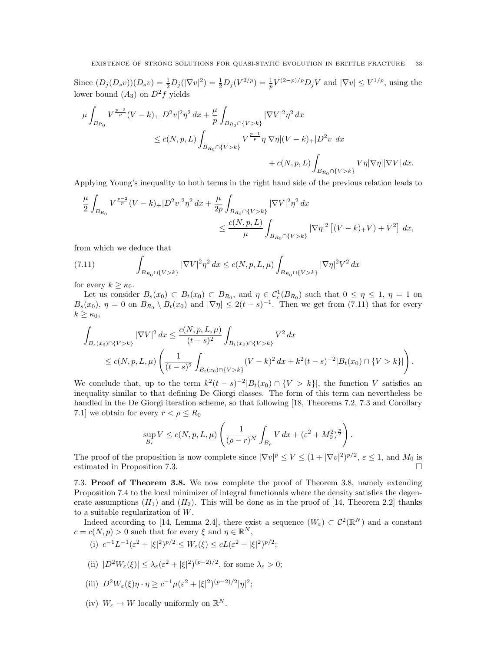Since  $(D_j(D_sv))(D_sv) = \frac{1}{2}D_j(|\nabla v|^2) = \frac{1}{2}D_j(V^{2/p}) = \frac{1}{p}V^{(2-p)/p}D_jV$  and  $|\nabla v| \leq V^{1/p}$ , using the lower bound  $(A_3)$  on  $D^2f$  yields

$$
\mu \int_{B_{R_0}} V^{\frac{p-2}{p}} (V - k)_+ |D^2 v|^2 \eta^2 dx + \frac{\mu}{p} \int_{B_{R_0} \cap \{V > k\}} |\nabla V|^2 \eta^2 dx
$$
  

$$
\leq c(N, p, L) \int_{B_{R_0} \cap \{V > k\}} V^{\frac{p-1}{p}} \eta |\nabla \eta| (V - k)_+ |D^2 v| dx
$$
  

$$
+ c(N, p, L) \int_{B_{R_0} \cap \{V > k\}} V \eta |\nabla \eta| |\nabla V| dx.
$$

Applying Young's inequality to both terms in the right hand side of the previous relation leads to

$$
\begin{aligned} \frac{\mu}{2}\int_{B_{R_0}} V^{\frac{p-2}{p}}(V-k)_+ |D^2v|^2\eta^2\,dx &+ \frac{\mu}{2p}\int_{B_{R_0}\cap \{V>k\}} |\nabla V|^2\eta^2\,dx \\ & \leq \frac{c(N,p,L)}{\mu}\int_{B_{R_0}\cap \{V>k\}} |\nabla \eta|^2\left[(V-k)_+V\right)+V^2\right]\,dx, \end{aligned}
$$

from which we deduce that

(7.11) 
$$
\int_{B_{R_0} \cap \{V > k\}} |\nabla V|^2 \eta^2 dx \le c(N, p, L, \mu) \int_{B_{R_0} \cap \{V > k\}} |\nabla \eta|^2 V^2 dx
$$

for every  $k \geq \kappa_0$ .

Let us consider  $B_s(x_0) \subset B_t(x_0) \subset B_{R_0}$ , and  $\eta \in C_c^1(B_{R_0})$  such that  $0 \leq \eta \leq 1$ ,  $\eta = 1$  on  $B_s(x_0)$ ,  $\eta = 0$  on  $B_{R_0} \setminus B_t(x_0)$  and  $|\nabla \eta| \leq 2(t-s)^{-1}$ . Then we get from (7.11) that for every  $k \geq \kappa_0$ ,

$$
\int_{B_s(x_0)\cap\{V>k\}} |\nabla V|^2 dx \le \frac{c(N, p, L, \mu)}{(t-s)^2} \int_{B_t(x_0)\cap\{V>k\}} V^2 dx
$$
\n
$$
\le c(N, p, L, \mu) \left( \frac{1}{(t-s)^2} \int_{B_t(x_0)\cap\{V>k\}} (V-k)^2 dx + k^2 (t-s)^{-2} |B_t(x_0) \cap \{V>k\}| \right).
$$

We conclude that, up to the term  $k^2(t-s)^{-2}|B_t(x_0) \cap \{V > k\}|$ , the function V satisfies an inequality similar to that defining De Giorgi classes. The form of this term can nevertheless be handled in the De Giorgi iteration scheme, so that following [18, Theorems 7.2, 7.3 and Corollary 7.1] we obtain for every  $r < \rho \leq R_0$ 

$$
\sup_{B_r} V \le c(N, p, L, \mu) \left( \frac{1}{(\rho - r)^N} \int_{B_\rho} V dx + (\varepsilon^2 + M_0^2)^{\frac{p}{2}} \right).
$$

The proof of the proposition is now complete since  $|\nabla v|^p \le V \le (1 + |\nabla v|^2)^{p/2}, \varepsilon \le 1$ , and  $M_0$  is estimated in Proposition 7.3.

7.3. Proof of Theorem 3.8. We now complete the proof of Theorem 3.8, namely extending Proposition 7.4 to the local minimizer of integral functionals where the density satisfies the degenerate assumptions  $(H_1)$  and  $(H_2)$ . This will be done as in the proof of [14, Theorem 2.2] thanks to a suitable regularization of  $W$ .

Indeed according to [14, Lemma 2.4], there exist a sequence  $(W<sub>\varepsilon</sub>) \subset C<sup>2</sup>(\mathbb{R}<sup>N</sup>)$  and a constant  $c = c(N, p) > 0$  such that for every  $\xi$  and  $\eta \in \mathbb{R}^N$ ,

- (i)  $c^{-1}L^{-1}(\varepsilon^2 + |\xi|^2)^{p/2} \le W_{\varepsilon}(\xi) \le cL(\varepsilon^2 + |\xi|^2)^{p/2};$
- (ii)  $|D^2W_{\varepsilon}(\xi)| \leq \lambda_{\varepsilon}({\varepsilon}^2 + |\xi|^2)^{(p-2)/2}$ , for some  $\lambda_{\varepsilon} > 0$ ;
- (iii)  $D^2 W_{\varepsilon}(\xi) \eta \cdot \eta \geq c^{-1} \mu (\varepsilon^2 + |\xi|^2)^{(p-2)/2} |\eta|^2;$
- (iv)  $W_{\varepsilon} \to W$  locally uniformly on  $\mathbb{R}^{N}$ .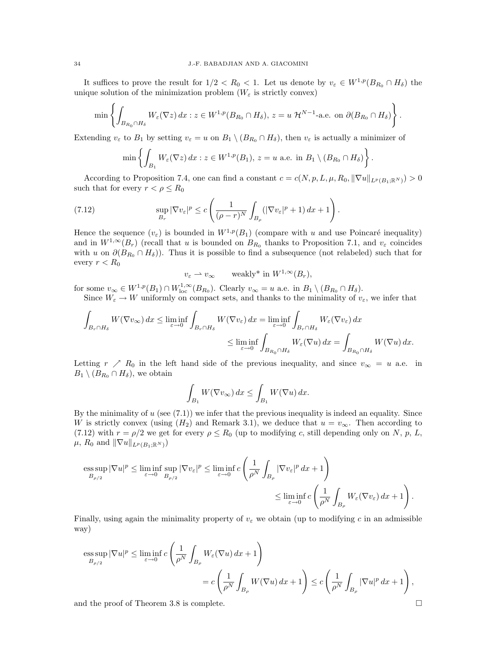It suffices to prove the result for  $1/2 < R_0 < 1$ . Let us denote by  $v_{\varepsilon} \in W^{1,p}(B_{R_0} \cap H_{\delta})$  the unique solution of the minimization problem  $(W_{\varepsilon}$  is strictly convex)

$$
\min\left\{\int_{B_{R_0}\cap H_\delta} W_{\varepsilon}(\nabla z)\,dx : z\in W^{1,p}(B_{R_0}\cap H_\delta),\, z=u\mathcal{H}^{N-1}\text{-a.e. on }\partial(B_{R_0}\cap H_\delta)\right\}.
$$

Extending  $v_{\varepsilon}$  to  $B_1$  by setting  $v_{\varepsilon} = u$  on  $B_1 \setminus (B_{R_0} \cap H_{\delta})$ , then  $v_{\varepsilon}$  is actually a minimizer of

$$
\min\left\{\int_{B_1} W_{\varepsilon}(\nabla z)\,dx : z \in W^{1,p}(B_1), \, z = u \text{ a.e. in } B_1 \setminus (B_{R_0} \cap H_{\delta})\right\}.
$$

According to Proposition 7.4, one can find a constant  $c = c(N, p, L, \mu, R_0, \|\nabla u\|_{L^p(B_1; \mathbb{R}^N)}) > 0$ such that for every  $r < \rho \leq R_0$ 

(7.12) 
$$
\sup_{B_r} |\nabla v_{\varepsilon}|^p \leq c \left( \frac{1}{(\rho - r)^N} \int_{B_\rho} (|\nabla v_{\varepsilon}|^p + 1) \, dx + 1 \right).
$$

Hence the sequence  $(v_{\varepsilon})$  is bounded in  $W^{1,p}(B_1)$  (compare with u and use Poincaré inequality) and in  $W^{1,\infty}(B_r)$  (recall that u is bounded on  $B_{R_0}$  thanks to Proposition 7.1, and  $v_{\varepsilon}$  coincides with u on  $\partial(B_{R_0} \cap H_\delta)$ . Thus it is possible to find a subsequence (not relabeled) such that for every  $r < R_0$ 

$$
v_{\varepsilon} \rightharpoonup v_{\infty} \qquad \text{weakly* in } W^{1,\infty}(B_r),
$$

for some  $v_{\infty} \in W^{1,p}(B_1) \cap W^{1,\infty}_{\text{loc}}(B_{R_0})$ . Clearly  $v_{\infty} = u$  a.e. in  $B_1 \setminus (B_{R_0} \cap H_{\delta})$ . Since  $W_{\varepsilon} \to W$  uniformly on compact sets, and thanks to the minimality of  $v_{\varepsilon}$ , we infer that

$$
\begin{aligned} \int_{B_r \cap H_\delta} W(\nabla v_\infty) \, dx &\leq \liminf_{\varepsilon \to 0} \int_{B_r \cap H_\delta} W(\nabla v_\varepsilon) \, dx = \liminf_{\varepsilon \to 0} \int_{B_r \cap H_\delta} W_\varepsilon(\nabla v_\varepsilon) \, dx \\ &\leq \liminf_{\varepsilon \to 0} \int_{B_{R_0} \cap H_\delta} W_\varepsilon(\nabla u) \, dx = \int_{B_{R_0} \cap H_\delta} W(\nabla u) \, dx. \end{aligned}
$$

Letting  $r \nearrow R_0$  in the left hand side of the previous inequality, and since  $v_{\infty} = u$  a.e. in  $B_1 \setminus (B_{R_0} \cap H_{\delta}),$  we obtain

$$
\int_{B_1} W(\nabla v_{\infty}) dx \le \int_{B_1} W(\nabla u) dx.
$$

By the minimality of  $u$  (see  $(7.1)$ ) we infer that the previous inequality is indeed an equality. Since W is strictly convex (using  $(H_2)$  and Remark 3.1), we deduce that  $u = v_{\infty}$ . Then according to (7.12) with  $r = \rho/2$  we get for every  $\rho \le R_0$  (up to modifying c, still depending only on N, p, L,  $\mu$ ,  $R_0$  and  $\|\nabla u\|_{L^p(B_1;\mathbb{R}^N)}$ 

$$
\operatorname{ess\,sup}_{B_{\rho/2}} |\nabla u|^p \le \liminf_{\varepsilon \to 0} \sup_{B_{\rho/2}} |\nabla v_{\varepsilon}|^p \le \liminf_{\varepsilon \to 0} c \left( \frac{1}{\rho^N} \int_{B_\rho} |\nabla v_{\varepsilon}|^p dx + 1 \right)
$$
  

$$
\le \liminf_{\varepsilon \to 0} c \left( \frac{1}{\rho^N} \int_{B_\rho} W_{\varepsilon} (\nabla v_{\varepsilon}) dx + 1 \right).
$$

Finally, using again the minimality property of  $v_{\varepsilon}$  we obtain (up to modifying c in an admissible way)

$$
\begin{split} \mathop{\mathrm{ess\,sup}}_{B_{\rho/2}} |\nabla u|^p &\leq \liminf_{\varepsilon\to 0} c\left(\frac{1}{\rho^N} \int_{B_\rho} W_\varepsilon(\nabla u) \, dx + 1\right) \\ & = c\left(\frac{1}{\rho^N} \int_{B_\rho} W(\nabla u) \, dx + 1\right) \leq c\left(\frac{1}{\rho^N} \int_{B_\rho} |\nabla u|^p \, dx + 1\right), \end{split}
$$

and the proof of Theorem 3.8 is complete.